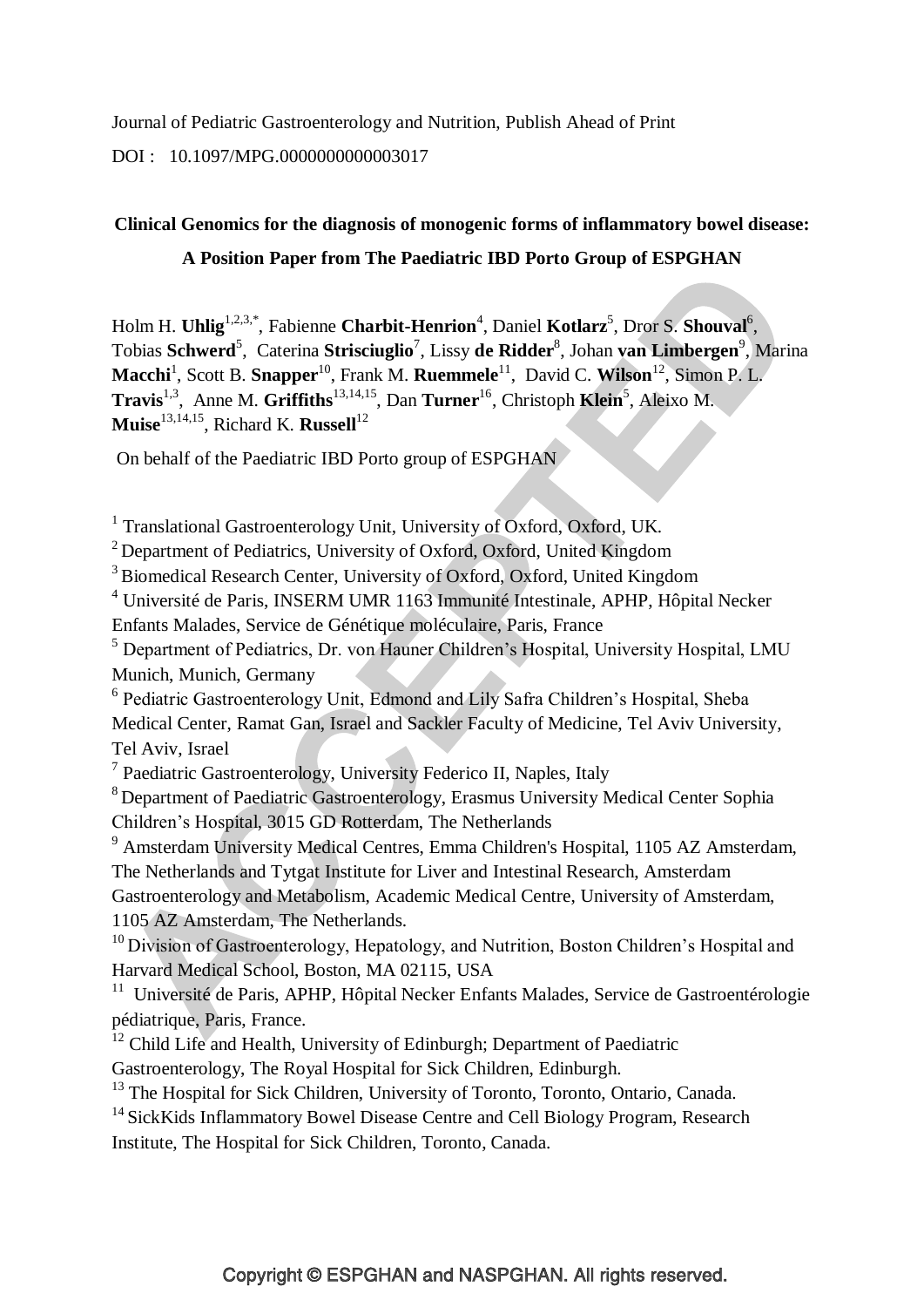Journal of Pediatric Gastroenterology and Nutrition, Publish Ahead of Print

DOI : 10.1097/MPG.0000000000003017

## **Clinical Genomics for the diagnosis of monogenic forms of inflammatory bowel disease:**

## **A Position Paper from The Paediatric IBD Porto Group of ESPGHAN**

Holm H. **Uhlig**<sup>1,2,3,\*</sup>, Fabienne **Charbit-Henrion**<sup>4</sup>, Daniel **Kotlarz**<sup>5</sup>, Dror S. Shouval<sup>6</sup>, Tobias Schwerd<sup>5</sup>, Caterina Strisciuglio<sup>7</sup>, Lissy de Ridder<sup>8</sup>, Johan van Limbergen<sup>9</sup>, Marina **Macchi**<sup>1</sup>, Scott B. **Snapper**<sup>10</sup>, Frank M. **Ruemmele**<sup>11</sup>, David C. **Wilson**<sup>12</sup>, Simon P. L. **Travis**<sup>1,3</sup>, Anne M. **Griffiths**<sup>13,14,15</sup>, Dan **Turner**<sup>16</sup>, Christoph **Klein**<sup>5</sup>, Aleixo M. **Muise**<sup>13,14,15</sup>, Richard K. **Russell**<sup>12</sup>

On behalf of the Paediatric IBD Porto group of ESPGHAN

<sup>1</sup> Translational Gastroenterology Unit, University of Oxford, Oxford, UK.

<sup>2</sup> Department of Pediatrics, University of Oxford, Oxford, United Kingdom

<sup>3</sup> Biomedical Research Center, University of Oxford, Oxford, United Kingdom

<sup>4</sup> Université de Paris, INSERM UMR 1163 Immunité Intestinale, APHP, Hôpital Necker Enfants Malades, Service de Génétique moléculaire, Paris, France

<sup>5</sup> Department of Pediatrics, Dr. von Hauner Children's Hospital, University Hospital, LMU Munich, Munich, Germany

<sup>6</sup> Pediatric Gastroenterology Unit, Edmond and Lily Safra Children's Hospital, Sheba Medical Center, Ramat Gan, Israel and Sackler Faculty of Medicine, Tel Aviv University, Tel Aviv, Israel

<sup>7</sup> Paediatric Gastroenterology, University Federico II, Naples, Italy

<sup>8</sup>Department of Paediatric Gastroenterology, Erasmus University Medical Center Sophia Children's Hospital, 3015 GD Rotterdam, The Netherlands

<sup>9</sup> Amsterdam University Medical Centres, Emma Children's Hospital, 1105 AZ Amsterdam, The Netherlands and Tytgat Institute for Liver and Intestinal Research, Amsterdam Gastroenterology and Metabolism, Academic Medical Centre, University of Amsterdam, 1105 AZ Amsterdam, The Netherlands.

 $10$  Division of Gastroenterology, Hepatology, and Nutrition, Boston Children's Hospital and Harvard Medical School, Boston, MA 02115, USA

<sup>11</sup> Université de Paris, APHP, Hôpital Necker Enfants Malades, Service de Gastroentérologie pédiatrique, Paris, France.

<sup>12</sup> Child Life and Health, University of Edinburgh; Department of Paediatric

Gastroenterology, The Royal Hospital for Sick Children, Edinburgh.

<sup>13</sup> The Hospital for Sick Children, University of Toronto, Toronto, Ontario, Canada.

<sup>14</sup> SickKids Inflammatory Bowel Disease Centre and Cell Biology Program, Research Institute, The Hospital for Sick Children, Toronto, Canada.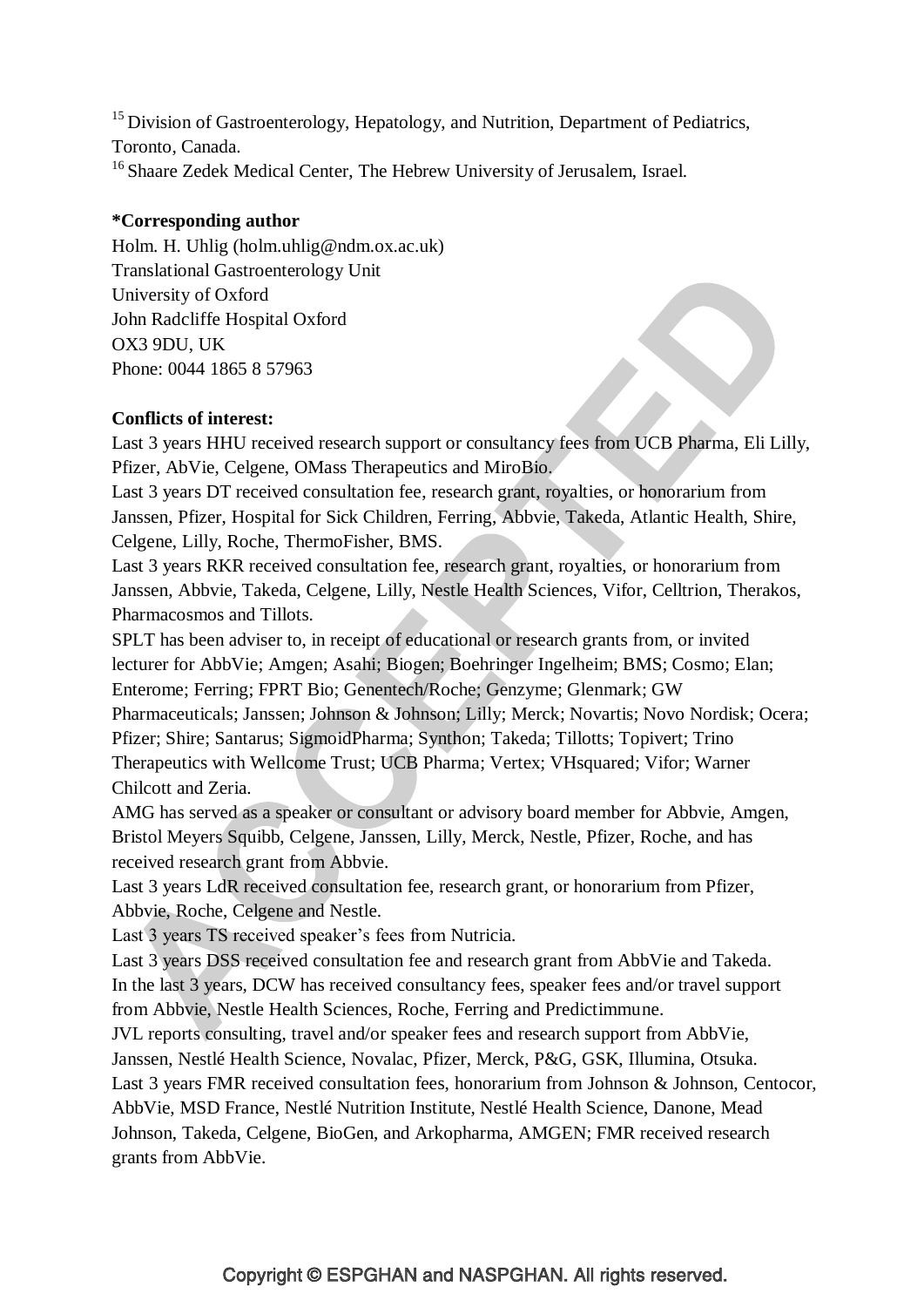$15$  Division of Gastroenterology, Hepatology, and Nutrition, Department of Pediatrics, Toronto, Canada. <sup>16</sup> Shaare Zedek Medical Center, The Hebrew University of Jerusalem, Israel.

## **\*Corresponding author**

Holm. H. Uhlig (holm.uhlig@ndm.ox.ac.uk) Translational Gastroenterology Unit University of Oxford John Radcliffe Hospital Oxford OX3 9DU, UK Phone: 0044 1865 8 57963

## **Conflicts of interest:**

Last 3 years HHU received research support or consultancy fees from UCB Pharma, Eli Lilly, Pfizer, AbVie, Celgene, OMass Therapeutics and MiroBio.

Last 3 years DT received consultation fee, research grant, royalties, or honorarium from Janssen, Pfizer, Hospital for Sick Children, Ferring, Abbvie, Takeda, Atlantic Health, Shire, Celgene, Lilly, Roche, ThermoFisher, BMS.

Last 3 years RKR received consultation fee, research grant, royalties, or honorarium from Janssen, Abbvie, Takeda, Celgene, Lilly, Nestle Health Sciences, Vifor, Celltrion, Therakos, Pharmacosmos and Tillots.

SPLT has been adviser to, in receipt of educational or research grants from, or invited lecturer for AbbVie; Amgen; Asahi; Biogen; Boehringer Ingelheim; BMS; Cosmo; Elan; Enterome; Ferring; FPRT Bio; Genentech/Roche; Genzyme; Glenmark; GW Pharmaceuticals; Janssen; Johnson & Johnson; Lilly; Merck; Novartis; Novo Nordisk; Ocera; Pfizer; Shire; Santarus; SigmoidPharma; Synthon; Takeda; Tillotts; Topivert; Trino Therapeutics with Wellcome Trust; UCB Pharma; Vertex; VHsquared; Vifor; Warner Chilcott and Zeria.

AMG has served as a speaker or consultant or advisory board member for Abbvie, Amgen, Bristol Meyers Squibb, Celgene, Janssen, Lilly, Merck, Nestle, Pfizer, Roche, and has received research grant from Abbvie.

Last 3 years LdR received consultation fee, research grant, or honorarium from Pfizer, Abbvie, Roche, Celgene and Nestle.

Last 3 years TS received speaker's fees from Nutricia.

Last 3 years DSS received consultation fee and research grant from AbbVie and Takeda. In the last 3 years, DCW has received consultancy fees, speaker fees and/or travel support from Abbvie, Nestle Health Sciences, Roche, Ferring and Predictimmune.

JVL reports consulting, travel and/or speaker fees and research support from AbbVie, Janssen, Nestlé Health Science, Novalac, Pfizer, Merck, P&G, GSK, Illumina, Otsuka. Last 3 years FMR received consultation fees, honorarium from Johnson & Johnson, Centocor, AbbVie, MSD France, Nestlé Nutrition Institute, Nestlé Health Science, Danone, Mead

Johnson, Takeda, Celgene, BioGen, and Arkopharma, AMGEN; FMR received research grants from AbbVie.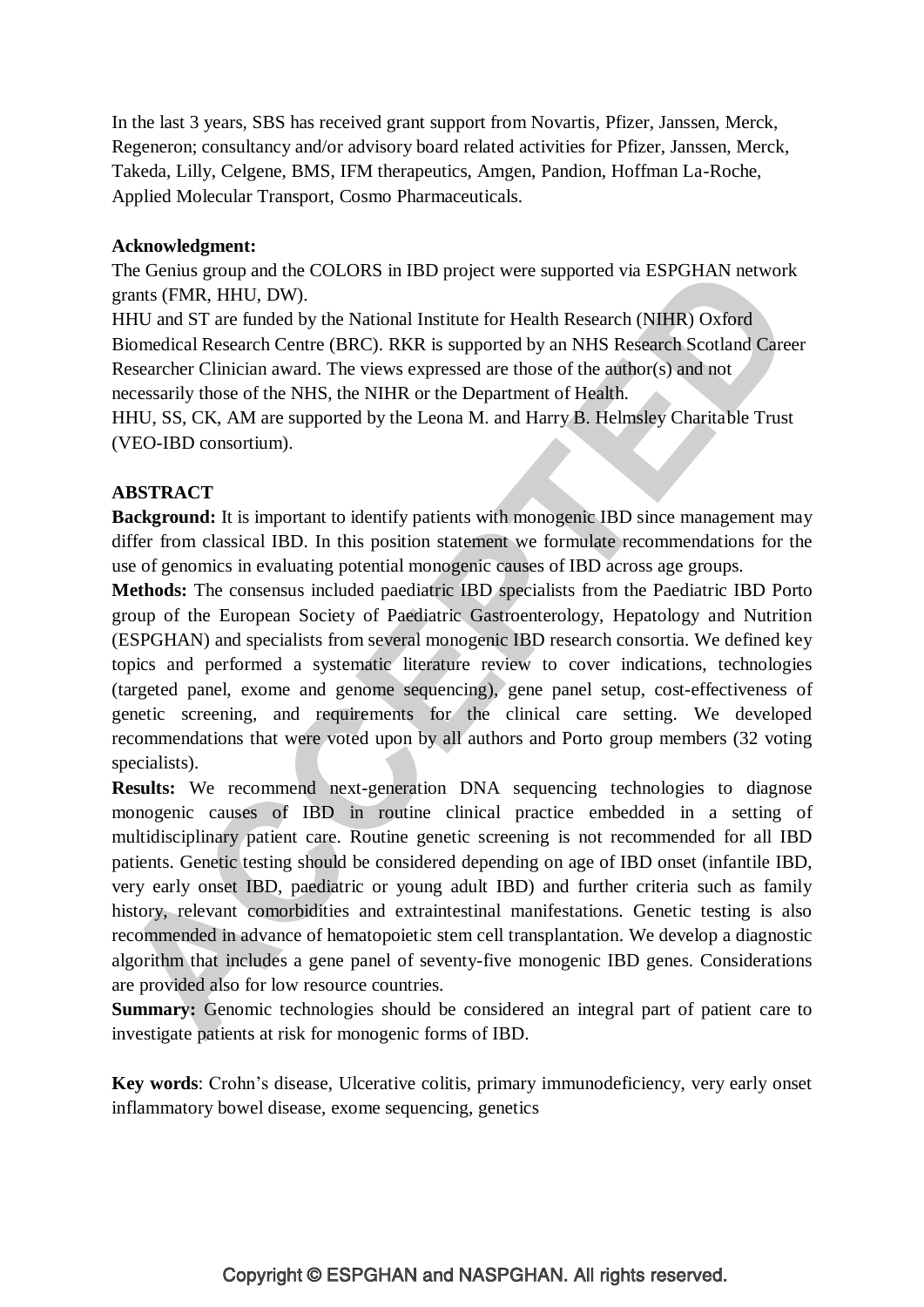In the last 3 years, SBS has received grant support from Novartis, Pfizer, Janssen, Merck, Regeneron; consultancy and/or advisory board related activities for Pfizer, Janssen, Merck, Takeda, Lilly, Celgene, BMS, IFM therapeutics, Amgen, Pandion, Hoffman La-Roche, Applied Molecular Transport, Cosmo Pharmaceuticals.

## **Acknowledgment:**

The Genius group and the COLORS in IBD project were supported via ESPGHAN network grants (FMR, HHU, DW).

HHU and ST are funded by the National Institute for Health Research (NIHR) Oxford Biomedical Research Centre (BRC). RKR is supported by an NHS Research Scotland Career Researcher Clinician award. The views expressed are those of the author(s) and not necessarily those of the NHS, the NIHR or the Department of Health.

HHU, SS, CK, AM are supported by the Leona M. and Harry B. Helmsley Charitable Trust (VEO-IBD consortium).

## **ABSTRACT**

**Background:** It is important to identify patients with monogenic IBD since management may differ from classical IBD. In this position statement we formulate recommendations for the use of genomics in evaluating potential monogenic causes of IBD across age groups.

**Methods:** The consensus included paediatric IBD specialists from the Paediatric IBD Porto group of the European Society of Paediatric Gastroenterology, Hepatology and Nutrition (ESPGHAN) and specialists from several monogenic IBD research consortia. We defined key topics and performed a systematic literature review to cover indications, technologies (targeted panel, exome and genome sequencing), gene panel setup, cost-effectiveness of genetic screening, and requirements for the clinical care setting. We developed recommendations that were voted upon by all authors and Porto group members (32 voting specialists).

**Results:** We recommend next-generation DNA sequencing technologies to diagnose monogenic causes of IBD in routine clinical practice embedded in a setting of multidisciplinary patient care. Routine genetic screening is not recommended for all IBD patients. Genetic testing should be considered depending on age of IBD onset (infantile IBD, very early onset IBD, paediatric or young adult IBD) and further criteria such as family history, relevant comorbidities and extraintestinal manifestations. Genetic testing is also recommended in advance of hematopoietic stem cell transplantation. We develop a diagnostic algorithm that includes a gene panel of seventy-five monogenic IBD genes. Considerations are provided also for low resource countries.

**Summary:** Genomic technologies should be considered an integral part of patient care to investigate patients at risk for monogenic forms of IBD.

**Key words**: Crohn's disease, Ulcerative colitis, primary immunodeficiency, very early onset inflammatory bowel disease, exome sequencing, genetics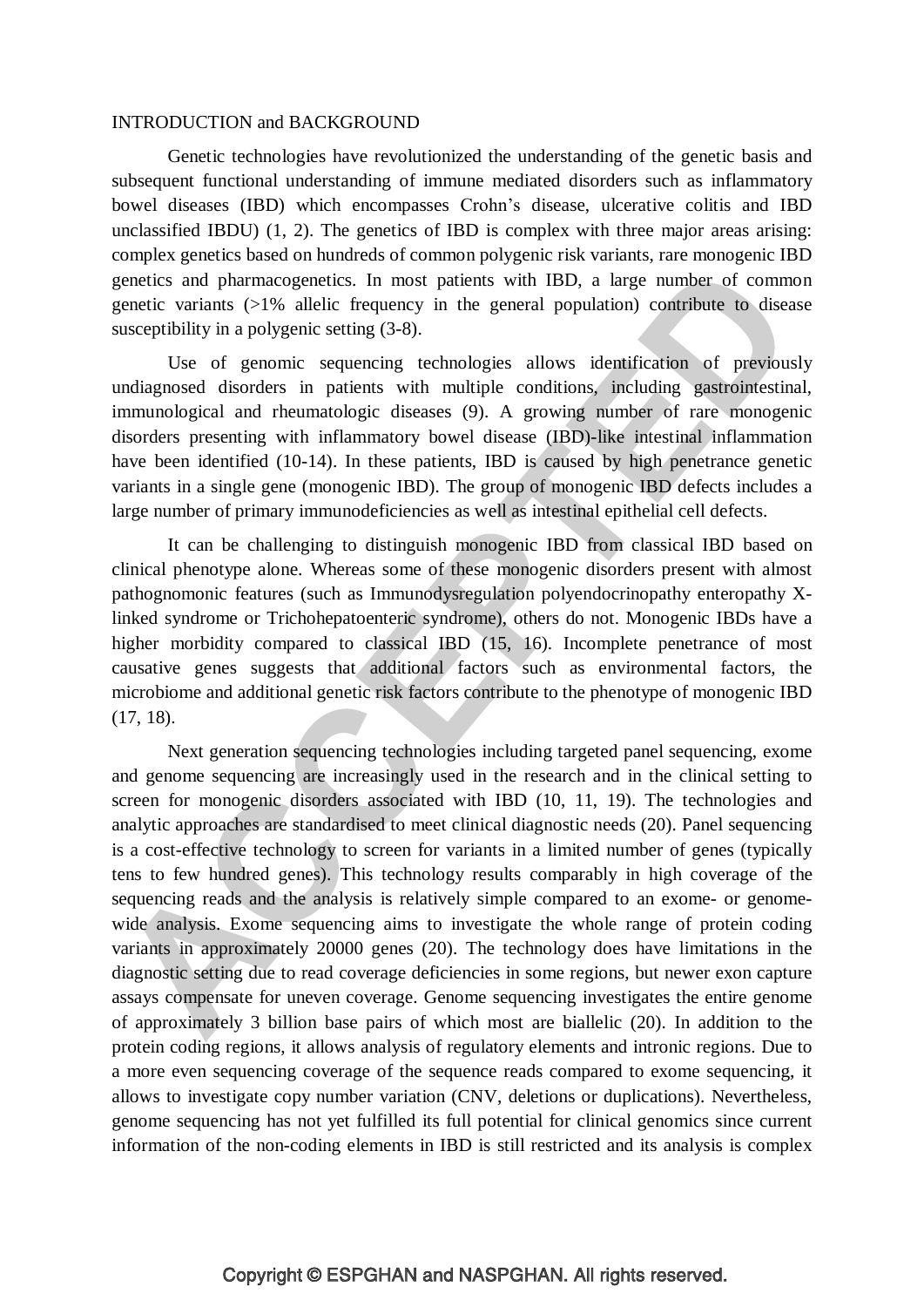#### INTRODUCTION and BACKGROUND

Genetic technologies have revolutionized the understanding of the genetic basis and subsequent functional understanding of immune mediated disorders such as inflammatory bowel diseases (IBD) which encompasses Crohn's disease, ulcerative colitis and IBD unclassified IBDU) (1, 2). The genetics of IBD is complex with three major areas arising: complex genetics based on hundreds of common polygenic risk variants, rare monogenic IBD genetics and pharmacogenetics. In most patients with IBD, a large number of common genetic variants (>1% allelic frequency in the general population) contribute to disease susceptibility in a polygenic setting (3-8).

Use of genomic sequencing technologies allows identification of previously undiagnosed disorders in patients with multiple conditions, including gastrointestinal, immunological and rheumatologic diseases (9). A growing number of rare monogenic disorders presenting with inflammatory bowel disease (IBD)-like intestinal inflammation have been identified (10-14). In these patients, IBD is caused by high penetrance genetic variants in a single gene (monogenic IBD). The group of monogenic IBD defects includes a large number of primary immunodeficiencies as well as intestinal epithelial cell defects.

It can be challenging to distinguish monogenic IBD from classical IBD based on clinical phenotype alone. Whereas some of these monogenic disorders present with almost pathognomonic features (such as Immunodysregulation polyendocrinopathy enteropathy Xlinked syndrome or Trichohepatoenteric syndrome), others do not. Monogenic IBDs have a higher morbidity compared to classical IBD (15, 16). Incomplete penetrance of most causative genes suggests that additional factors such as environmental factors, the microbiome and additional genetic risk factors contribute to the phenotype of monogenic IBD (17, 18).

Next generation sequencing technologies including targeted panel sequencing, exome and genome sequencing are increasingly used in the research and in the clinical setting to screen for monogenic disorders associated with IBD (10, 11, 19). The technologies and analytic approaches are standardised to meet clinical diagnostic needs (20). Panel sequencing is a cost-effective technology to screen for variants in a limited number of genes (typically tens to few hundred genes). This technology results comparably in high coverage of the sequencing reads and the analysis is relatively simple compared to an exome- or genomewide analysis. Exome sequencing aims to investigate the whole range of protein coding variants in approximately 20000 genes (20). The technology does have limitations in the diagnostic setting due to read coverage deficiencies in some regions, but newer exon capture assays compensate for uneven coverage. Genome sequencing investigates the entire genome of approximately 3 billion base pairs of which most are biallelic (20). In addition to the protein coding regions, it allows analysis of regulatory elements and intronic regions. Due to a more even sequencing coverage of the sequence reads compared to exome sequencing, it allows to investigate copy number variation (CNV, deletions or duplications). Nevertheless, genome sequencing has not yet fulfilled its full potential for clinical genomics since current information of the non-coding elements in IBD is still restricted and its analysis is complex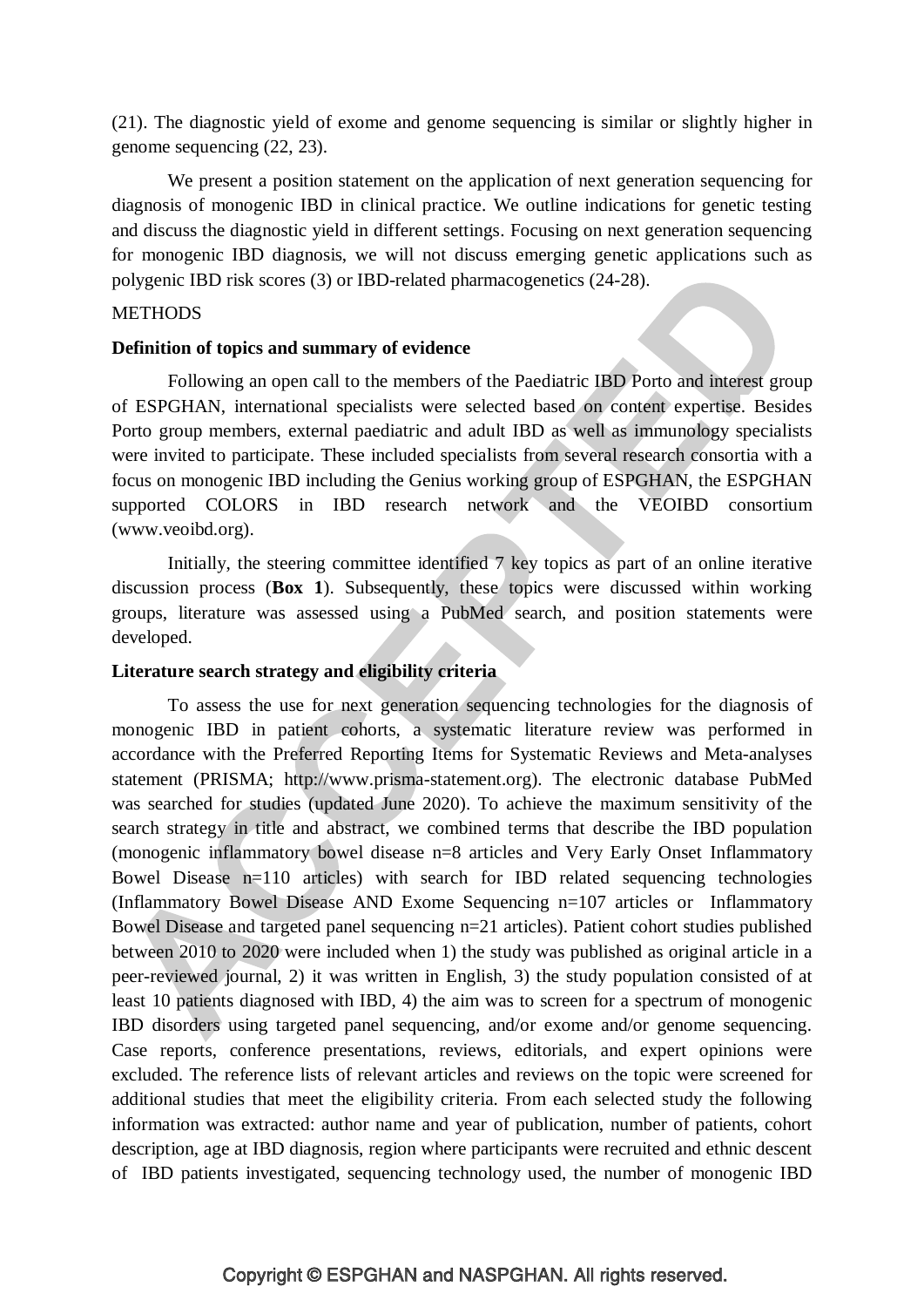(21). The diagnostic yield of exome and genome sequencing is similar or slightly higher in genome sequencing (22, 23).

We present a position statement on the application of next generation sequencing for diagnosis of monogenic IBD in clinical practice. We outline indications for genetic testing and discuss the diagnostic yield in different settings. Focusing on next generation sequencing for monogenic IBD diagnosis, we will not discuss emerging genetic applications such as polygenic IBD risk scores (3) or IBD-related pharmacogenetics (24-28).

#### **METHODS**

#### **Definition of topics and summary of evidence**

Following an open call to the members of the Paediatric IBD Porto and interest group of ESPGHAN, international specialists were selected based on content expertise. Besides Porto group members, external paediatric and adult IBD as well as immunology specialists were invited to participate. These included specialists from several research consortia with a focus on monogenic IBD including the Genius working group of ESPGHAN, the ESPGHAN supported COLORS in IBD research network and the VEOIBD consortium (www.veoibd.org).

Initially, the steering committee identified 7 key topics as part of an online iterative discussion process (**Box 1**). Subsequently, these topics were discussed within working groups, literature was assessed using a PubMed search, and position statements were developed.

#### **Literature search strategy and eligibility criteria**

To assess the use for next generation sequencing technologies for the diagnosis of monogenic IBD in patient cohorts, a systematic literature review was performed in accordance with the Preferred Reporting Items for Systematic Reviews and Meta-analyses statement (PRISMA; http://www.prisma-statement.org). The electronic database PubMed was searched for studies (updated June 2020). To achieve the maximum sensitivity of the search strategy in title and abstract, we combined terms that describe the IBD population (monogenic inflammatory bowel disease n=8 articles and Very Early Onset Inflammatory Bowel Disease n=110 articles) with search for IBD related sequencing technologies (Inflammatory Bowel Disease AND Exome Sequencing n=107 articles or Inflammatory Bowel Disease and targeted panel sequencing n=21 articles). Patient cohort studies published between 2010 to 2020 were included when 1) the study was published as original article in a peer-reviewed journal, 2) it was written in English, 3) the study population consisted of at least 10 patients diagnosed with IBD, 4) the aim was to screen for a spectrum of monogenic IBD disorders using targeted panel sequencing, and/or exome and/or genome sequencing. Case reports, conference presentations, reviews, editorials, and expert opinions were excluded. The reference lists of relevant articles and reviews on the topic were screened for additional studies that meet the eligibility criteria. From each selected study the following information was extracted: author name and year of publication, number of patients, cohort description, age at IBD diagnosis, region where participants were recruited and ethnic descent of IBD patients investigated, sequencing technology used, the number of monogenic IBD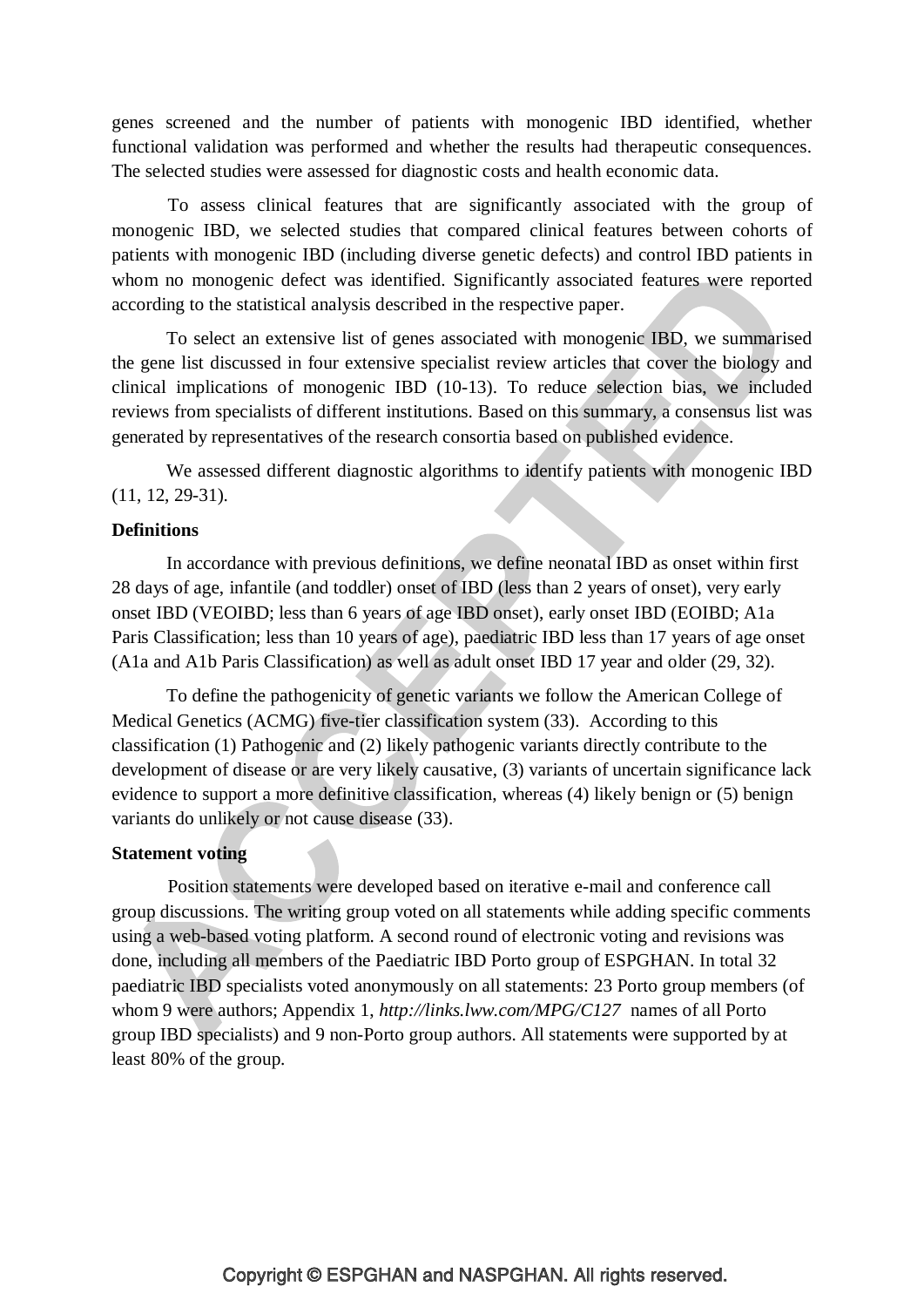genes screened and the number of patients with monogenic IBD identified, whether functional validation was performed and whether the results had therapeutic consequences. The selected studies were assessed for diagnostic costs and health economic data.

To assess clinical features that are significantly associated with the group of monogenic IBD, we selected studies that compared clinical features between cohorts of patients with monogenic IBD (including diverse genetic defects) and control IBD patients in whom no monogenic defect was identified. Significantly associated features were reported according to the statistical analysis described in the respective paper.

To select an extensive list of genes associated with monogenic IBD, we summarised the gene list discussed in four extensive specialist review articles that cover the biology and clinical implications of monogenic IBD (10-13). To reduce selection bias, we included reviews from specialists of different institutions. Based on this summary, a consensus list was generated by representatives of the research consortia based on published evidence.

We assessed different diagnostic algorithms to identify patients with monogenic IBD (11, 12, 29-31).

#### **Definitions**

In accordance with previous definitions, we define neonatal IBD as onset within first 28 days of age, infantile (and toddler) onset of IBD (less than 2 years of onset), very early onset IBD (VEOIBD; less than 6 years of age IBD onset), early onset IBD (EOIBD; A1a Paris Classification; less than 10 years of age), paediatric IBD less than 17 years of age onset (A1a and A1b Paris Classification) as well as adult onset IBD 17 year and older (29, 32).

To define the pathogenicity of genetic variants we follow the American College of Medical Genetics (ACMG) five-tier classification system (33). According to this classification (1) Pathogenic and (2) likely pathogenic variants directly contribute to the development of disease or are very likely causative, (3) variants of uncertain significance lack evidence to support a more definitive classification, whereas (4) likely benign or (5) benign variants do unlikely or not cause disease (33).

#### **Statement voting**

Position statements were developed based on iterative e-mail and conference call group discussions. The writing group voted on all statements while adding specific comments using a web-based voting platform. A second round of electronic voting and revisions was done, including all members of the Paediatric IBD Porto group of ESPGHAN. In total 32 paediatric IBD specialists voted anonymously on all statements: 23 Porto group members (of whom 9 were authors; Appendix 1, *<http://links.lww.com/MPG/C127>* names of all Porto group IBD specialists) and 9 non-Porto group authors. All statements were supported by at least 80% of the group.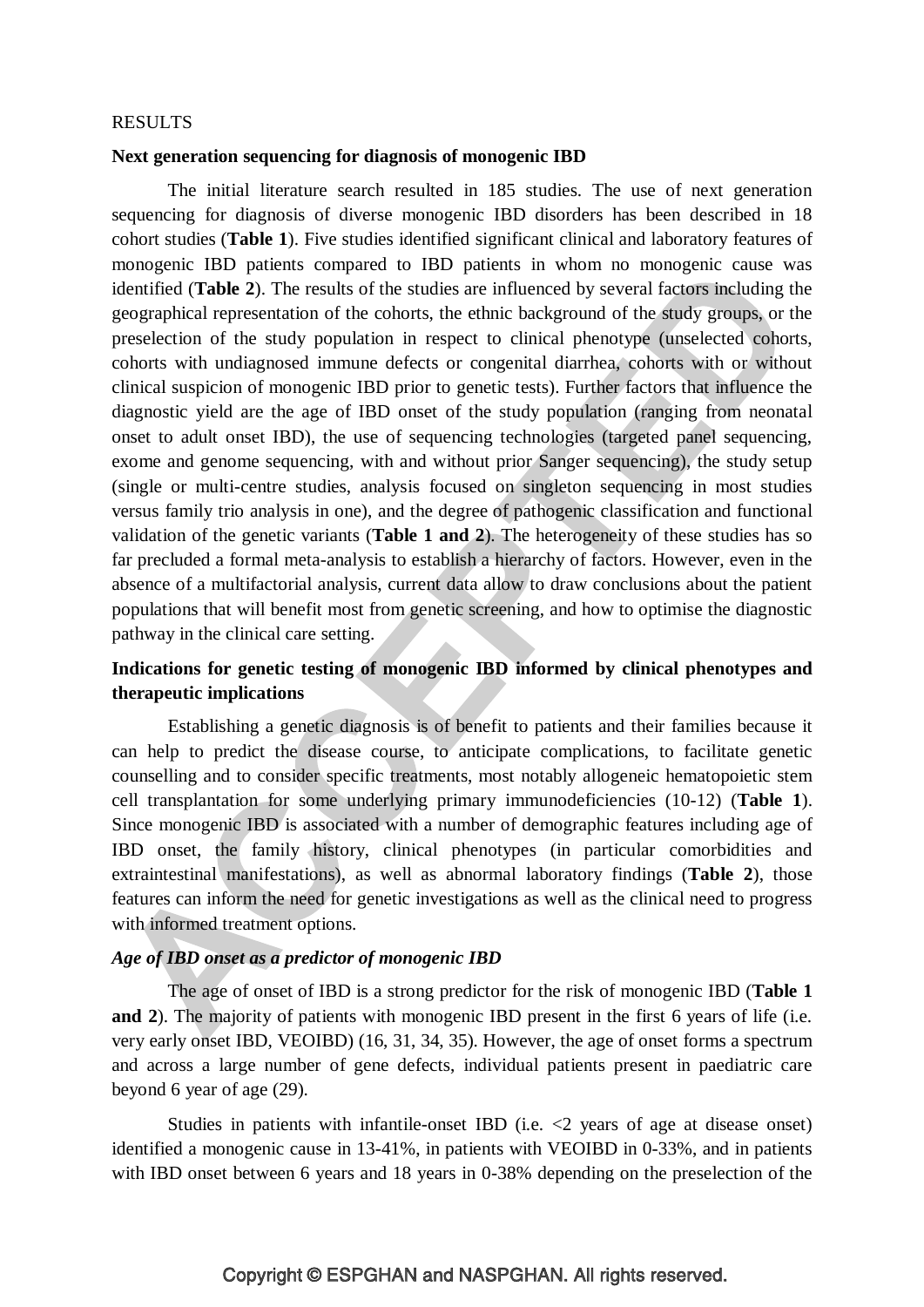#### RESULTS

#### **Next generation sequencing for diagnosis of monogenic IBD**

The initial literature search resulted in 185 studies. The use of next generation sequencing for diagnosis of diverse monogenic IBD disorders has been described in 18 cohort studies (**Table 1**). Five studies identified significant clinical and laboratory features of monogenic IBD patients compared to IBD patients in whom no monogenic cause was identified (**Table 2**). The results of the studies are influenced by several factors including the geographical representation of the cohorts, the ethnic background of the study groups, or the preselection of the study population in respect to clinical phenotype (unselected cohorts, cohorts with undiagnosed immune defects or congenital diarrhea, cohorts with or without clinical suspicion of monogenic IBD prior to genetic tests). Further factors that influence the diagnostic yield are the age of IBD onset of the study population (ranging from neonatal onset to adult onset IBD), the use of sequencing technologies (targeted panel sequencing, exome and genome sequencing, with and without prior Sanger sequencing), the study setup (single or multi-centre studies, analysis focused on singleton sequencing in most studies versus family trio analysis in one), and the degree of pathogenic classification and functional validation of the genetic variants (**Table 1 and 2**). The heterogeneity of these studies has so far precluded a formal meta-analysis to establish a hierarchy of factors. However, even in the absence of a multifactorial analysis, current data allow to draw conclusions about the patient populations that will benefit most from genetic screening, and how to optimise the diagnostic pathway in the clinical care setting.

## **Indications for genetic testing of monogenic IBD informed by clinical phenotypes and therapeutic implications**

Establishing a genetic diagnosis is of benefit to patients and their families because it can help to predict the disease course, to anticipate complications, to facilitate genetic counselling and to consider specific treatments, most notably allogeneic hematopoietic stem cell transplantation for some underlying primary immunodeficiencies (10-12) (**Table 1**). Since monogenic IBD is associated with a number of demographic features including age of IBD onset, the family history, clinical phenotypes (in particular comorbidities and extraintestinal manifestations), as well as abnormal laboratory findings (**Table 2**), those features can inform the need for genetic investigations as well as the clinical need to progress with informed treatment options.

#### *Age of IBD onset as a predictor of monogenic IBD*

The age of onset of IBD is a strong predictor for the risk of monogenic IBD (**Table 1 and** 2). The majority of patients with monogenic IBD present in the first 6 years of life (i.e. very early onset IBD, VEOIBD) (16, 31, 34, 35). However, the age of onset forms a spectrum and across a large number of gene defects, individual patients present in paediatric care beyond 6 year of age (29).

Studies in patients with infantile-onset IBD (i.e.  $\langle 2 \rangle$  years of age at disease onset) identified a monogenic cause in 13-41%, in patients with VEOIBD in 0-33%, and in patients with IBD onset between 6 years and 18 years in 0-38% depending on the preselection of the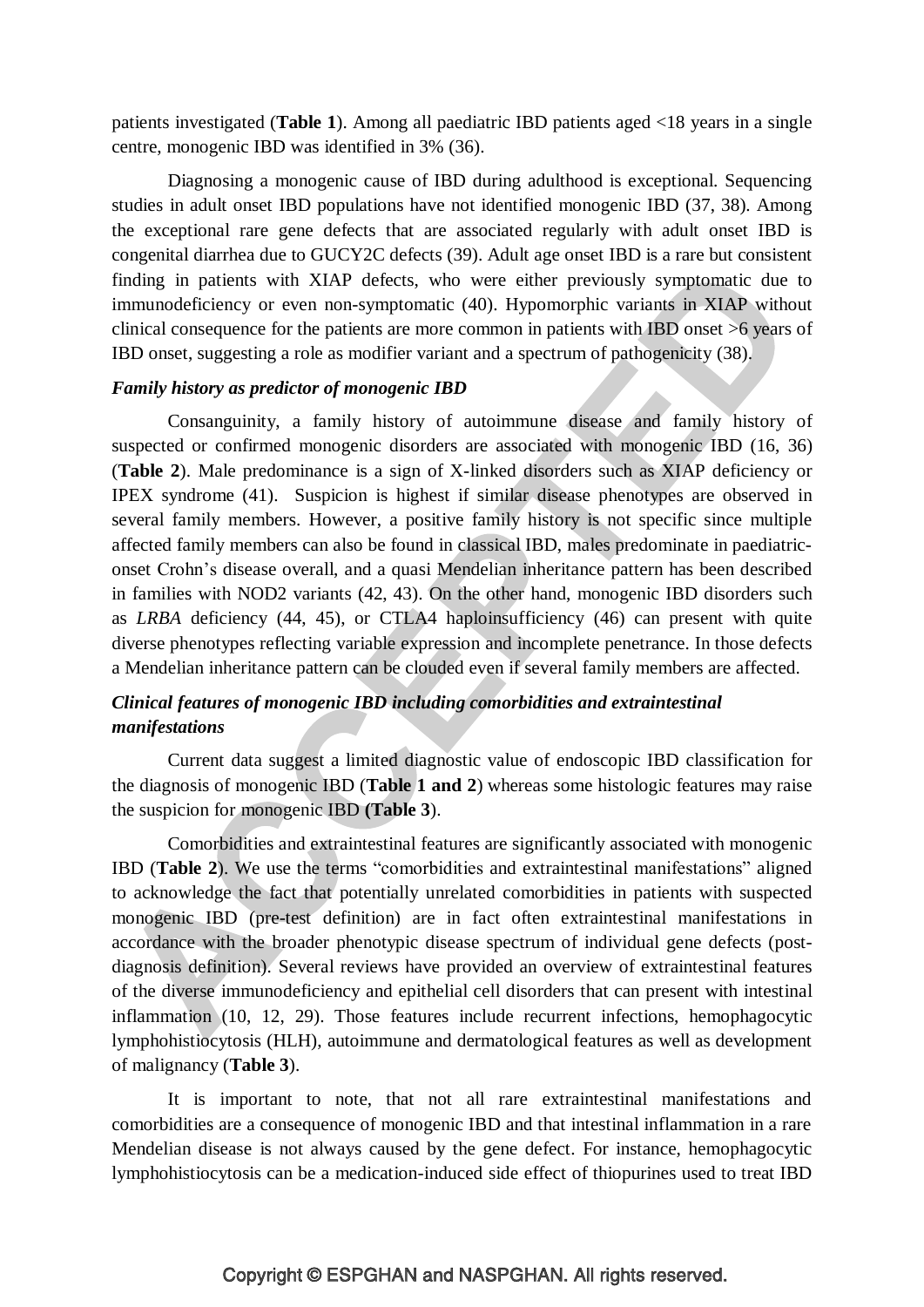patients investigated (**Table 1**). Among all paediatric IBD patients aged <18 years in a single centre, monogenic IBD was identified in 3% (36).

Diagnosing a monogenic cause of IBD during adulthood is exceptional. Sequencing studies in adult onset IBD populations have not identified monogenic IBD (37, 38). Among the exceptional rare gene defects that are associated regularly with adult onset IBD is congenital diarrhea due to GUCY2C defects (39). Adult age onset IBD is a rare but consistent finding in patients with XIAP defects, who were either previously symptomatic due to immunodeficiency or even non-symptomatic (40). Hypomorphic variants in XIAP without clinical consequence for the patients are more common in patients with IBD onset >6 years of IBD onset, suggesting a role as modifier variant and a spectrum of pathogenicity (38).

#### *Family history as predictor of monogenic IBD*

Consanguinity, a family history of autoimmune disease and family history of suspected or confirmed monogenic disorders are associated with monogenic IBD (16, 36) (**Table 2**). Male predominance is a sign of X-linked disorders such as XIAP deficiency or IPEX syndrome (41). Suspicion is highest if similar disease phenotypes are observed in several family members. However, a positive family history is not specific since multiple affected family members can also be found in classical IBD, males predominate in paediatriconset Crohn's disease overall, and a quasi Mendelian inheritance pattern has been described in families with NOD2 variants (42, 43). On the other hand, monogenic IBD disorders such as *LRBA* deficiency (44, 45), or CTLA4 haploinsufficiency (46) can present with quite diverse phenotypes reflecting variable expression and incomplete penetrance. In those defects a Mendelian inheritance pattern can be clouded even if several family members are affected.

## *Clinical features of monogenic IBD including comorbidities and extraintestinal manifestations*

Current data suggest a limited diagnostic value of endoscopic IBD classification for the diagnosis of monogenic IBD (**Table 1 and 2**) whereas some histologic features may raise the suspicion for monogenic IBD **(Table 3**).

Comorbidities and extraintestinal features are significantly associated with monogenic IBD (**Table 2**). We use the terms "comorbidities and extraintestinal manifestations" aligned to acknowledge the fact that potentially unrelated comorbidities in patients with suspected monogenic IBD (pre-test definition) are in fact often extraintestinal manifestations in accordance with the broader phenotypic disease spectrum of individual gene defects (postdiagnosis definition). Several reviews have provided an overview of extraintestinal features of the diverse immunodeficiency and epithelial cell disorders that can present with intestinal inflammation (10, 12, 29). Those features include recurrent infections, hemophagocytic lymphohistiocytosis (HLH), autoimmune and dermatological features as well as development of malignancy (**Table 3**).

It is important to note, that not all rare extraintestinal manifestations and comorbidities are a consequence of monogenic IBD and that intestinal inflammation in a rare Mendelian disease is not always caused by the gene defect. For instance, hemophagocytic lymphohistiocytosis can be a medication-induced side effect of thiopurines used to treat IBD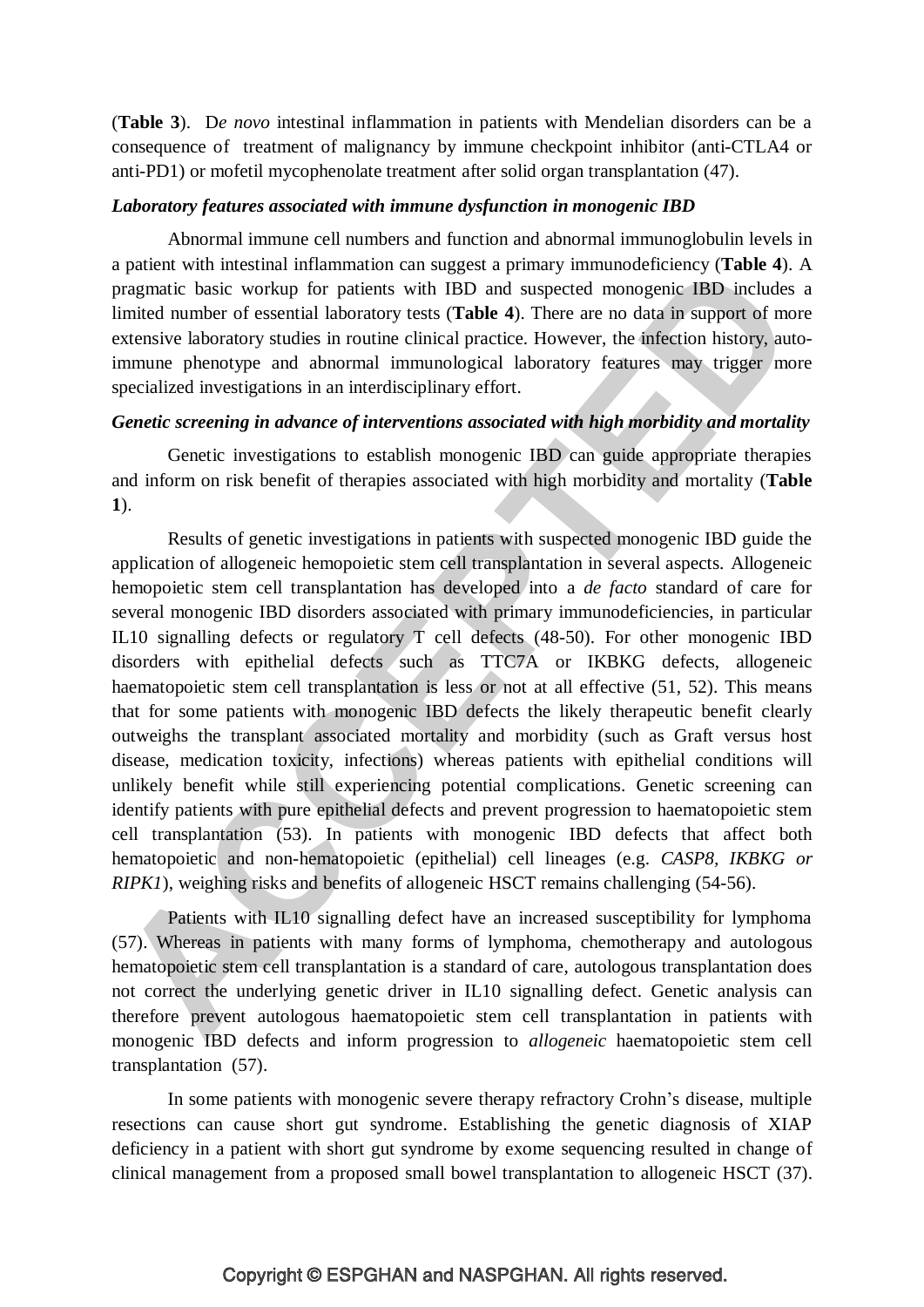(**Table 3**). D*e novo* intestinal inflammation in patients with Mendelian disorders can be a consequence of treatment of malignancy by immune checkpoint inhibitor (anti-CTLA4 or anti-PD1) or mofetil mycophenolate treatment after solid organ transplantation (47).

#### *Laboratory features associated with immune dysfunction in monogenic IBD*

Abnormal immune cell numbers and function and abnormal immunoglobulin levels in a patient with intestinal inflammation can suggest a primary immunodeficiency (**Table 4**). A pragmatic basic workup for patients with IBD and suspected monogenic IBD includes a limited number of essential laboratory tests (**Table 4**). There are no data in support of more extensive laboratory studies in routine clinical practice. However, the infection history, autoimmune phenotype and abnormal immunological laboratory features may trigger more specialized investigations in an interdisciplinary effort.

#### *Genetic screening in advance of interventions associated with high morbidity and mortality*

Genetic investigations to establish monogenic IBD can guide appropriate therapies and inform on risk benefit of therapies associated with high morbidity and mortality (**Table 1**).

Results of genetic investigations in patients with suspected monogenic IBD guide the application of allogeneic hemopoietic stem cell transplantation in several aspects. Allogeneic hemopoietic stem cell transplantation has developed into a *de facto* standard of care for several monogenic IBD disorders associated with primary immunodeficiencies, in particular IL10 signalling defects or regulatory T cell defects (48-50). For other monogenic IBD disorders with epithelial defects such as TTC7A or IKBKG defects, allogeneic haematopoietic stem cell transplantation is less or not at all effective (51, 52). This means that for some patients with monogenic IBD defects the likely therapeutic benefit clearly outweighs the transplant associated mortality and morbidity (such as Graft versus host disease, medication toxicity, infections) whereas patients with epithelial conditions will unlikely benefit while still experiencing potential complications. Genetic screening can identify patients with pure epithelial defects and prevent progression to haematopoietic stem cell transplantation (53). In patients with monogenic IBD defects that affect both hematopoietic and non-hematopoietic (epithelial) cell lineages (e.g. *CASP8, IKBKG or RIPK1*), weighing risks and benefits of allogeneic HSCT remains challenging (54-56).

Patients with IL10 signalling defect have an increased susceptibility for lymphoma (57). Whereas in patients with many forms of lymphoma, chemotherapy and autologous hematopoietic stem cell transplantation is a standard of care, autologous transplantation does not correct the underlying genetic driver in IL10 signalling defect. Genetic analysis can therefore prevent autologous haematopoietic stem cell transplantation in patients with monogenic IBD defects and inform progression to *allogeneic* haematopoietic stem cell transplantation (57).

In some patients with monogenic severe therapy refractory Crohn's disease, multiple resections can cause short gut syndrome. Establishing the genetic diagnosis of XIAP deficiency in a patient with short gut syndrome by exome sequencing resulted in change of clinical management from a proposed small bowel transplantation to allogeneic HSCT (37).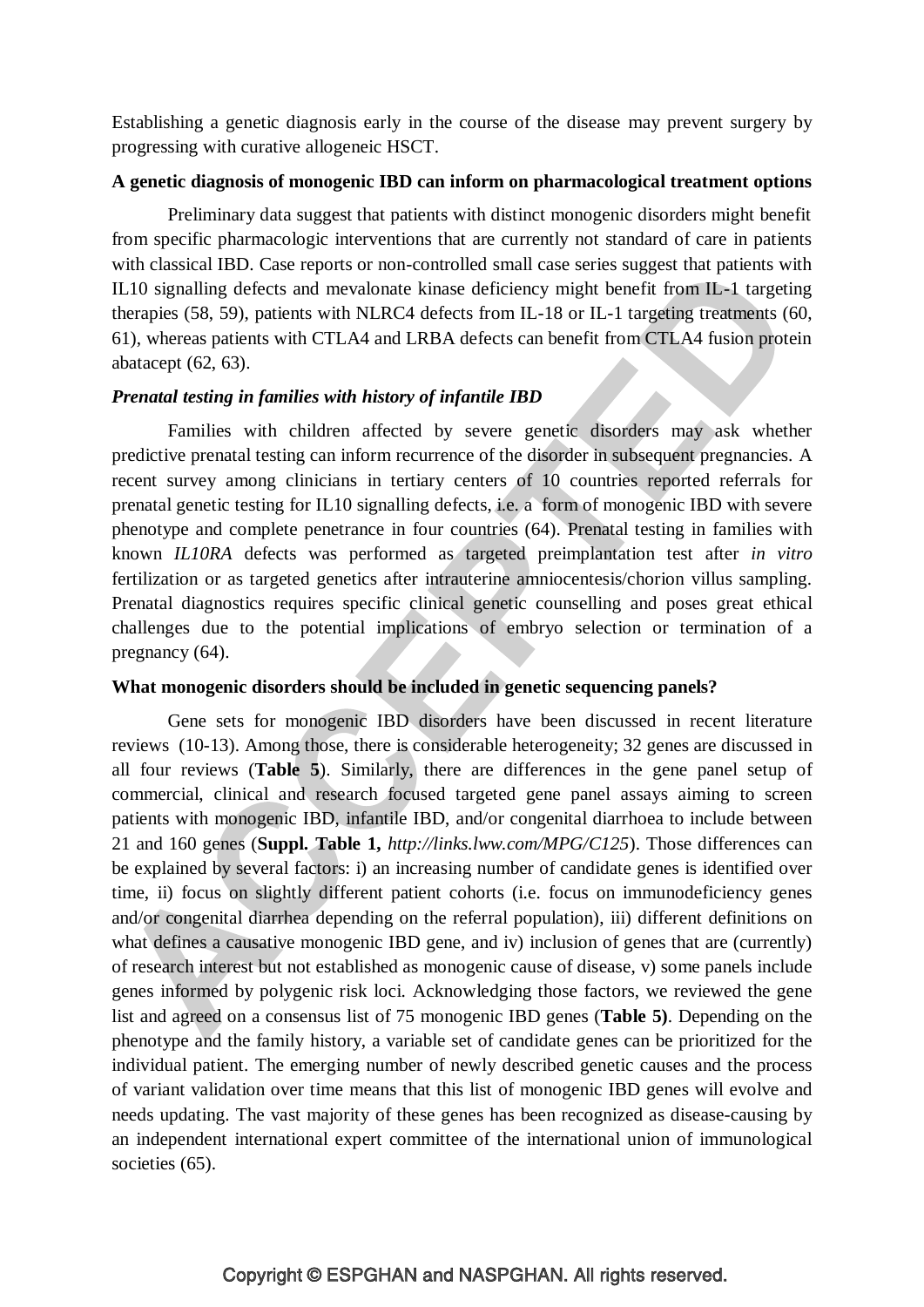Establishing a genetic diagnosis early in the course of the disease may prevent surgery by progressing with curative allogeneic HSCT.

## **A genetic diagnosis of monogenic IBD can inform on pharmacological treatment options**

Preliminary data suggest that patients with distinct monogenic disorders might benefit from specific pharmacologic interventions that are currently not standard of care in patients with classical IBD. Case reports or non-controlled small case series suggest that patients with IL10 signalling defects and mevalonate kinase deficiency might benefit from IL-1 targeting therapies (58, 59), patients with NLRC4 defects from IL-18 or IL-1 targeting treatments (60, 61), whereas patients with CTLA4 and LRBA defects can benefit from CTLA4 fusion protein abatacept (62, 63).

#### *Prenatal testing in families with history of infantile IBD*

Families with children affected by severe genetic disorders may ask whether predictive prenatal testing can inform recurrence of the disorder in subsequent pregnancies. A recent survey among clinicians in tertiary centers of 10 countries reported referrals for prenatal genetic testing for IL10 signalling defects, i.e. a form of monogenic IBD with severe phenotype and complete penetrance in four countries (64). Prenatal testing in families with known *IL10RA* defects was performed as targeted preimplantation test after *in vitro* fertilization or as targeted genetics after intrauterine amniocentesis/chorion villus sampling. Prenatal diagnostics requires specific clinical genetic counselling and poses great ethical challenges due to the potential implications of embryo selection or termination of a pregnancy (64).

#### **What monogenic disorders should be included in genetic sequencing panels?**

Gene sets for monogenic IBD disorders have been discussed in recent literature reviews (10-13). Among those, there is considerable heterogeneity; 32 genes are discussed in all four reviews (**Table 5**). Similarly, there are differences in the gene panel setup of commercial, clinical and research focused targeted gene panel assays aiming to screen patients with monogenic IBD, infantile IBD, and/or congenital diarrhoea to include between 21 and 160 genes (**Suppl. Table 1,** *<http://links.lww.com/MPG/C125>*). Those differences can be explained by several factors: i) an increasing number of candidate genes is identified over time, ii) focus on slightly different patient cohorts (i.e. focus on immunodeficiency genes and/or congenital diarrhea depending on the referral population), iii) different definitions on what defines a causative monogenic IBD gene, and iv) inclusion of genes that are (currently) of research interest but not established as monogenic cause of disease, v) some panels include genes informed by polygenic risk loci. Acknowledging those factors, we reviewed the gene list and agreed on a consensus list of 75 monogenic IBD genes (**Table 5)**. Depending on the phenotype and the family history, a variable set of candidate genes can be prioritized for the individual patient. The emerging number of newly described genetic causes and the process of variant validation over time means that this list of monogenic IBD genes will evolve and needs updating. The vast majority of these genes has been recognized as disease-causing by an independent international expert committee of the international union of immunological societies (65).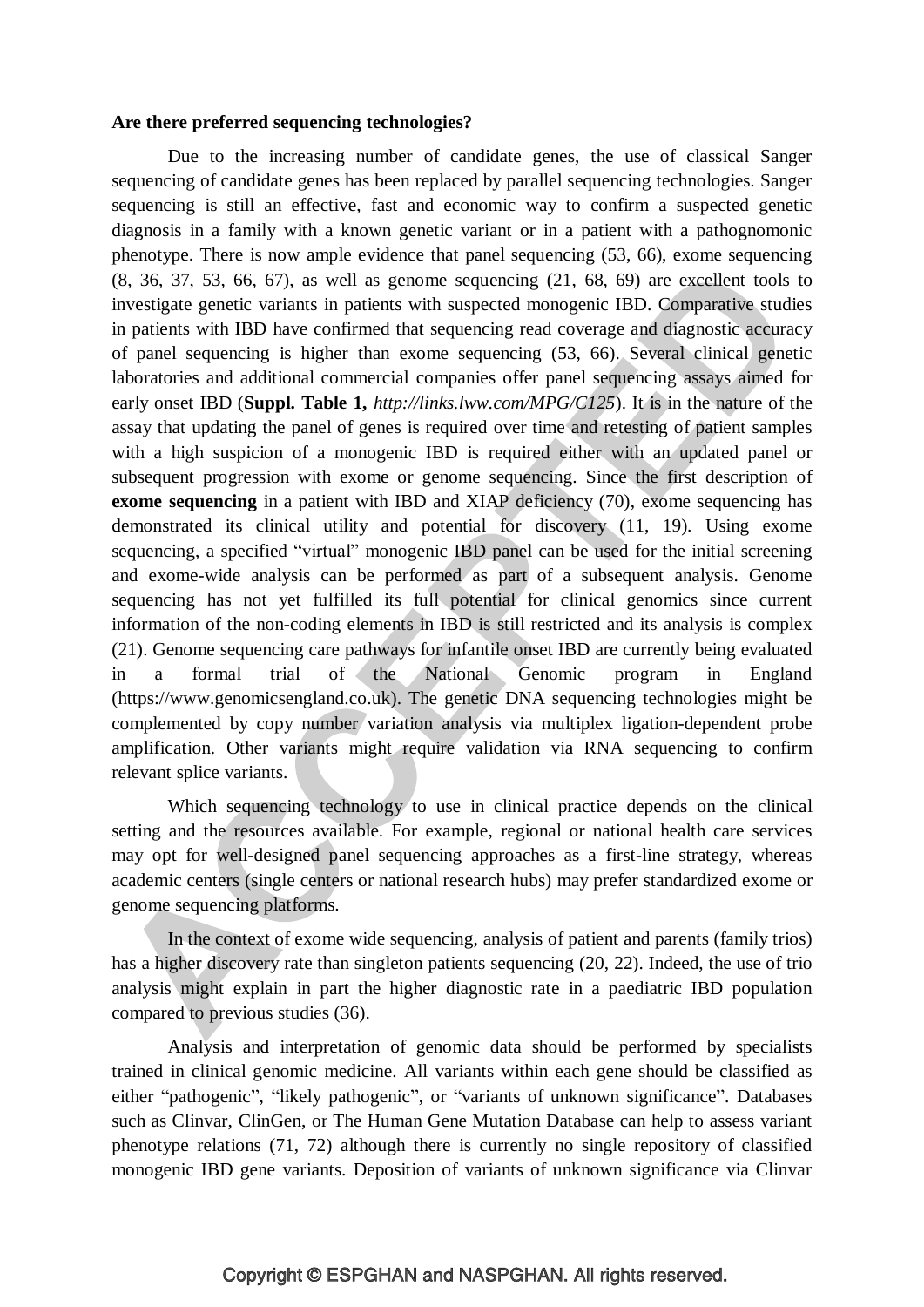#### **Are there preferred sequencing technologies?**

Due to the increasing number of candidate genes, the use of classical Sanger sequencing of candidate genes has been replaced by parallel sequencing technologies. Sanger sequencing is still an effective, fast and economic way to confirm a suspected genetic diagnosis in a family with a known genetic variant or in a patient with a pathognomonic phenotype. There is now ample evidence that panel sequencing (53, 66), exome sequencing (8, 36, 37, 53, 66, 67), as well as genome sequencing (21, 68, 69) are excellent tools to investigate genetic variants in patients with suspected monogenic IBD. Comparative studies in patients with IBD have confirmed that sequencing read coverage and diagnostic accuracy of panel sequencing is higher than exome sequencing (53, 66). Several clinical genetic laboratories and additional commercial companies offer panel sequencing assays aimed for early onset IBD (**Suppl. Table 1,** *<http://links.lww.com/MPG/C125>*). It is in the nature of the assay that updating the panel of genes is required over time and retesting of patient samples with a high suspicion of a monogenic IBD is required either with an updated panel or subsequent progression with exome or genome sequencing. Since the first description of **exome sequencing** in a patient with IBD and XIAP deficiency (70), exome sequencing has demonstrated its clinical utility and potential for discovery (11, 19). Using exome sequencing, a specified "virtual" monogenic IBD panel can be used for the initial screening and exome-wide analysis can be performed as part of a subsequent analysis. Genome sequencing has not yet fulfilled its full potential for clinical genomics since current information of the non-coding elements in IBD is still restricted and its analysis is complex (21). Genome sequencing care pathways for infantile onset IBD are currently being evaluated in a formal trial of the National Genomic program in England [\(https://www.genomicsengland.co.uk\)](https://www.genomicsengland.co.uk/). The genetic DNA sequencing technologies might be complemented by copy number variation analysis via multiplex ligation-dependent probe amplification. Other variants might require validation via RNA sequencing to confirm relevant splice variants.

Which sequencing technology to use in clinical practice depends on the clinical setting and the resources available. For example, regional or national health care services may opt for well-designed panel sequencing approaches as a first-line strategy, whereas academic centers (single centers or national research hubs) may prefer standardized exome or genome sequencing platforms.

In the context of exome wide sequencing, analysis of patient and parents (family trios) has a higher discovery rate than singleton patients sequencing (20, 22). Indeed, the use of trio analysis might explain in part the higher diagnostic rate in a paediatric IBD population compared to previous studies (36).

Analysis and interpretation of genomic data should be performed by specialists trained in clinical genomic medicine. All variants within each gene should be classified as either "pathogenic", "likely pathogenic", or "variants of unknown significance". Databases such as Clinvar, ClinGen, or The Human Gene Mutation Database can help to assess variant phenotype relations (71, 72) although there is currently no single repository of classified monogenic IBD gene variants. Deposition of variants of unknown significance via Clinvar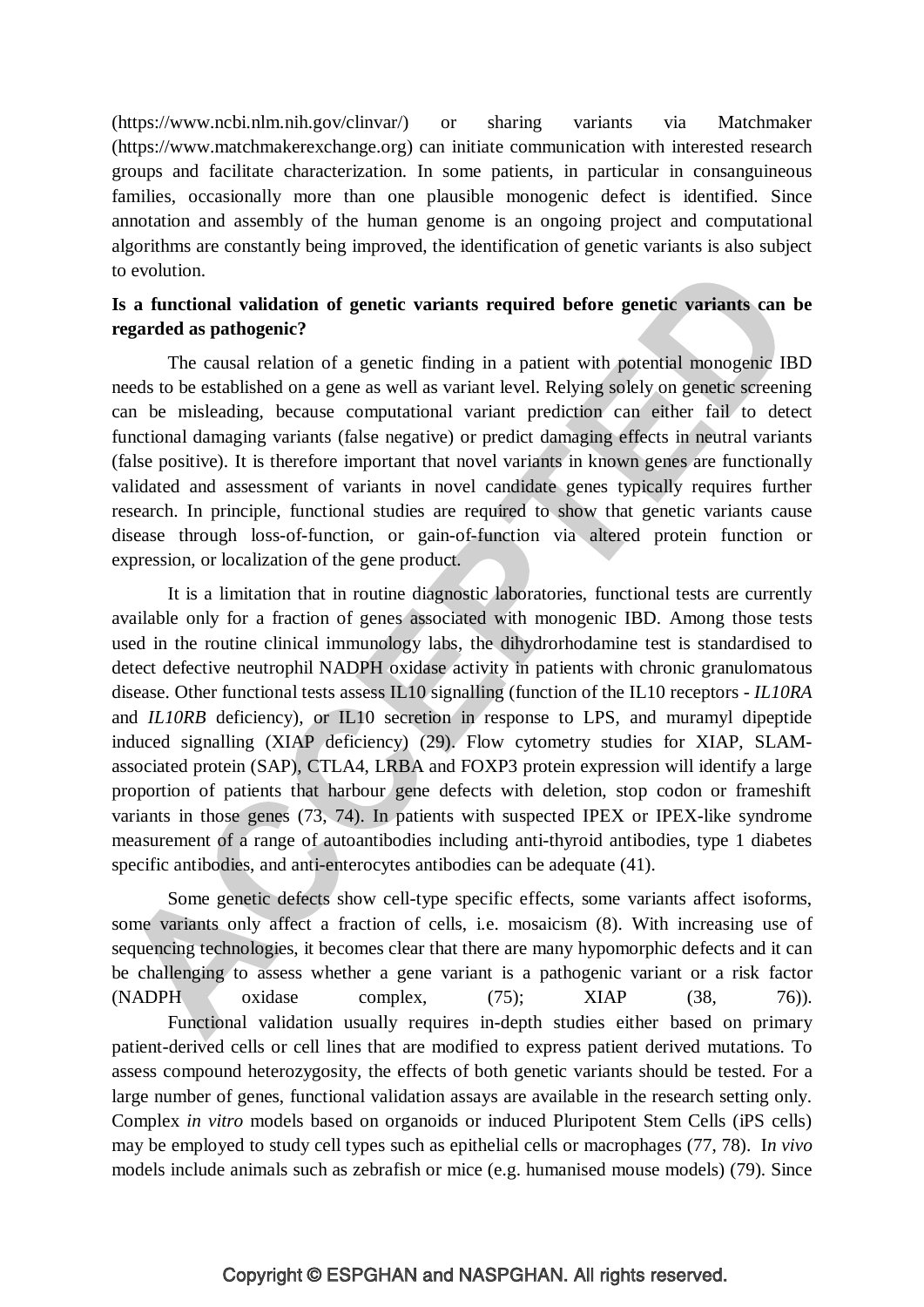(https://www.ncbi.nlm.nih.gov/clinvar/) or sharing variants via Matchmaker [\(https://www.matchmakerexchange.org\)](https://www.matchmakerexchange.org/) can initiate communication with interested research groups and facilitate characterization. In some patients, in particular in consanguineous families, occasionally more than one plausible monogenic defect is identified. Since annotation and assembly of the human genome is an ongoing project and computational algorithms are constantly being improved, the identification of genetic variants is also subject to evolution.

## **Is a functional validation of genetic variants required before genetic variants can be regarded as pathogenic?**

The causal relation of a genetic finding in a patient with potential monogenic IBD needs to be established on a gene as well as variant level. Relying solely on genetic screening can be misleading, because computational variant prediction can either fail to detect functional damaging variants (false negative) or predict damaging effects in neutral variants (false positive). It is therefore important that novel variants in known genes are functionally validated and assessment of variants in novel candidate genes typically requires further research. In principle, functional studies are required to show that genetic variants cause disease through loss-of-function, or gain-of-function via altered protein function or expression, or localization of the gene product.

It is a limitation that in routine diagnostic laboratories, functional tests are currently available only for a fraction of genes associated with monogenic IBD. Among those tests used in the routine clinical immunology labs, the dihydrorhodamine test is standardised to detect defective neutrophil NADPH oxidase activity in patients with chronic granulomatous disease. Other functional tests assess IL10 signalling (function of the IL10 receptors - *IL10RA* and *IL10RB* deficiency), or IL10 secretion in response to LPS, and muramyl dipeptide induced signalling (XIAP deficiency) (29). Flow cytometry studies for XIAP, SLAMassociated protein (SAP), CTLA4, LRBA and FOXP3 protein expression will identify a large proportion of patients that harbour gene defects with deletion, stop codon or frameshift variants in those genes (73, 74). In patients with suspected IPEX or IPEX-like syndrome measurement of a range of autoantibodies including anti-thyroid antibodies, type 1 diabetes specific antibodies, and anti-enterocytes antibodies can be adequate (41).

Some genetic defects show cell-type specific effects, some variants affect isoforms, some variants only affect a fraction of cells, i.e. mosaicism (8). With increasing use of sequencing technologies, it becomes clear that there are many hypomorphic defects and it can be challenging to assess whether a gene variant is a pathogenic variant or a risk factor (NADPH oxidase complex, (75); XIAP (38, 76)). Functional validation usually requires in-depth studies either based on primary patient-derived cells or cell lines that are modified to express patient derived mutations. To assess compound heterozygosity, the effects of both genetic variants should be tested. For a large number of genes, functional validation assays are available in the research setting only. Complex *in vitro* models based on organoids or induced Pluripotent Stem Cells (iPS cells) may be employed to study cell types such as epithelial cells or macrophages (77, 78). I*n vivo* models include animals such as zebrafish or mice (e.g. humanised mouse models) (79). Since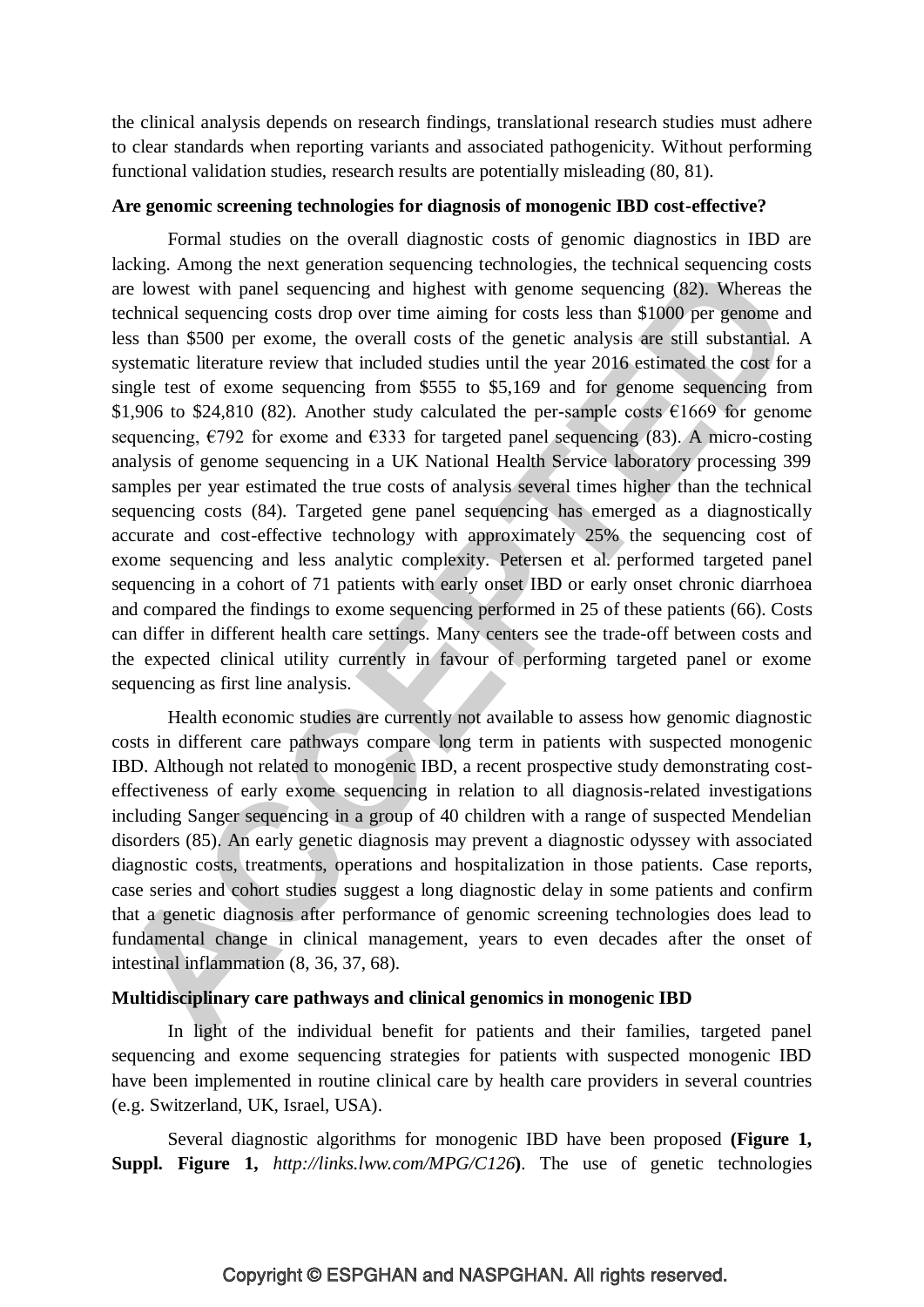the clinical analysis depends on research findings, translational research studies must adhere to clear standards when reporting variants and associated pathogenicity. Without performing functional validation studies, research results are potentially misleading (80, 81).

#### **Are genomic screening technologies for diagnosis of monogenic IBD cost-effective?**

Formal studies on the overall diagnostic costs of genomic diagnostics in IBD are lacking. Among the next generation sequencing technologies, the technical sequencing costs are lowest with panel sequencing and highest with genome sequencing (82). Whereas the technical sequencing costs drop over time aiming for costs less than \$1000 per genome and less than \$500 per exome, the overall costs of the genetic analysis are still substantial. A systematic literature review that included studies until the year 2016 estimated the cost for a single test of exome sequencing from \$555 to \$5,169 and for genome sequencing from \$1,906 to \$24,810 (82). Another study calculated the per-sample costs  $\epsilon$ 1669 for genome sequencing,  $\epsilon$ 792 for exome and  $\epsilon$ 333 for targeted panel sequencing (83). A micro-costing analysis of genome sequencing in a UK National Health Service laboratory processing 399 samples per year estimated the true costs of analysis several times higher than the technical sequencing costs (84). Targeted gene panel sequencing has emerged as a diagnostically accurate and cost-effective technology with approximately 25% the sequencing cost of exome sequencing and less analytic complexity. Petersen et al. performed targeted panel sequencing in a cohort of 71 patients with early onset IBD or early onset chronic diarrhoea and compared the findings to exome sequencing performed in 25 of these patients (66). Costs can differ in different health care settings. Many centers see the trade-off between costs and the expected clinical utility currently in favour of performing targeted panel or exome sequencing as first line analysis.

Health economic studies are currently not available to assess how genomic diagnostic costs in different care pathways compare long term in patients with suspected monogenic IBD. Although not related to monogenic IBD, a recent prospective study demonstrating costeffectiveness of early exome sequencing in relation to all diagnosis-related investigations including Sanger sequencing in a group of 40 children with a range of suspected Mendelian disorders (85). An early genetic diagnosis may prevent a diagnostic odyssey with associated diagnostic costs, treatments, operations and hospitalization in those patients. Case reports, case series and cohort studies suggest a long diagnostic delay in some patients and confirm that a genetic diagnosis after performance of genomic screening technologies does lead to fundamental change in clinical management, years to even decades after the onset of intestinal inflammation (8, 36, 37, 68).

#### **Multidisciplinary care pathways and clinical genomics in monogenic IBD**

In light of the individual benefit for patients and their families, targeted panel sequencing and exome sequencing strategies for patients with suspected monogenic IBD have been implemented in routine clinical care by health care providers in several countries (e.g. Switzerland, UK, Israel, USA).

Several diagnostic algorithms for monogenic IBD have been proposed **(Figure 1, Suppl. Figure 1,** *<http://links.lww.com/MPG/C126>***)**. The use of genetic technologies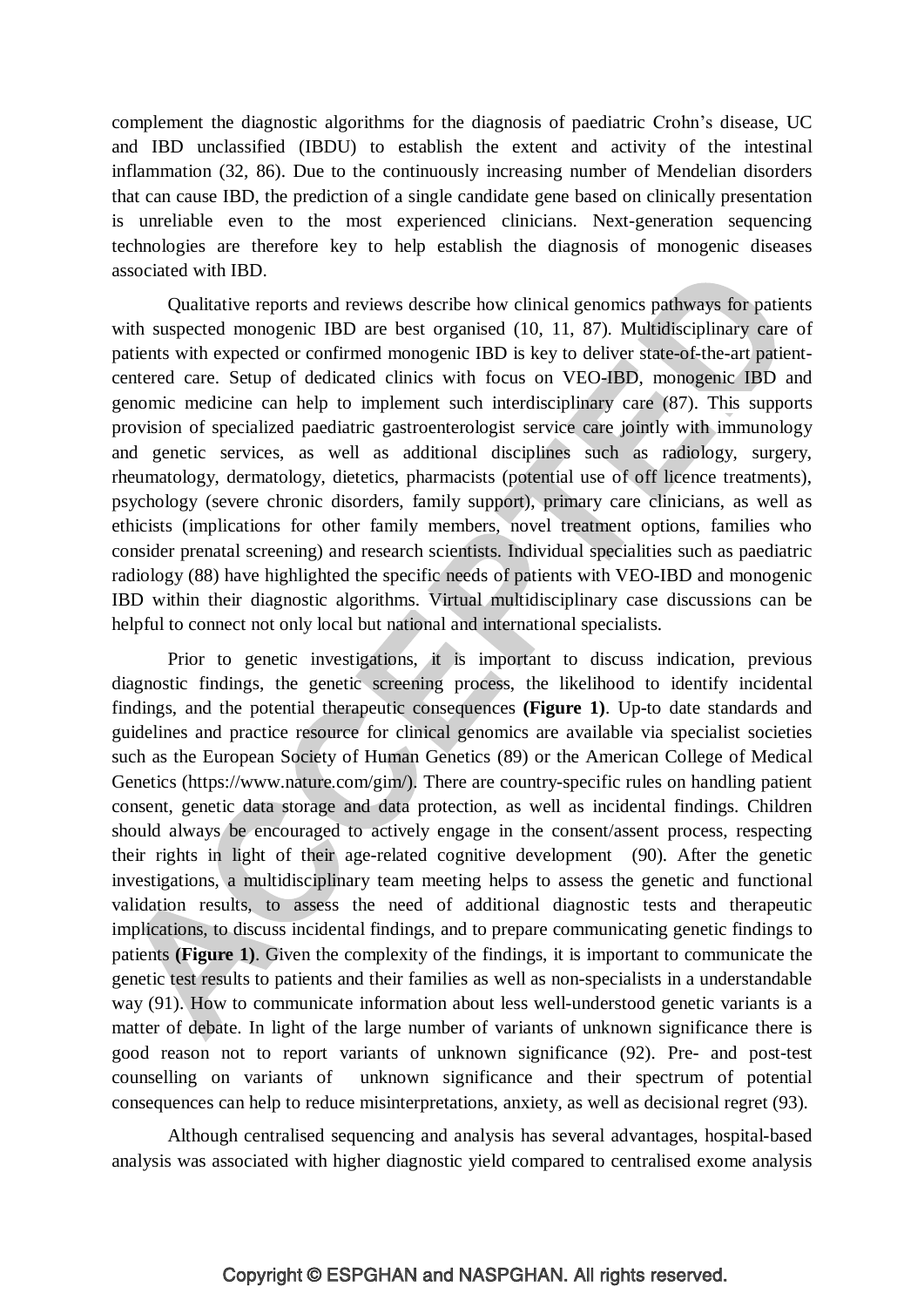complement the diagnostic algorithms for the diagnosis of paediatric Crohn's disease, UC and IBD unclassified (IBDU) to establish the extent and activity of the intestinal inflammation (32, 86). Due to the continuously increasing number of Mendelian disorders that can cause IBD, the prediction of a single candidate gene based on clinically presentation is unreliable even to the most experienced clinicians. Next-generation sequencing technologies are therefore key to help establish the diagnosis of monogenic diseases associated with IBD.

Qualitative reports and reviews describe how clinical genomics pathways for patients with suspected monogenic IBD are best organised (10, 11, 87). Multidisciplinary care of patients with expected or confirmed monogenic IBD is key to deliver state-of-the-art patientcentered care. Setup of dedicated clinics with focus on VEO-IBD, monogenic IBD and genomic medicine can help to implement such interdisciplinary care (87). This supports provision of specialized paediatric gastroenterologist service care jointly with immunology and genetic services, as well as additional disciplines such as radiology, surgery, rheumatology, dermatology, dietetics, pharmacists (potential use of off licence treatments), psychology (severe chronic disorders, family support), primary care clinicians, as well as ethicists (implications for other family members, novel treatment options, families who consider prenatal screening) and research scientists. Individual specialities such as paediatric radiology (88) have highlighted the specific needs of patients with VEO-IBD and monogenic IBD within their diagnostic algorithms. Virtual multidisciplinary case discussions can be helpful to connect not only local but national and international specialists.

Prior to genetic investigations, it is important to discuss indication, previous diagnostic findings, the genetic screening process, the likelihood to identify incidental findings, and the potential therapeutic consequences **(Figure 1)**. Up-to date standards and guidelines and practice resource for clinical genomics are available via specialist societies such as the European Society of Human Genetics (89) or the American College of Medical Genetics (https://www.nature.com/gim/). There are country-specific rules on handling patient consent, genetic data storage and data protection, as well as incidental findings. Children should always be encouraged to actively engage in the consent/assent process, respecting their rights in light of their age-related cognitive development (90). After the genetic investigations, a multidisciplinary team meeting helps to assess the genetic and functional validation results, to assess the need of additional diagnostic tests and therapeutic implications, to discuss incidental findings, and to prepare communicating genetic findings to patients **(Figure 1)**. Given the complexity of the findings, it is important to communicate the genetic test results to patients and their families as well as non-specialists in a understandable way (91). How to communicate information about less well-understood genetic variants is a matter of debate. In light of the large number of variants of unknown significance there is good reason not to report variants of unknown significance (92). Pre- and post-test counselling on variants of unknown significance and their spectrum of potential consequences can help to reduce misinterpretations, anxiety, as well as decisional regret (93).

Although centralised sequencing and analysis has several advantages, hospital-based analysis was associated with higher diagnostic yield compared to centralised exome analysis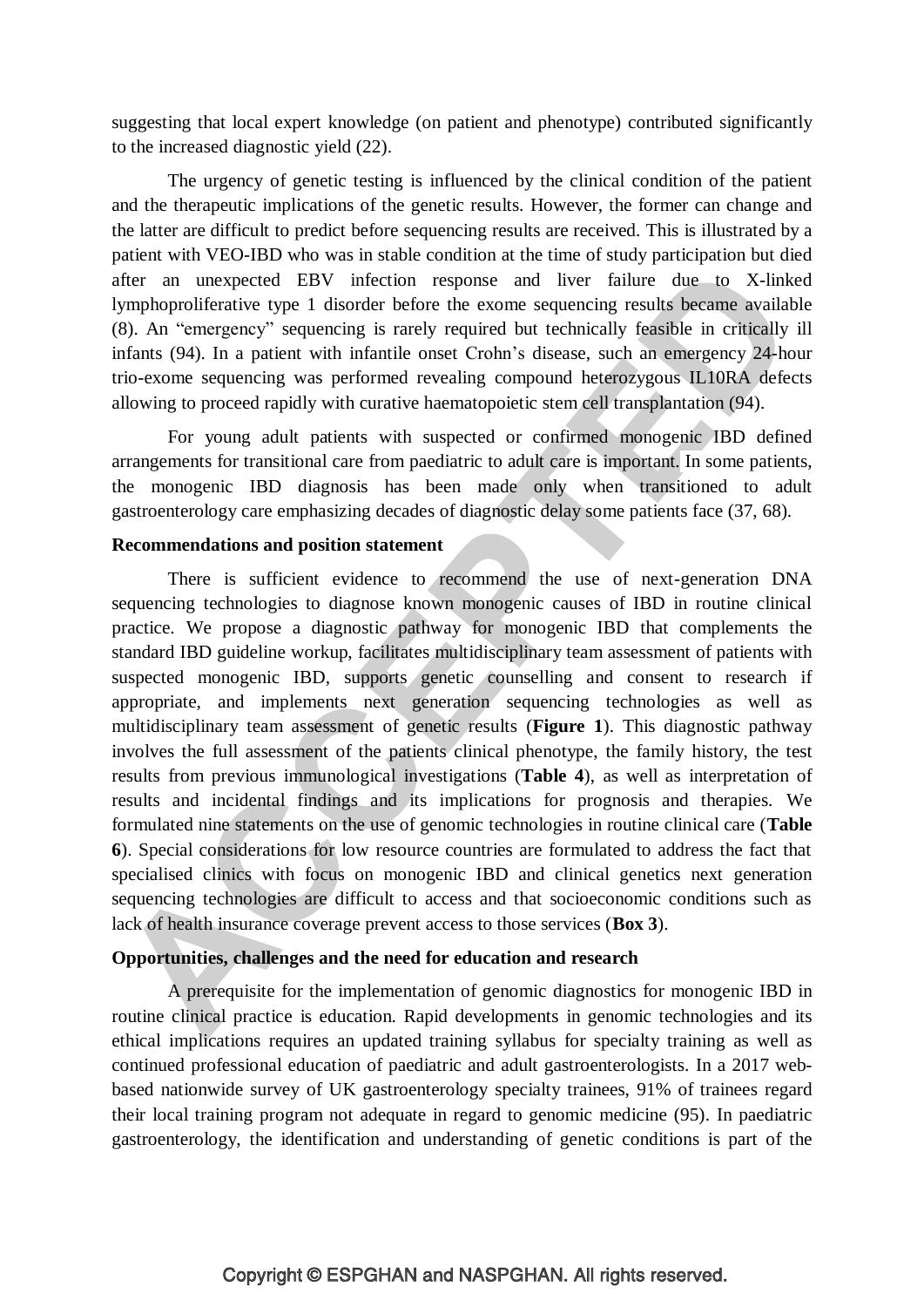suggesting that local expert knowledge (on patient and phenotype) contributed significantly to the increased diagnostic yield (22).

The urgency of genetic testing is influenced by the clinical condition of the patient and the therapeutic implications of the genetic results. However, the former can change and the latter are difficult to predict before sequencing results are received. This is illustrated by a patient with VEO-IBD who was in stable condition at the time of study participation but died after an unexpected EBV infection response and liver failure due to X-linked lymphoproliferative type 1 disorder before the exome sequencing results became available (8). An "emergency" sequencing is rarely required but technically feasible in critically ill infants (94). In a patient with infantile onset Crohn's disease, such an emergency 24-hour trio-exome sequencing was performed revealing compound heterozygous IL10RA defects allowing to proceed rapidly with curative haematopoietic stem cell transplantation (94).

For young adult patients with suspected or confirmed monogenic IBD defined arrangements for transitional care from paediatric to adult care is important. In some patients, the monogenic IBD diagnosis has been made only when transitioned to adult gastroenterology care emphasizing decades of diagnostic delay some patients face (37, 68).

#### **Recommendations and position statement**

There is sufficient evidence to recommend the use of next-generation DNA sequencing technologies to diagnose known monogenic causes of IBD in routine clinical practice. We propose a diagnostic pathway for monogenic IBD that complements the standard IBD guideline workup, facilitates multidisciplinary team assessment of patients with suspected monogenic IBD, supports genetic counselling and consent to research if appropriate, and implements next generation sequencing technologies as well as multidisciplinary team assessment of genetic results (**Figure 1**). This diagnostic pathway involves the full assessment of the patients clinical phenotype, the family history, the test results from previous immunological investigations (**Table 4**), as well as interpretation of results and incidental findings and its implications for prognosis and therapies. We formulated nine statements on the use of genomic technologies in routine clinical care (**Table 6**). Special considerations for low resource countries are formulated to address the fact that specialised clinics with focus on monogenic IBD and clinical genetics next generation sequencing technologies are difficult to access and that socioeconomic conditions such as lack of health insurance coverage prevent access to those services (**Box 3**).

#### **Opportunities, challenges and the need for education and research**

A prerequisite for the implementation of genomic diagnostics for monogenic IBD in routine clinical practice is education. Rapid developments in genomic technologies and its ethical implications requires an updated training syllabus for specialty training as well as continued professional education of paediatric and adult gastroenterologists. In a 2017 webbased nationwide survey of UK gastroenterology specialty trainees, 91% of trainees regard their local training program not adequate in regard to genomic medicine (95). In paediatric gastroenterology, the identification and understanding of genetic conditions is part of the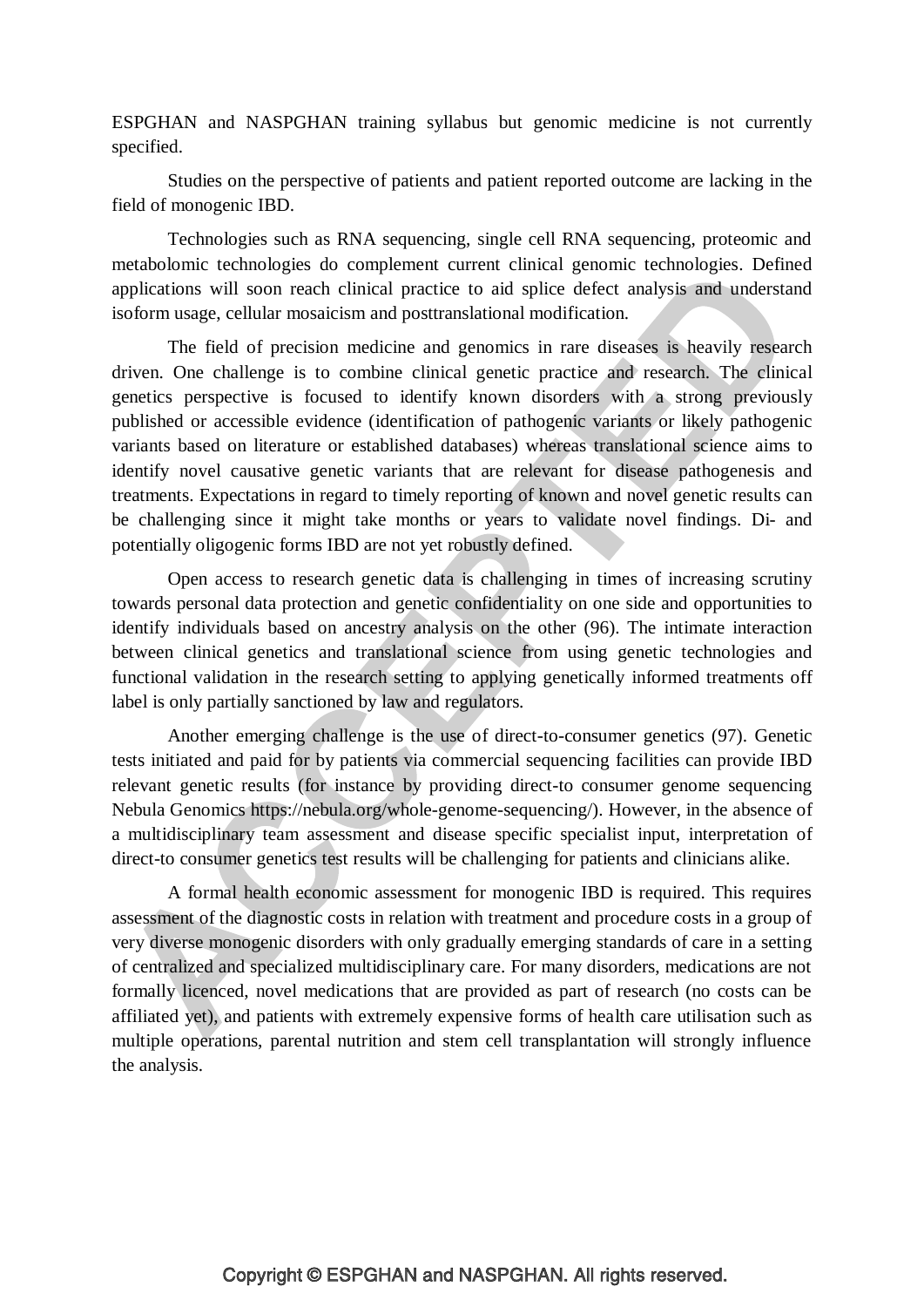ESPGHAN and NASPGHAN training syllabus but genomic medicine is not currently specified.

Studies on the perspective of patients and patient reported outcome are lacking in the field of monogenic IBD.

Technologies such as RNA sequencing, single cell RNA sequencing, proteomic and metabolomic technologies do complement current clinical genomic technologies. Defined applications will soon reach clinical practice to aid splice defect analysis and understand isoform usage, cellular mosaicism and posttranslational modification.

The field of precision medicine and genomics in rare diseases is heavily research driven. One challenge is to combine clinical genetic practice and research. The clinical genetics perspective is focused to identify known disorders with a strong previously published or accessible evidence (identification of pathogenic variants or likely pathogenic variants based on literature or established databases) whereas translational science aims to identify novel causative genetic variants that are relevant for disease pathogenesis and treatments. Expectations in regard to timely reporting of known and novel genetic results can be challenging since it might take months or years to validate novel findings. Di- and potentially oligogenic forms IBD are not yet robustly defined.

Open access to research genetic data is challenging in times of increasing scrutiny towards personal data protection and genetic confidentiality on one side and opportunities to identify individuals based on ancestry analysis on the other (96). The intimate interaction between clinical genetics and translational science from using genetic technologies and functional validation in the research setting to applying genetically informed treatments off label is only partially sanctioned by law and regulators.

Another emerging challenge is the use of direct-to-consumer genetics (97). Genetic tests initiated and paid for by patients via commercial sequencing facilities can provide IBD relevant genetic results (for instance by providing direct-to consumer genome sequencing Nebula Genomics [https://nebula.org/whole-genome-sequencing/\)](https://nebula.org/whole-genome-sequencing/). However, in the absence of a multidisciplinary team assessment and disease specific specialist input, interpretation of direct-to consumer genetics test results will be challenging for patients and clinicians alike.

A formal health economic assessment for monogenic IBD is required. This requires assessment of the diagnostic costs in relation with treatment and procedure costs in a group of very diverse monogenic disorders with only gradually emerging standards of care in a setting of centralized and specialized multidisciplinary care. For many disorders, medications are not formally licenced, novel medications that are provided as part of research (no costs can be affiliated yet), and patients with extremely expensive forms of health care utilisation such as multiple operations, parental nutrition and stem cell transplantation will strongly influence the analysis.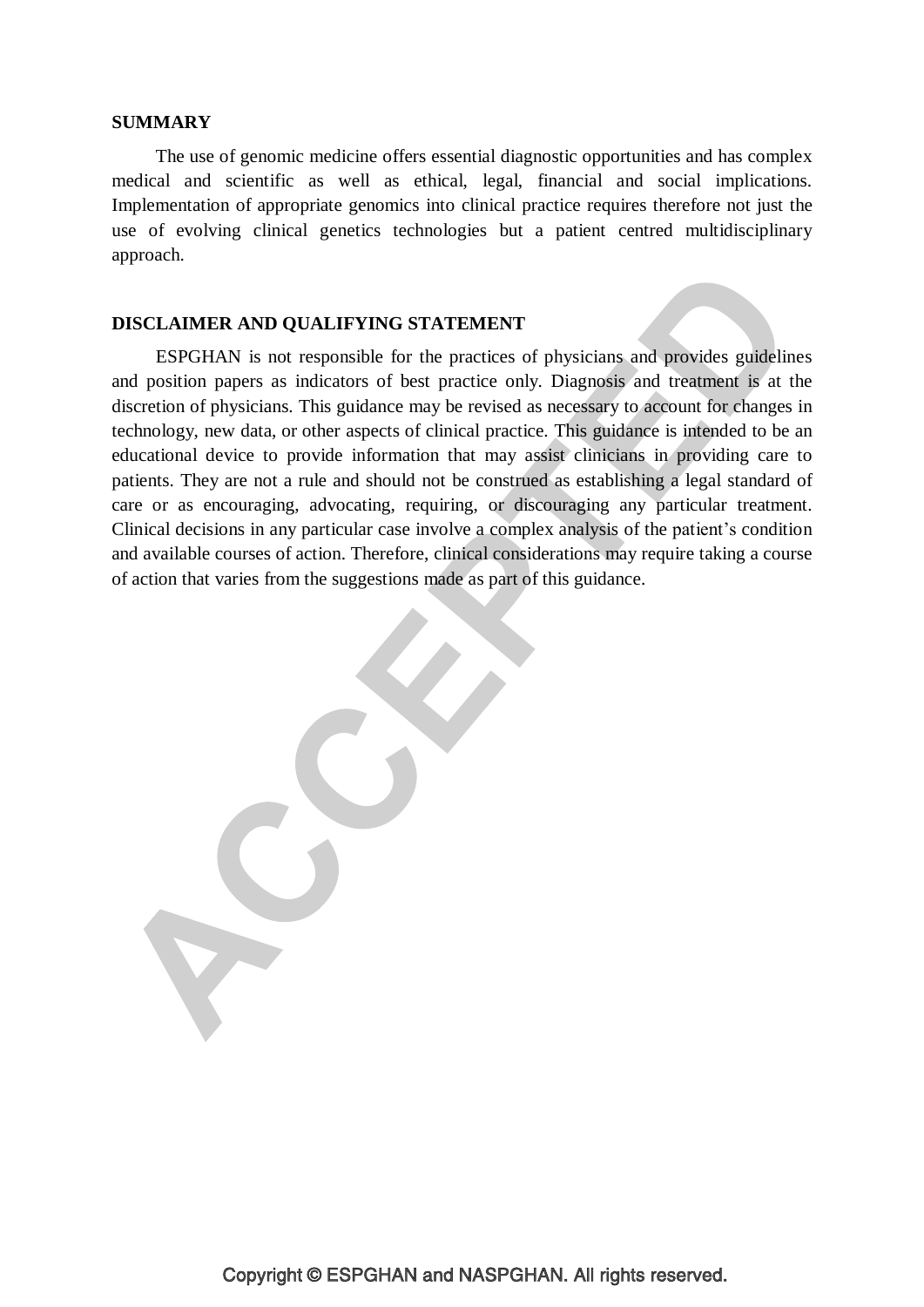#### **SUMMARY**

The use of genomic medicine offers essential diagnostic opportunities and has complex medical and scientific as well as ethical, legal, financial and social implications. Implementation of appropriate genomics into clinical practice requires therefore not just the use of evolving clinical genetics technologies but a patient centred multidisciplinary approach.

## **DISCLAIMER AND QUALIFYING STATEMENT**

ESPGHAN is not responsible for the practices of physicians and provides guidelines and position papers as indicators of best practice only. Diagnosis and treatment is at the discretion of physicians. This guidance may be revised as necessary to account for changes in technology, new data, or other aspects of clinical practice. This guidance is intended to be an educational device to provide information that may assist clinicians in providing care to patients. They are not a rule and should not be construed as establishing a legal standard of care or as encouraging, advocating, requiring, or discouraging any particular treatment. Clinical decisions in any particular case involve a complex analysis of the patient's condition and available courses of action. Therefore, clinical considerations may require taking a course of action that varies from the suggestions made as part of this guidance.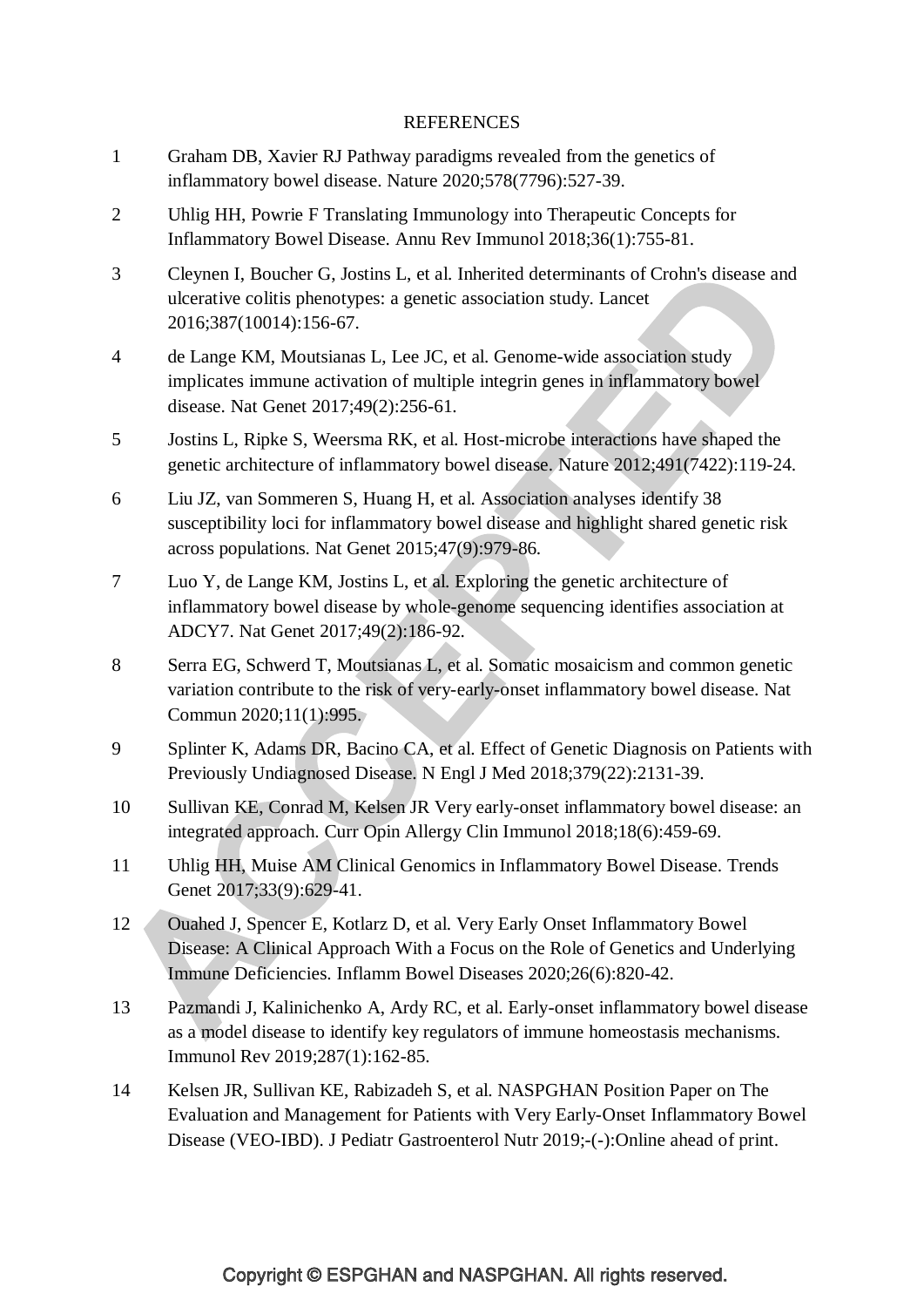### **REFERENCES**

- 1 Graham DB, Xavier RJ Pathway paradigms revealed from the genetics of inflammatory bowel disease. Nature 2020;578(7796):527-39.
- 2 Uhlig HH, Powrie F Translating Immunology into Therapeutic Concepts for Inflammatory Bowel Disease. Annu Rev Immunol 2018;36(1):755-81.
- 3 Cleynen I, Boucher G, Jostins L, et al. Inherited determinants of Crohn's disease and ulcerative colitis phenotypes: a genetic association study. Lancet 2016;387(10014):156-67.
- 4 de Lange KM, Moutsianas L, Lee JC, et al. Genome-wide association study implicates immune activation of multiple integrin genes in inflammatory bowel disease. Nat Genet 2017;49(2):256-61.
- 5 Jostins L, Ripke S, Weersma RK, et al. Host-microbe interactions have shaped the genetic architecture of inflammatory bowel disease. Nature 2012;491(7422):119-24.
- 6 Liu JZ, van Sommeren S, Huang H, et al. Association analyses identify 38 susceptibility loci for inflammatory bowel disease and highlight shared genetic risk across populations. Nat Genet 2015;47(9):979-86.
- 7 Luo Y, de Lange KM, Jostins L, et al. Exploring the genetic architecture of inflammatory bowel disease by whole-genome sequencing identifies association at ADCY7. Nat Genet 2017;49(2):186-92.
- 8 Serra EG, Schwerd T, Moutsianas L, et al. Somatic mosaicism and common genetic variation contribute to the risk of very-early-onset inflammatory bowel disease. Nat Commun 2020;11(1):995.
- 9 Splinter K, Adams DR, Bacino CA, et al. Effect of Genetic Diagnosis on Patients with Previously Undiagnosed Disease. N Engl J Med 2018;379(22):2131-39.
- 10 Sullivan KE, Conrad M, Kelsen JR Very early-onset inflammatory bowel disease: an integrated approach. Curr Opin Allergy Clin Immunol 2018;18(6):459-69.
- 11 Uhlig HH, Muise AM Clinical Genomics in Inflammatory Bowel Disease. Trends Genet 2017;33(9):629-41.
- 12 Ouahed J, Spencer E, Kotlarz D, et al. Very Early Onset Inflammatory Bowel Disease: A Clinical Approach With a Focus on the Role of Genetics and Underlying Immune Deficiencies. Inflamm Bowel Diseases 2020;26(6):820-42.
- 13 Pazmandi J, Kalinichenko A, Ardy RC, et al. Early-onset inflammatory bowel disease as a model disease to identify key regulators of immune homeostasis mechanisms. Immunol Rev 2019;287(1):162-85.
- 14 Kelsen JR, Sullivan KE, Rabizadeh S, et al. NASPGHAN Position Paper on The Evaluation and Management for Patients with Very Early-Onset Inflammatory Bowel Disease (VEO-IBD). J Pediatr Gastroenterol Nutr 2019;-(-):Online ahead of print.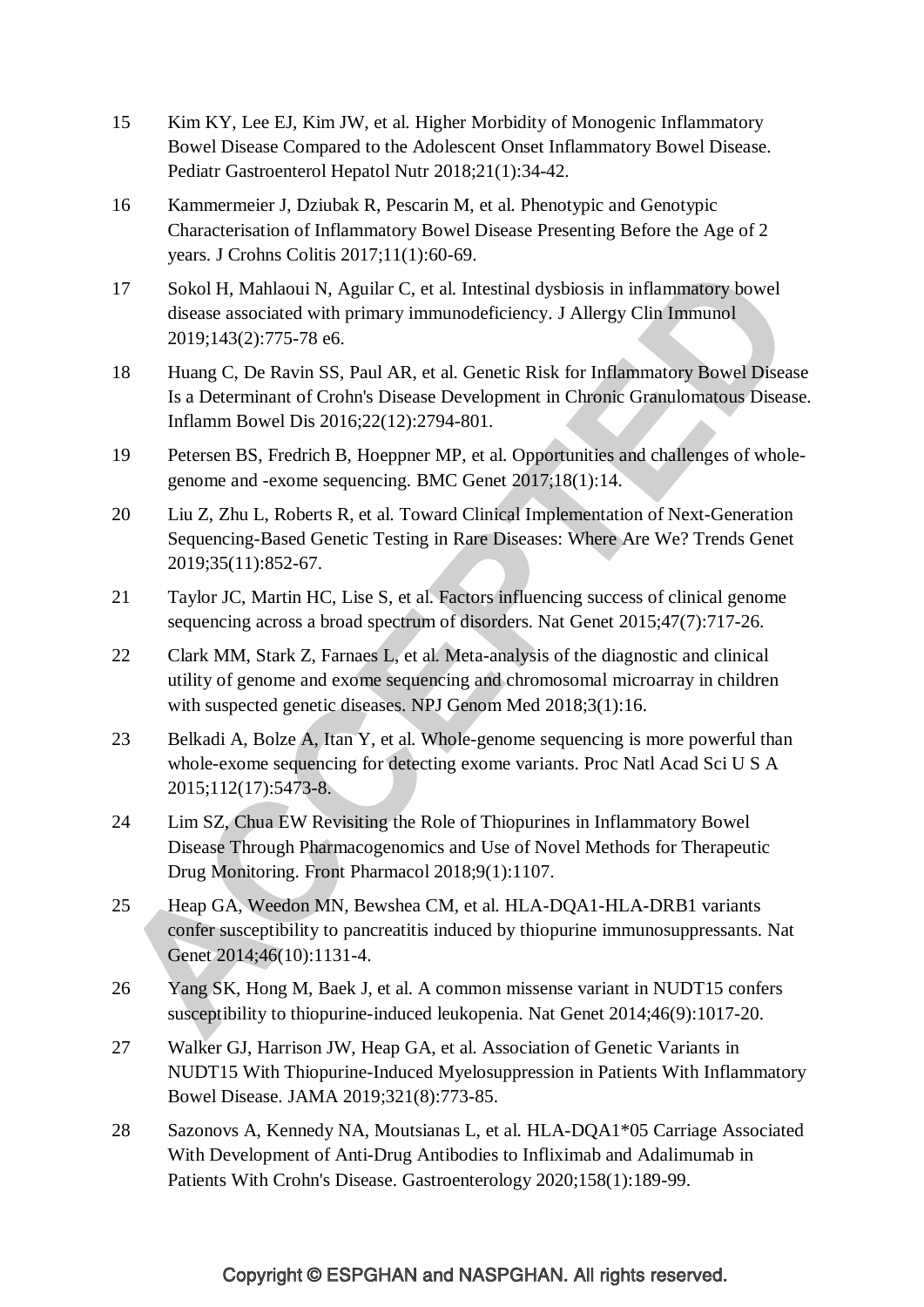- 15 Kim KY, Lee EJ, Kim JW, et al. Higher Morbidity of Monogenic Inflammatory Bowel Disease Compared to the Adolescent Onset Inflammatory Bowel Disease. Pediatr Gastroenterol Hepatol Nutr 2018;21(1):34-42.
- 16 Kammermeier J, Dziubak R, Pescarin M, et al. Phenotypic and Genotypic Characterisation of Inflammatory Bowel Disease Presenting Before the Age of 2 years. J Crohns Colitis 2017;11(1):60-69.
- 17 Sokol H, Mahlaoui N, Aguilar C, et al. Intestinal dysbiosis in inflammatory bowel disease associated with primary immunodeficiency. J Allergy Clin Immunol 2019;143(2):775-78 e6.
- 18 Huang C, De Ravin SS, Paul AR, et al. Genetic Risk for Inflammatory Bowel Disease Is a Determinant of Crohn's Disease Development in Chronic Granulomatous Disease. Inflamm Bowel Dis 2016;22(12):2794-801.
- 19 Petersen BS, Fredrich B, Hoeppner MP, et al. Opportunities and challenges of wholegenome and -exome sequencing. BMC Genet 2017;18(1):14.
- 20 Liu Z, Zhu L, Roberts R, et al. Toward Clinical Implementation of Next-Generation Sequencing-Based Genetic Testing in Rare Diseases: Where Are We? Trends Genet 2019;35(11):852-67.
- 21 Taylor JC, Martin HC, Lise S, et al. Factors influencing success of clinical genome sequencing across a broad spectrum of disorders. Nat Genet 2015;47(7):717-26.
- 22 Clark MM, Stark Z, Farnaes L, et al. Meta-analysis of the diagnostic and clinical utility of genome and exome sequencing and chromosomal microarray in children with suspected genetic diseases. NPJ Genom Med 2018:3(1):16.
- 23 Belkadi A, Bolze A, Itan Y, et al. Whole-genome sequencing is more powerful than whole-exome sequencing for detecting exome variants. Proc Natl Acad Sci U S A 2015;112(17):5473-8.
- 24 Lim SZ, Chua EW Revisiting the Role of Thiopurines in Inflammatory Bowel Disease Through Pharmacogenomics and Use of Novel Methods for Therapeutic Drug Monitoring. Front Pharmacol 2018;9(1):1107.
- 25 Heap GA, Weedon MN, Bewshea CM, et al. HLA-DQA1-HLA-DRB1 variants confer susceptibility to pancreatitis induced by thiopurine immunosuppressants. Nat Genet 2014;46(10):1131-4.
- 26 Yang SK, Hong M, Baek J, et al. A common missense variant in NUDT15 confers susceptibility to thiopurine-induced leukopenia. Nat Genet 2014;46(9):1017-20.
- 27 Walker GJ, Harrison JW, Heap GA, et al. Association of Genetic Variants in NUDT15 With Thiopurine-Induced Myelosuppression in Patients With Inflammatory Bowel Disease. JAMA 2019;321(8):773-85.
- 28 Sazonovs A, Kennedy NA, Moutsianas L, et al. HLA-DQA1\*05 Carriage Associated With Development of Anti-Drug Antibodies to Infliximab and Adalimumab in Patients With Crohn's Disease. Gastroenterology 2020;158(1):189-99.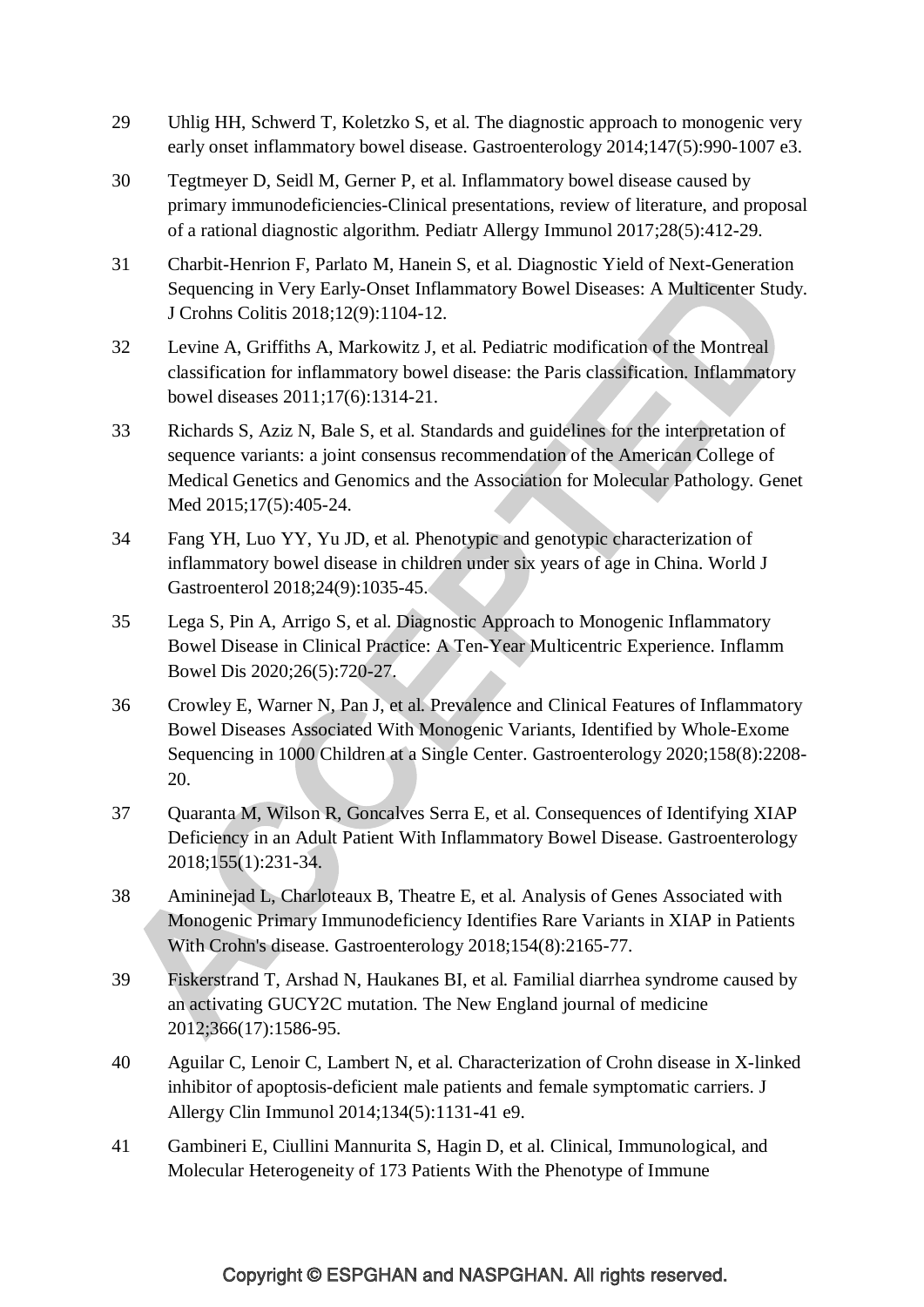- 29 Uhlig HH, Schwerd T, Koletzko S, et al. The diagnostic approach to monogenic very early onset inflammatory bowel disease. Gastroenterology 2014;147(5):990-1007 e3.
- 30 Tegtmeyer D, Seidl M, Gerner P, et al. Inflammatory bowel disease caused by primary immunodeficiencies-Clinical presentations, review of literature, and proposal of a rational diagnostic algorithm. Pediatr Allergy Immunol 2017;28(5):412-29.
- 31 Charbit-Henrion F, Parlato M, Hanein S, et al. Diagnostic Yield of Next-Generation Sequencing in Very Early-Onset Inflammatory Bowel Diseases: A Multicenter Study. J Crohns Colitis 2018;12(9):1104-12.
- 32 Levine A, Griffiths A, Markowitz J, et al. Pediatric modification of the Montreal classification for inflammatory bowel disease: the Paris classification. Inflammatory bowel diseases 2011;17(6):1314-21.
- 33 Richards S, Aziz N, Bale S, et al. Standards and guidelines for the interpretation of sequence variants: a joint consensus recommendation of the American College of Medical Genetics and Genomics and the Association for Molecular Pathology. Genet Med 2015:17(5):405-24.
- 34 Fang YH, Luo YY, Yu JD, et al. Phenotypic and genotypic characterization of inflammatory bowel disease in children under six years of age in China. World J Gastroenterol 2018;24(9):1035-45.
- 35 Lega S, Pin A, Arrigo S, et al. Diagnostic Approach to Monogenic Inflammatory Bowel Disease in Clinical Practice: A Ten-Year Multicentric Experience. Inflamm Bowel Dis 2020;26(5):720-27.
- 36 Crowley E, Warner N, Pan J, et al. Prevalence and Clinical Features of Inflammatory Bowel Diseases Associated With Monogenic Variants, Identified by Whole-Exome Sequencing in 1000 Children at a Single Center. Gastroenterology 2020;158(8):2208- 20.
- 37 Quaranta M, Wilson R, Goncalves Serra E, et al. Consequences of Identifying XIAP Deficiency in an Adult Patient With Inflammatory Bowel Disease. Gastroenterology 2018;155(1):231-34.
- 38 Amininejad L, Charloteaux B, Theatre E, et al. Analysis of Genes Associated with Monogenic Primary Immunodeficiency Identifies Rare Variants in XIAP in Patients With Crohn's disease. Gastroenterology 2018;154(8):2165-77.
- 39 Fiskerstrand T, Arshad N, Haukanes BI, et al. Familial diarrhea syndrome caused by an activating GUCY2C mutation. The New England journal of medicine 2012;366(17):1586-95.
- 40 Aguilar C, Lenoir C, Lambert N, et al. Characterization of Crohn disease in X-linked inhibitor of apoptosis-deficient male patients and female symptomatic carriers. J Allergy Clin Immunol 2014;134(5):1131-41 e9.
- 41 Gambineri E, Ciullini Mannurita S, Hagin D, et al. Clinical, Immunological, and Molecular Heterogeneity of 173 Patients With the Phenotype of Immune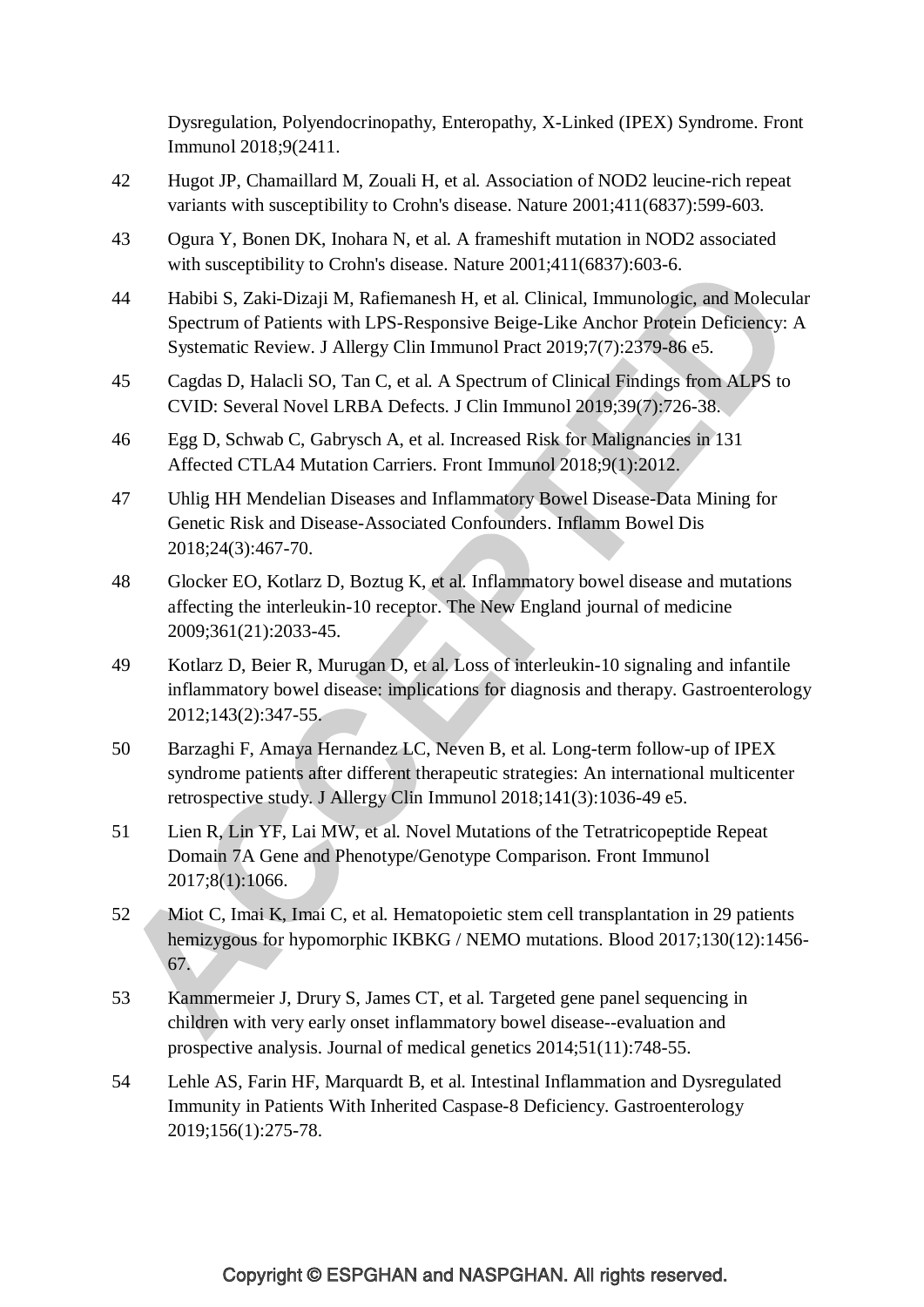Dysregulation, Polyendocrinopathy, Enteropathy, X-Linked (IPEX) Syndrome. Front Immunol 2018;9(2411.

- 42 Hugot JP, Chamaillard M, Zouali H, et al. Association of NOD2 leucine-rich repeat variants with susceptibility to Crohn's disease. Nature 2001;411(6837):599-603.
- 43 Ogura Y, Bonen DK, Inohara N, et al. A frameshift mutation in NOD2 associated with susceptibility to Crohn's disease. Nature 2001;411(6837):603-6.
- 44 Habibi S, Zaki-Dizaji M, Rafiemanesh H, et al. Clinical, Immunologic, and Molecular Spectrum of Patients with LPS-Responsive Beige-Like Anchor Protein Deficiency: A Systematic Review. J Allergy Clin Immunol Pract 2019;7(7):2379-86 e5.
- 45 Cagdas D, Halacli SO, Tan C, et al. A Spectrum of Clinical Findings from ALPS to CVID: Several Novel LRBA Defects. J Clin Immunol 2019;39(7):726-38.
- 46 Egg D, Schwab C, Gabrysch A, et al. Increased Risk for Malignancies in 131 Affected CTLA4 Mutation Carriers. Front Immunol 2018;9(1):2012.
- 47 Uhlig HH Mendelian Diseases and Inflammatory Bowel Disease-Data Mining for Genetic Risk and Disease-Associated Confounders. Inflamm Bowel Dis 2018;24(3):467-70.
- 48 Glocker EO, Kotlarz D, Boztug K, et al. Inflammatory bowel disease and mutations affecting the interleukin-10 receptor. The New England journal of medicine 2009;361(21):2033-45.
- 49 Kotlarz D, Beier R, Murugan D, et al. Loss of interleukin-10 signaling and infantile inflammatory bowel disease: implications for diagnosis and therapy. Gastroenterology 2012;143(2):347-55.
- 50 Barzaghi F, Amaya Hernandez LC, Neven B, et al. Long-term follow-up of IPEX syndrome patients after different therapeutic strategies: An international multicenter retrospective study. J Allergy Clin Immunol 2018;141(3):1036-49 e5.
- 51 Lien R, Lin YF, Lai MW, et al. Novel Mutations of the Tetratricopeptide Repeat Domain 7A Gene and Phenotype/Genotype Comparison. Front Immunol 2017;8(1):1066.
- 52 Miot C, Imai K, Imai C, et al. Hematopoietic stem cell transplantation in 29 patients hemizygous for hypomorphic IKBKG / NEMO mutations. Blood 2017;130(12):1456- 67.
- 53 Kammermeier J, Drury S, James CT, et al. Targeted gene panel sequencing in children with very early onset inflammatory bowel disease--evaluation and prospective analysis. Journal of medical genetics 2014;51(11):748-55.
- 54 Lehle AS, Farin HF, Marquardt B, et al. Intestinal Inflammation and Dysregulated Immunity in Patients With Inherited Caspase-8 Deficiency. Gastroenterology 2019;156(1):275-78.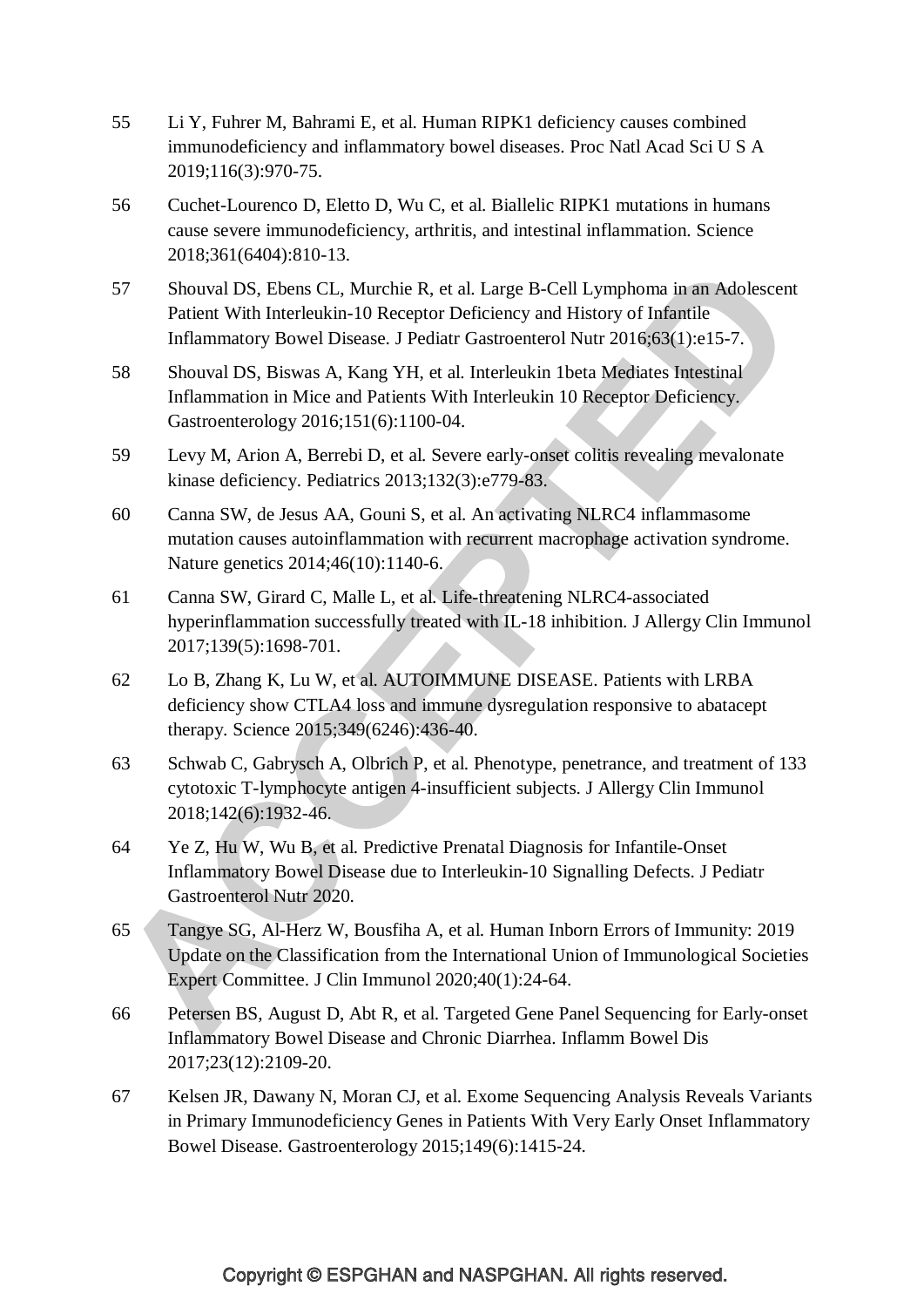- 55 Li Y, Fuhrer M, Bahrami E, et al. Human RIPK1 deficiency causes combined immunodeficiency and inflammatory bowel diseases. Proc Natl Acad Sci U S A 2019;116(3):970-75.
- 56 Cuchet-Lourenco D, Eletto D, Wu C, et al. Biallelic RIPK1 mutations in humans cause severe immunodeficiency, arthritis, and intestinal inflammation. Science 2018;361(6404):810-13.
- 57 Shouval DS, Ebens CL, Murchie R, et al. Large B-Cell Lymphoma in an Adolescent Patient With Interleukin-10 Receptor Deficiency and History of Infantile Inflammatory Bowel Disease. J Pediatr Gastroenterol Nutr 2016;63(1):e15-7.
- 58 Shouval DS, Biswas A, Kang YH, et al. Interleukin 1beta Mediates Intestinal Inflammation in Mice and Patients With Interleukin 10 Receptor Deficiency. Gastroenterology 2016;151(6):1100-04.
- 59 Levy M, Arion A, Berrebi D, et al. Severe early-onset colitis revealing mevalonate kinase deficiency. Pediatrics 2013;132(3):e779-83.
- 60 Canna SW, de Jesus AA, Gouni S, et al. An activating NLRC4 inflammasome mutation causes autoinflammation with recurrent macrophage activation syndrome. Nature genetics 2014;46(10):1140-6.
- 61 Canna SW, Girard C, Malle L, et al. Life-threatening NLRC4-associated hyperinflammation successfully treated with IL-18 inhibition. J Allergy Clin Immunol 2017;139(5):1698-701.
- 62 Lo B, Zhang K, Lu W, et al. AUTOIMMUNE DISEASE. Patients with LRBA deficiency show CTLA4 loss and immune dysregulation responsive to abatacept therapy. Science 2015;349(6246):436-40.
- 63 Schwab C, Gabrysch A, Olbrich P, et al. Phenotype, penetrance, and treatment of 133 cytotoxic T-lymphocyte antigen 4-insufficient subjects. J Allergy Clin Immunol 2018;142(6):1932-46.
- 64 Ye Z, Hu W, Wu B, et al. Predictive Prenatal Diagnosis for Infantile-Onset Inflammatory Bowel Disease due to Interleukin-10 Signalling Defects. J Pediatr Gastroenterol Nutr 2020.
- 65 Tangye SG, Al-Herz W, Bousfiha A, et al. Human Inborn Errors of Immunity: 2019 Update on the Classification from the International Union of Immunological Societies Expert Committee. J Clin Immunol 2020;40(1):24-64.
- 66 Petersen BS, August D, Abt R, et al. Targeted Gene Panel Sequencing for Early-onset Inflammatory Bowel Disease and Chronic Diarrhea. Inflamm Bowel Dis 2017;23(12):2109-20.
- 67 Kelsen JR, Dawany N, Moran CJ, et al. Exome Sequencing Analysis Reveals Variants in Primary Immunodeficiency Genes in Patients With Very Early Onset Inflammatory Bowel Disease. Gastroenterology 2015;149(6):1415-24.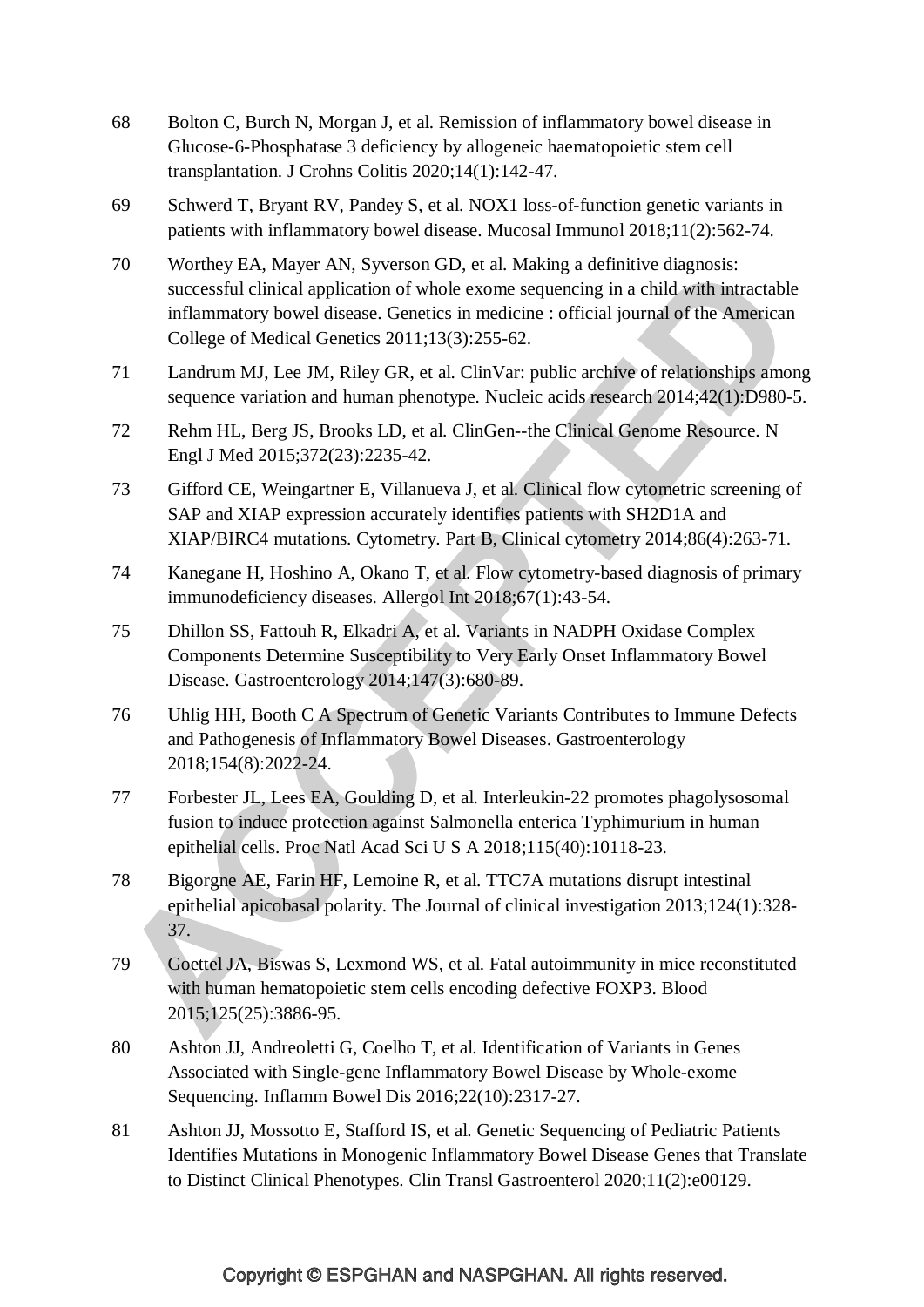- 68 Bolton C, Burch N, Morgan J, et al. Remission of inflammatory bowel disease in Glucose-6-Phosphatase 3 deficiency by allogeneic haematopoietic stem cell transplantation. J Crohns Colitis 2020;14(1):142-47.
- 69 Schwerd T, Bryant RV, Pandey S, et al. NOX1 loss-of-function genetic variants in patients with inflammatory bowel disease. Mucosal Immunol 2018;11(2):562-74.
- 70 Worthey EA, Mayer AN, Syverson GD, et al. Making a definitive diagnosis: successful clinical application of whole exome sequencing in a child with intractable inflammatory bowel disease. Genetics in medicine : official journal of the American College of Medical Genetics 2011;13(3):255-62.
- 71 Landrum MJ, Lee JM, Riley GR, et al. ClinVar: public archive of relationships among sequence variation and human phenotype. Nucleic acids research 2014;42(1):D980-5.
- 72 Rehm HL, Berg JS, Brooks LD, et al. ClinGen--the Clinical Genome Resource. N Engl J Med 2015;372(23):2235-42.
- 73 Gifford CE, Weingartner E, Villanueva J, et al. Clinical flow cytometric screening of SAP and XIAP expression accurately identifies patients with SH2D1A and XIAP/BIRC4 mutations. Cytometry. Part B, Clinical cytometry 2014;86(4):263-71.
- 74 Kanegane H, Hoshino A, Okano T, et al. Flow cytometry-based diagnosis of primary immunodeficiency diseases. Allergol Int 2018;67(1):43-54.
- 75 Dhillon SS, Fattouh R, Elkadri A, et al. Variants in NADPH Oxidase Complex Components Determine Susceptibility to Very Early Onset Inflammatory Bowel Disease. Gastroenterology 2014;147(3):680-89.
- 76 Uhlig HH, Booth C A Spectrum of Genetic Variants Contributes to Immune Defects and Pathogenesis of Inflammatory Bowel Diseases. Gastroenterology 2018;154(8):2022-24.
- 77 Forbester JL, Lees EA, Goulding D, et al. Interleukin-22 promotes phagolysosomal fusion to induce protection against Salmonella enterica Typhimurium in human epithelial cells. Proc Natl Acad Sci U S A 2018;115(40):10118-23.
- 78 Bigorgne AE, Farin HF, Lemoine R, et al. TTC7A mutations disrupt intestinal epithelial apicobasal polarity. The Journal of clinical investigation 2013;124(1):328- 37.
- 79 Goettel JA, Biswas S, Lexmond WS, et al. Fatal autoimmunity in mice reconstituted with human hematopoietic stem cells encoding defective FOXP3. Blood 2015;125(25):3886-95.
- 80 Ashton JJ, Andreoletti G, Coelho T, et al. Identification of Variants in Genes Associated with Single-gene Inflammatory Bowel Disease by Whole-exome Sequencing. Inflamm Bowel Dis 2016;22(10):2317-27.
- 81 Ashton JJ, Mossotto E, Stafford IS, et al. Genetic Sequencing of Pediatric Patients Identifies Mutations in Monogenic Inflammatory Bowel Disease Genes that Translate to Distinct Clinical Phenotypes. Clin Transl Gastroenterol 2020;11(2):e00129.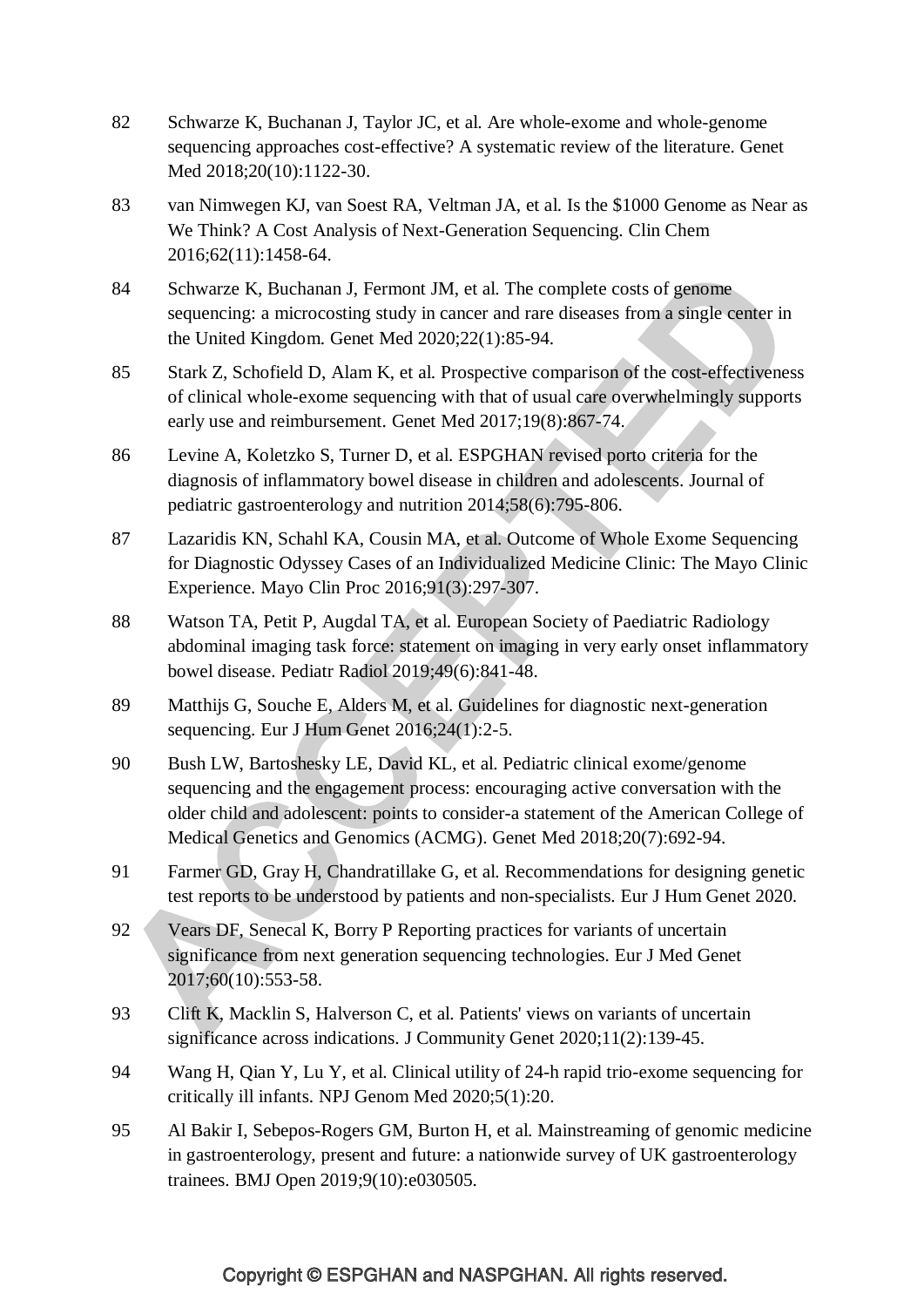- 82 Schwarze K, Buchanan J, Taylor JC, et al. Are whole-exome and whole-genome sequencing approaches cost-effective? A systematic review of the literature. Genet Med 2018;20(10):1122-30.
- 83 van Nimwegen KJ, van Soest RA, Veltman JA, et al. Is the \$1000 Genome as Near as We Think? A Cost Analysis of Next-Generation Sequencing. Clin Chem 2016;62(11):1458-64.
- 84 Schwarze K, Buchanan J, Fermont JM, et al. The complete costs of genome sequencing: a microcosting study in cancer and rare diseases from a single center in the United Kingdom. Genet Med 2020;22(1):85-94.
- 85 Stark Z, Schofield D, Alam K, et al. Prospective comparison of the cost-effectiveness of clinical whole-exome sequencing with that of usual care overwhelmingly supports early use and reimbursement. Genet Med 2017;19(8):867-74.
- 86 Levine A, Koletzko S, Turner D, et al. ESPGHAN revised porto criteria for the diagnosis of inflammatory bowel disease in children and adolescents. Journal of pediatric gastroenterology and nutrition 2014;58(6):795-806.
- 87 Lazaridis KN, Schahl KA, Cousin MA, et al. Outcome of Whole Exome Sequencing for Diagnostic Odyssey Cases of an Individualized Medicine Clinic: The Mayo Clinic Experience. Mayo Clin Proc 2016;91(3):297-307.
- 88 Watson TA, Petit P, Augdal TA, et al. European Society of Paediatric Radiology abdominal imaging task force: statement on imaging in very early onset inflammatory bowel disease. Pediatr Radiol 2019;49(6):841-48.
- 89 Matthijs G, Souche E, Alders M, et al. Guidelines for diagnostic next-generation sequencing. Eur J Hum Genet 2016;24(1):2-5.
- 90 Bush LW, Bartoshesky LE, David KL, et al. Pediatric clinical exome/genome sequencing and the engagement process: encouraging active conversation with the older child and adolescent: points to consider-a statement of the American College of Medical Genetics and Genomics (ACMG). Genet Med 2018;20(7):692-94.
- 91 Farmer GD, Gray H, Chandratillake G, et al. Recommendations for designing genetic test reports to be understood by patients and non-specialists. Eur J Hum Genet 2020.
- 92 Vears DF, Senecal K, Borry P Reporting practices for variants of uncertain significance from next generation sequencing technologies. Eur J Med Genet 2017;60(10):553-58.
- 93 Clift K, Macklin S, Halverson C, et al. Patients' views on variants of uncertain significance across indications. J Community Genet 2020;11(2):139-45.
- 94 Wang H, Qian Y, Lu Y, et al. Clinical utility of 24-h rapid trio-exome sequencing for critically ill infants. NPJ Genom Med 2020;5(1):20.
- 95 Al Bakir I, Sebepos-Rogers GM, Burton H, et al. Mainstreaming of genomic medicine in gastroenterology, present and future: a nationwide survey of UK gastroenterology trainees. BMJ Open 2019;9(10):e030505.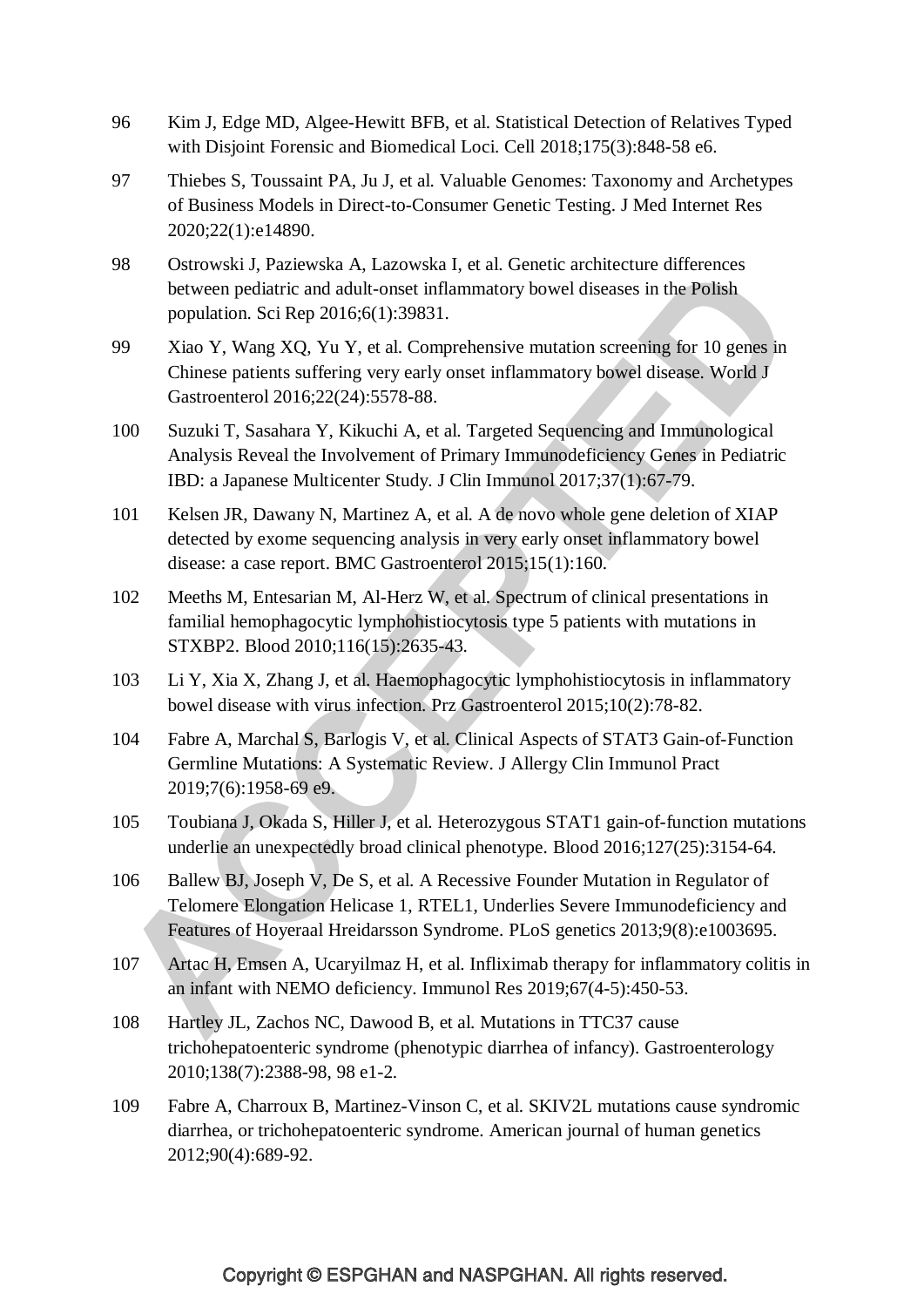- 96 Kim J, Edge MD, Algee-Hewitt BFB, et al. Statistical Detection of Relatives Typed with Disjoint Forensic and Biomedical Loci. Cell 2018;175(3):848-58 e6.
- 97 Thiebes S, Toussaint PA, Ju J, et al. Valuable Genomes: Taxonomy and Archetypes of Business Models in Direct-to-Consumer Genetic Testing. J Med Internet Res 2020;22(1):e14890.
- 98 Ostrowski J, Paziewska A, Lazowska I, et al. Genetic architecture differences between pediatric and adult-onset inflammatory bowel diseases in the Polish population. Sci Rep 2016;6(1):39831.
- 99 Xiao Y, Wang XQ, Yu Y, et al. Comprehensive mutation screening for 10 genes in Chinese patients suffering very early onset inflammatory bowel disease. World J Gastroenterol 2016;22(24):5578-88.
- 100 Suzuki T, Sasahara Y, Kikuchi A, et al. Targeted Sequencing and Immunological Analysis Reveal the Involvement of Primary Immunodeficiency Genes in Pediatric IBD: a Japanese Multicenter Study. J Clin Immunol 2017;37(1):67-79.
- 101 Kelsen JR, Dawany N, Martinez A, et al. A de novo whole gene deletion of XIAP detected by exome sequencing analysis in very early onset inflammatory bowel disease: a case report. BMC Gastroenterol 2015;15(1):160.
- 102 Meeths M, Entesarian M, Al-Herz W, et al. Spectrum of clinical presentations in familial hemophagocytic lymphohistiocytosis type 5 patients with mutations in STXBP2. Blood 2010;116(15):2635-43.
- 103 Li Y, Xia X, Zhang J, et al. Haemophagocytic lymphohistiocytosis in inflammatory bowel disease with virus infection. Prz Gastroenterol 2015;10(2):78-82.
- 104 Fabre A, Marchal S, Barlogis V, et al. Clinical Aspects of STAT3 Gain-of-Function Germline Mutations: A Systematic Review. J Allergy Clin Immunol Pract 2019;7(6):1958-69 e9.
- 105 Toubiana J, Okada S, Hiller J, et al. Heterozygous STAT1 gain-of-function mutations underlie an unexpectedly broad clinical phenotype. Blood 2016;127(25):3154-64.
- 106 Ballew BJ, Joseph V, De S, et al. A Recessive Founder Mutation in Regulator of Telomere Elongation Helicase 1, RTEL1, Underlies Severe Immunodeficiency and Features of Hoyeraal Hreidarsson Syndrome. PLoS genetics 2013;9(8):e1003695.
- 107 Artac H, Emsen A, Ucaryilmaz H, et al. Infliximab therapy for inflammatory colitis in an infant with NEMO deficiency. Immunol Res 2019;67(4-5):450-53.
- 108 Hartley JL, Zachos NC, Dawood B, et al. Mutations in TTC37 cause trichohepatoenteric syndrome (phenotypic diarrhea of infancy). Gastroenterology 2010;138(7):2388-98, 98 e1-2.
- 109 Fabre A, Charroux B, Martinez-Vinson C, et al. SKIV2L mutations cause syndromic diarrhea, or trichohepatoenteric syndrome. American journal of human genetics 2012;90(4):689-92.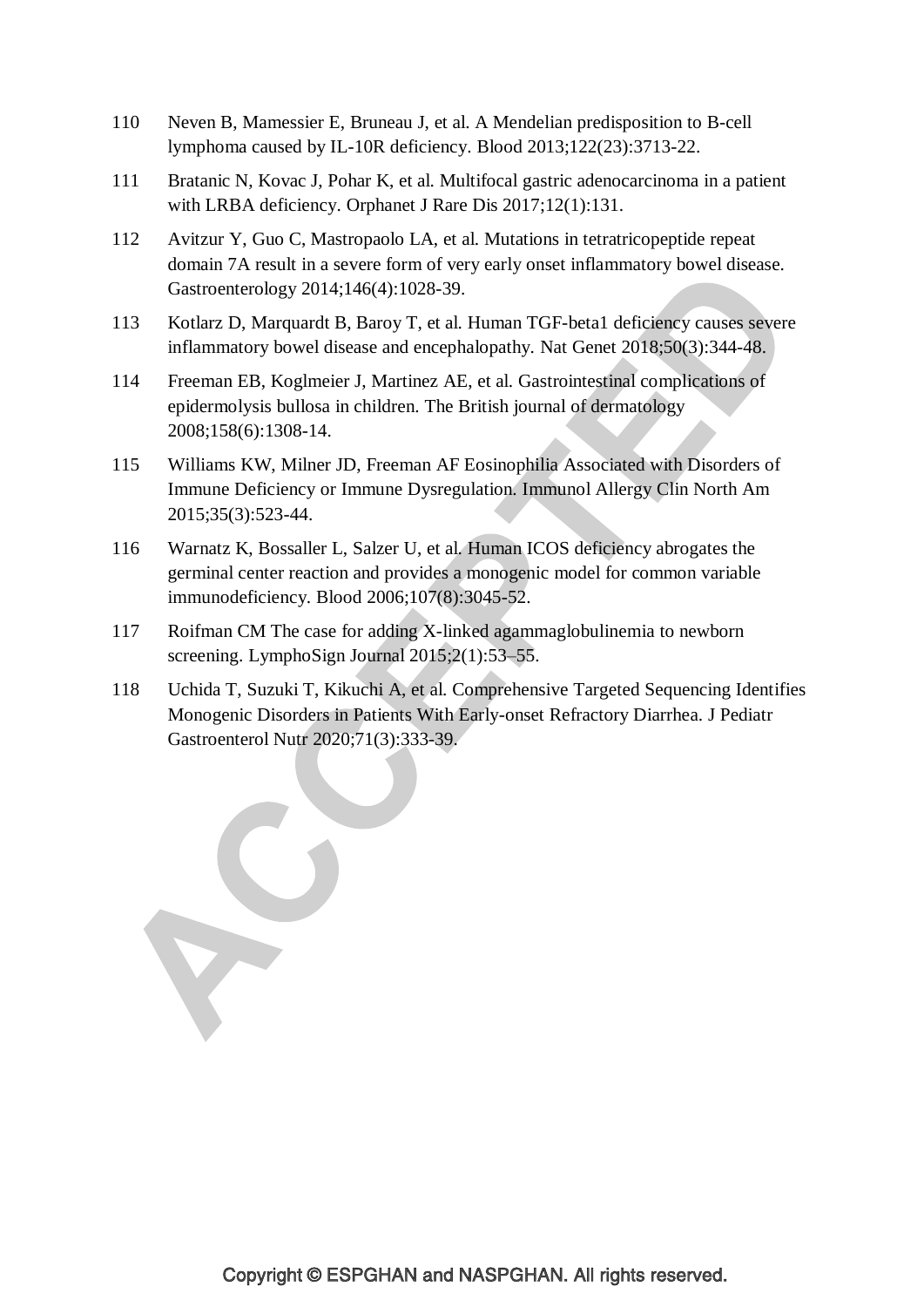- 110 Neven B, Mamessier E, Bruneau J, et al. A Mendelian predisposition to B-cell lymphoma caused by IL-10R deficiency. Blood 2013;122(23):3713-22.
- 111 Bratanic N, Kovac J, Pohar K, et al. Multifocal gastric adenocarcinoma in a patient with LRBA deficiency. Orphanet J Rare Dis 2017;12(1):131.
- 112 Avitzur Y, Guo C, Mastropaolo LA, et al. Mutations in tetratricopeptide repeat domain 7A result in a severe form of very early onset inflammatory bowel disease. Gastroenterology 2014;146(4):1028-39.
- 113 Kotlarz D, Marquardt B, Baroy T, et al. Human TGF-beta1 deficiency causes severe inflammatory bowel disease and encephalopathy. Nat Genet 2018;50(3):344-48.
- 114 Freeman EB, Koglmeier J, Martinez AE, et al. Gastrointestinal complications of epidermolysis bullosa in children. The British journal of dermatology 2008;158(6):1308-14.
- 115 Williams KW, Milner JD, Freeman AF Eosinophilia Associated with Disorders of Immune Deficiency or Immune Dysregulation. Immunol Allergy Clin North Am 2015;35(3):523-44.
- 116 Warnatz K, Bossaller L, Salzer U, et al. Human ICOS deficiency abrogates the germinal center reaction and provides a monogenic model for common variable immunodeficiency. Blood 2006;107(8):3045-52.
- 117 Roifman CM The case for adding X-linked agammaglobulinemia to newborn screening. LymphoSign Journal 2015;2(1):53–55.

118 Uchida T, Suzuki T, Kikuchi A, et al. Comprehensive Targeted Sequencing Identifies Monogenic Disorders in Patients With Early-onset Refractory Diarrhea. J Pediatr Gastroenterol Nutr 2020;71(3):333-39.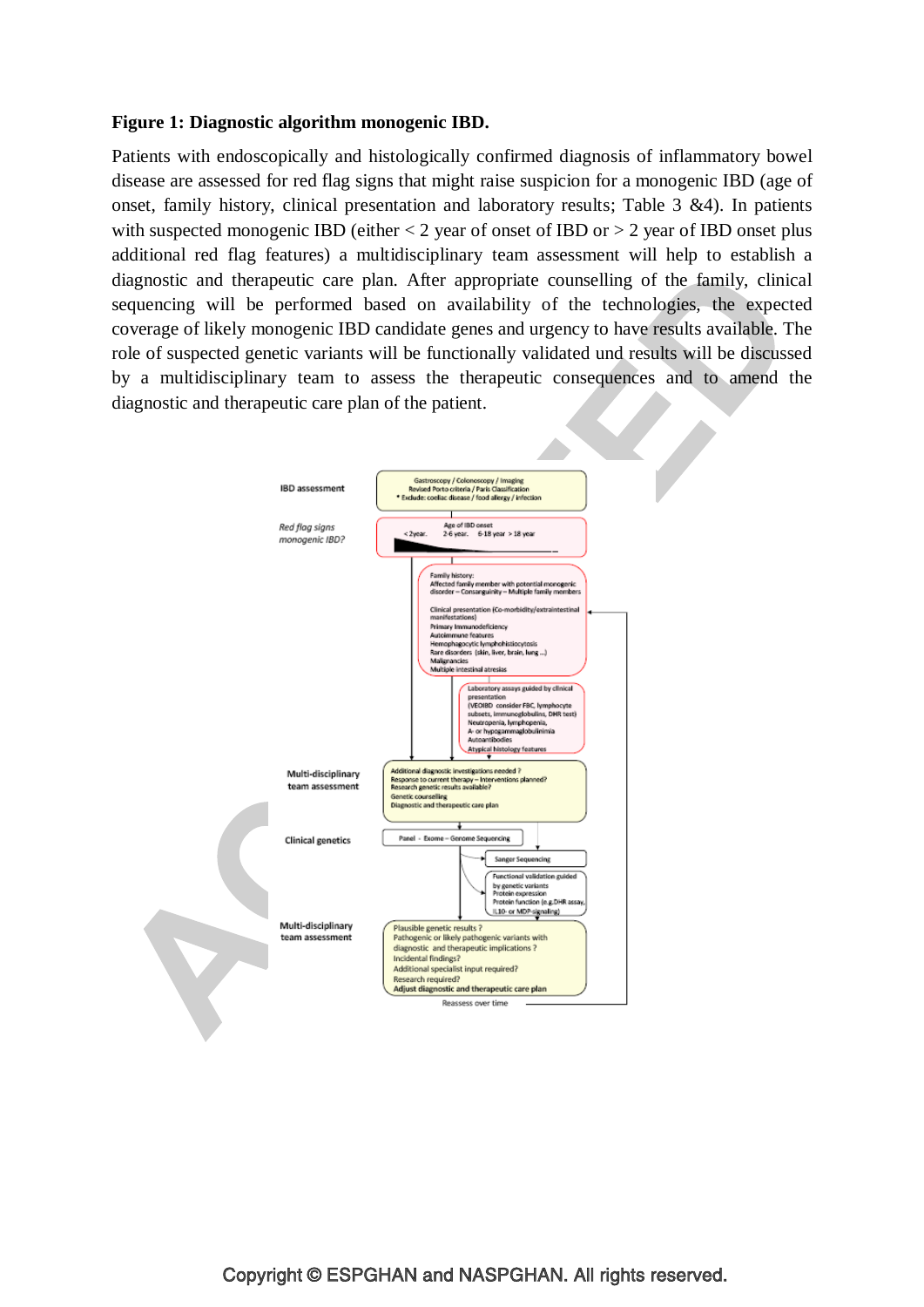#### **Figure 1: Diagnostic algorithm monogenic IBD.**

Patients with endoscopically and histologically confirmed diagnosis of inflammatory bowel disease are assessed for red flag signs that might raise suspicion for a monogenic IBD (age of onset, family history, clinical presentation and laboratory results; Table 3 &4). In patients with suspected monogenic IBD (either  $< 2$  year of onset of IBD or  $> 2$  year of IBD onset plus additional red flag features) a multidisciplinary team assessment will help to establish a diagnostic and therapeutic care plan. After appropriate counselling of the family, clinical sequencing will be performed based on availability of the technologies, the expected coverage of likely monogenic IBD candidate genes and urgency to have results available. The role of suspected genetic variants will be functionally validated und results will be discussed by a multidisciplinary team to assess the therapeutic consequences and to amend the diagnostic and therapeutic care plan of the patient.

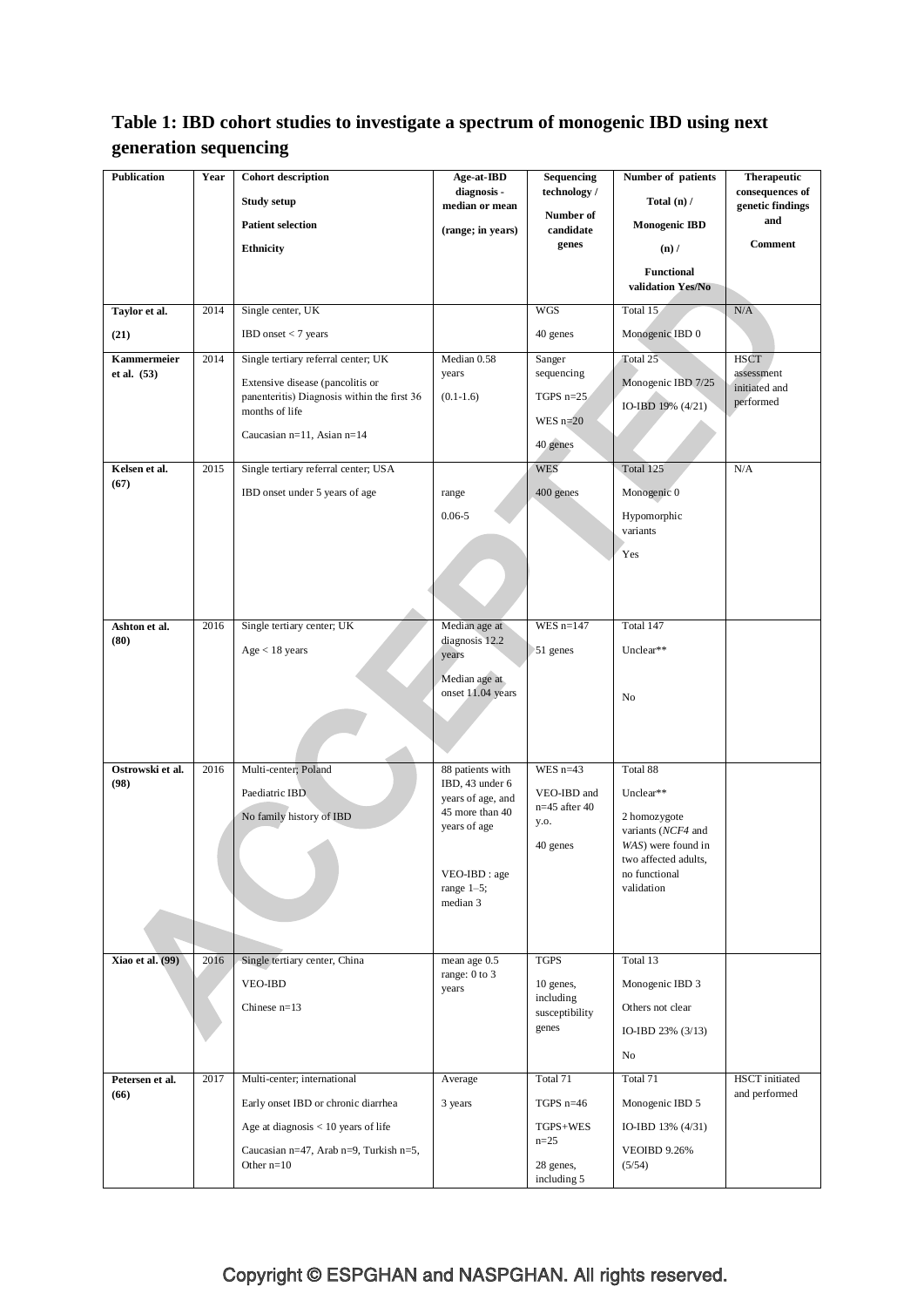# **Table 1: IBD cohort studies to investigate a spectrum of monogenic IBD using next generation sequencing**

| <b>Publication</b>         | Year | <b>Cohort description</b>                                     | Age-at-IBD                          | Sequencing                     | Number of patients                    | <b>Therapeutic</b>              |
|----------------------------|------|---------------------------------------------------------------|-------------------------------------|--------------------------------|---------------------------------------|---------------------------------|
|                            |      | <b>Study setup</b>                                            | diagnosis -<br>median or mean       | technology /                   | Total $(n)$ /                         | consequences of                 |
|                            |      | <b>Patient selection</b>                                      |                                     | Number of                      | <b>Monogenic IBD</b>                  | genetic findings<br>and         |
|                            |      | <b>Ethnicity</b>                                              | (range; in years)                   | candidate<br>genes             | $(n)$ /                               | <b>Comment</b>                  |
|                            |      |                                                               |                                     |                                | <b>Functional</b>                     |                                 |
|                            |      |                                                               |                                     |                                | validation Yes/No                     |                                 |
| Taylor et al.              | 2014 | Single center, UK                                             |                                     | <b>WGS</b>                     | Total 15                              | $\rm N/A$                       |
| (21)                       |      | IBD onset $<$ 7 years                                         |                                     | 40 genes                       | Monogenic IBD 0                       |                                 |
| Kammermeier<br>et al. (53) | 2014 | Single tertiary referral center; UK                           | Median 0.58<br>years                | Sanger<br>sequencing           | Total 25                              | <b>HSCT</b><br>assessment       |
|                            |      | Extensive disease (pancolitis or                              |                                     |                                | Monogenic IBD 7/25                    | initiated and                   |
|                            |      | panenteritis) Diagnosis within the first 36<br>months of life | $(0.1 - 1.6)$                       | TGPS $n=25$                    | IO-IBD 19% (4/21)                     | performed                       |
|                            |      | Caucasian n=11, Asian n=14                                    |                                     | WES $n=20$                     |                                       |                                 |
|                            |      |                                                               |                                     | 40 genes                       |                                       |                                 |
| Kelsen et al.<br>(67)      | 2015 | Single tertiary referral center; USA                          |                                     | <b>WES</b>                     | Total 125                             | N/A                             |
|                            |      | IBD onset under 5 years of age                                | range                               | 400 genes                      | Monogenic 0                           |                                 |
|                            |      |                                                               | $0.06 - 5$                          |                                | Hypomorphic                           |                                 |
|                            |      |                                                               |                                     |                                | variants                              |                                 |
|                            |      |                                                               |                                     |                                | Yes                                   |                                 |
|                            |      |                                                               |                                     |                                |                                       |                                 |
|                            |      |                                                               |                                     |                                |                                       |                                 |
| Ashton et al.              | 2016 | Single tertiary center; UK                                    | Median age at                       | WES $n=147$                    | Total 147                             |                                 |
| (80)                       |      | Age < 18 years                                                | diagnosis 12.2<br>years             | 51 genes                       | Unclear**                             |                                 |
|                            |      |                                                               | Median age at                       |                                |                                       |                                 |
|                            |      |                                                               | onset 11.04 years                   |                                | No                                    |                                 |
|                            |      |                                                               |                                     |                                |                                       |                                 |
|                            |      |                                                               |                                     |                                |                                       |                                 |
|                            | 2016 |                                                               |                                     | WES $n=43$                     |                                       |                                 |
| Ostrowski et al.<br>(98)   |      | Multi-center; Poland                                          | 88 patients with<br>IBD, 43 under 6 |                                | Total 88                              |                                 |
|                            |      | Paediatric IBD                                                | years of age, and                   | VEO-IBD and<br>$n=45$ after 40 | Unclear**                             |                                 |
|                            |      | No family history of IBD                                      | 45 more than 40<br>years of age     | y.o.                           | 2 homozygote<br>variants (NCF4 and    |                                 |
|                            |      |                                                               |                                     | 40 genes                       | WAS) were found in                    |                                 |
|                            |      |                                                               | VEO-IBD : age                       |                                | two affected adults,<br>no functional |                                 |
|                            |      |                                                               | range $1-5$ ;                       |                                | validation                            |                                 |
|                            |      |                                                               | median 3                            |                                |                                       |                                 |
|                            |      |                                                               |                                     |                                |                                       |                                 |
| <b>Xiao et al.</b> (99)    | 2016 | Single tertiary center, China                                 | mean age 0.5                        | <b>TGPS</b>                    | Total 13                              |                                 |
|                            |      | <b>VEO-IBD</b>                                                | range: 0 to 3<br>years              | 10 genes,                      | Monogenic IBD 3                       |                                 |
|                            |      | Chinese $n=13$                                                |                                     | including                      | Others not clear                      |                                 |
|                            |      |                                                               |                                     | susceptibility<br>genes        | IO-IBD $23\%$ (3/13)                  |                                 |
|                            |      |                                                               |                                     |                                |                                       |                                 |
|                            |      |                                                               |                                     |                                | No                                    |                                 |
| Petersen et al.<br>(66)    | 2017 | Multi-center; international                                   | Average                             | Total 71                       | Total 71                              | HSCT initiated<br>and performed |
|                            |      | Early onset IBD or chronic diarrhea                           | 3 years                             | TGPS $n=46$                    | Monogenic IBD 5                       |                                 |
|                            |      | Age at diagnosis $< 10$ years of life                         |                                     | TGPS+WES                       | IO-IBD $13\%$ (4/31)                  |                                 |
|                            |      | Caucasian n=47, Arab n=9, Turkish n=5,                        |                                     | $n=25$                         | <b>VEOIBD 9.26%</b>                   |                                 |
|                            |      | Other $n=10$                                                  |                                     | 28 genes,<br>including 5       | (5/54)                                |                                 |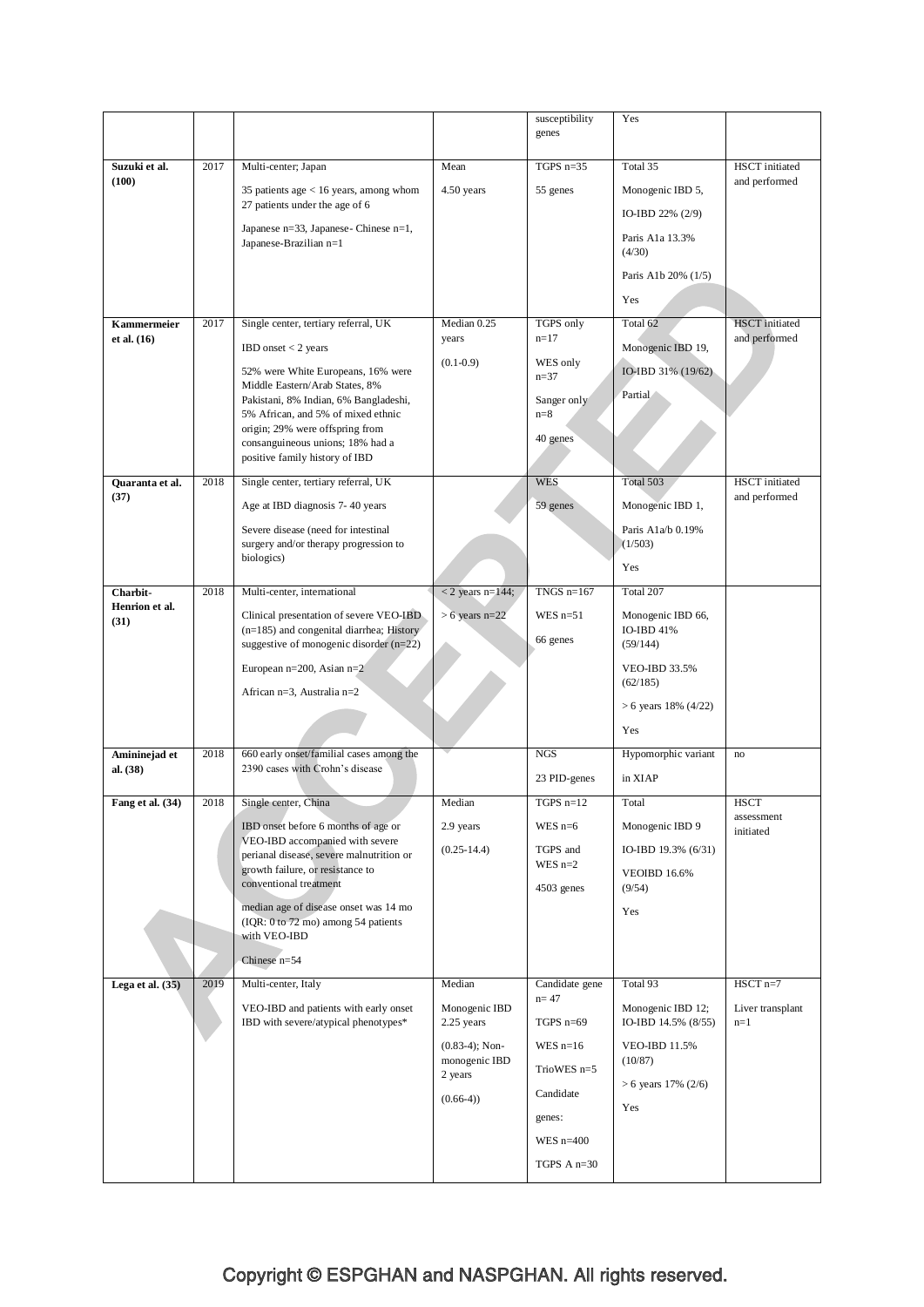|                        |      |                                                                                         |                                    | susceptibility<br>genes | Yes                              |                                 |
|------------------------|------|-----------------------------------------------------------------------------------------|------------------------------------|-------------------------|----------------------------------|---------------------------------|
|                        |      |                                                                                         |                                    |                         |                                  |                                 |
| Suzuki et al.<br>(100) | 2017 | Multi-center; Japan                                                                     | Mean                               | TGPS $n=35$             | Total 35                         | HSCT initiated<br>and performed |
|                        |      | 35 patients age $< 16$ years, among whom<br>27 patients under the age of 6              | 4.50 years                         | 55 genes                | Monogenic IBD 5,                 |                                 |
|                        |      |                                                                                         |                                    |                         | IO-IBD $22\%$ (2/9)              |                                 |
|                        |      | Japanese n=33, Japanese-Chinese n=1,<br>Japanese-Brazilian n=1                          |                                    |                         | Paris A1a 13.3%<br>(4/30)        |                                 |
|                        |      |                                                                                         |                                    |                         | Paris A1b 20% (1/5)              |                                 |
|                        |      |                                                                                         |                                    |                         | Yes                              |                                 |
| <b>Kammermeier</b>     | 2017 | Single center, tertiary referral, UK                                                    | Median 0.25                        | TGPS only               | Total 62                         | <b>HSCT</b> initiated           |
| et al. $(16)$          |      | IBD onset $<$ 2 years                                                                   | years                              | $n = 17$                | Monogenic IBD 19,                | and performed                   |
|                        |      | 52% were White Europeans, 16% were                                                      | $(0.1-0.9)$                        | WES only<br>$n = 37$    | IO-IBD 31% (19/62)               |                                 |
|                        |      | Middle Eastern/Arab States, 8%<br>Pakistani, 8% Indian, 6% Bangladeshi,                 |                                    | Sanger only             | Partial                          |                                 |
|                        |      | 5% African, and 5% of mixed ethnic                                                      |                                    | $n=8$                   |                                  |                                 |
|                        |      | origin; 29% were offspring from<br>consanguineous unions; 18% had a                     |                                    | 40 genes                |                                  |                                 |
|                        |      | positive family history of IBD                                                          |                                    |                         |                                  |                                 |
| Quaranta et al.        | 2018 | Single center, tertiary referral, UK                                                    |                                    | <b>WES</b>              | Total 503                        | <b>HSCT</b> initiated           |
| (37)                   |      | Age at IBD diagnosis 7-40 years                                                         |                                    | 59 genes                | Monogenic IBD 1,                 | and performed                   |
|                        |      | Severe disease (need for intestinal<br>surgery and/or therapy progression to            |                                    |                         | Paris A1a/b 0.19%<br>(1/503)     |                                 |
|                        |      | biologics)                                                                              |                                    |                         | Yes                              |                                 |
| Charbit-               | 2018 | Multi-center, international                                                             | $<$ 2 years n=144;                 | TNGS $n=167$            | Total 207                        |                                 |
| Henrion et al.<br>(31) |      | Clinical presentation of severe VEO-IBD                                                 | $> 6$ years n=22                   | WES $n=51$              | Monogenic IBD 66,                |                                 |
|                        |      | $(n=185)$ and congenital diarrhea; History<br>suggestive of monogenic disorder $(n=22)$ |                                    | 66 genes                | IO-IBD 41%<br>(59/144)           |                                 |
|                        |      | European $n=200$ , Asian $n=2$<br>African n=3, Australia n=2                            |                                    |                         | <b>VEO-IBD 33.5%</b><br>(62/185) |                                 |
|                        |      |                                                                                         |                                    |                         | $> 6$ years 18% (4/22)           |                                 |
|                        |      |                                                                                         |                                    |                         | Yes                              |                                 |
| Amininejad et          | 2018 | 660 early onset/familial cases among the<br>2390 cases with Crohn's disease             |                                    | <b>NGS</b>              | Hypomorphic variant              | no                              |
| al. $(38)$             |      |                                                                                         |                                    | 23 PID-genes            | in XIAP                          |                                 |
| Fang et al. (34)       | 2018 | Single center, China                                                                    | Median                             | TGPS $n=12$             | Total                            | <b>HSCT</b><br>assessment       |
|                        |      | IBD onset before 6 months of age or<br>VEO-IBD accompanied with severe                  | 2.9 years                          | WES $n=6$               | Monogenic IBD 9                  | initiated                       |
|                        |      | perianal disease, severe malnutrition or                                                | $(0.25-14.4)$                      | TGPS and<br>WES $n=2$   | IO-IBD 19.3% (6/31)              |                                 |
|                        |      | growth failure, or resistance to<br>conventional treatment                              |                                    | $4503$ genes            | <b>VEOIBD 16.6%</b><br>(9/54)    |                                 |
|                        |      | median age of disease onset was 14 mo<br>(IQR: 0 to 72 mo) among 54 patients            |                                    |                         | Yes                              |                                 |
|                        |      | with VEO-IBD<br>Chinese $n=54$                                                          |                                    |                         |                                  |                                 |
| Lega et al. $(35)$     | 2019 | Multi-center, Italy                                                                     | Median                             | Candidate gene          | Total 93                         | $HSCT$ n=7                      |
|                        |      | VEO-IBD and patients with early onset                                                   | Monogenic IBD                      | $n = 47$                | Monogenic IBD 12;                | Liver transplant                |
|                        |      | IBD with severe/atypical phenotypes*                                                    | 2.25 years                         | TGPS $n=69$             | IO-IBD 14.5% (8/55)              | $n=1$                           |
|                        |      |                                                                                         | $(0.83-4)$ ; Non-<br>monogenic IBD | WES $n=16$              | <b>VEO-IBD 11.5%</b><br>(10/87)  |                                 |
|                        |      |                                                                                         | 2 years                            | TrioWES $n=5$           | $> 6$ years 17% (2/6)            |                                 |
|                        |      |                                                                                         | $(0.66-4)$                         | Candidate               | Yes                              |                                 |
|                        |      |                                                                                         |                                    | genes:                  |                                  |                                 |
|                        |      |                                                                                         |                                    | WES $n=400$             |                                  |                                 |
|                        |      |                                                                                         |                                    | TGPS $A$ n=30           |                                  |                                 |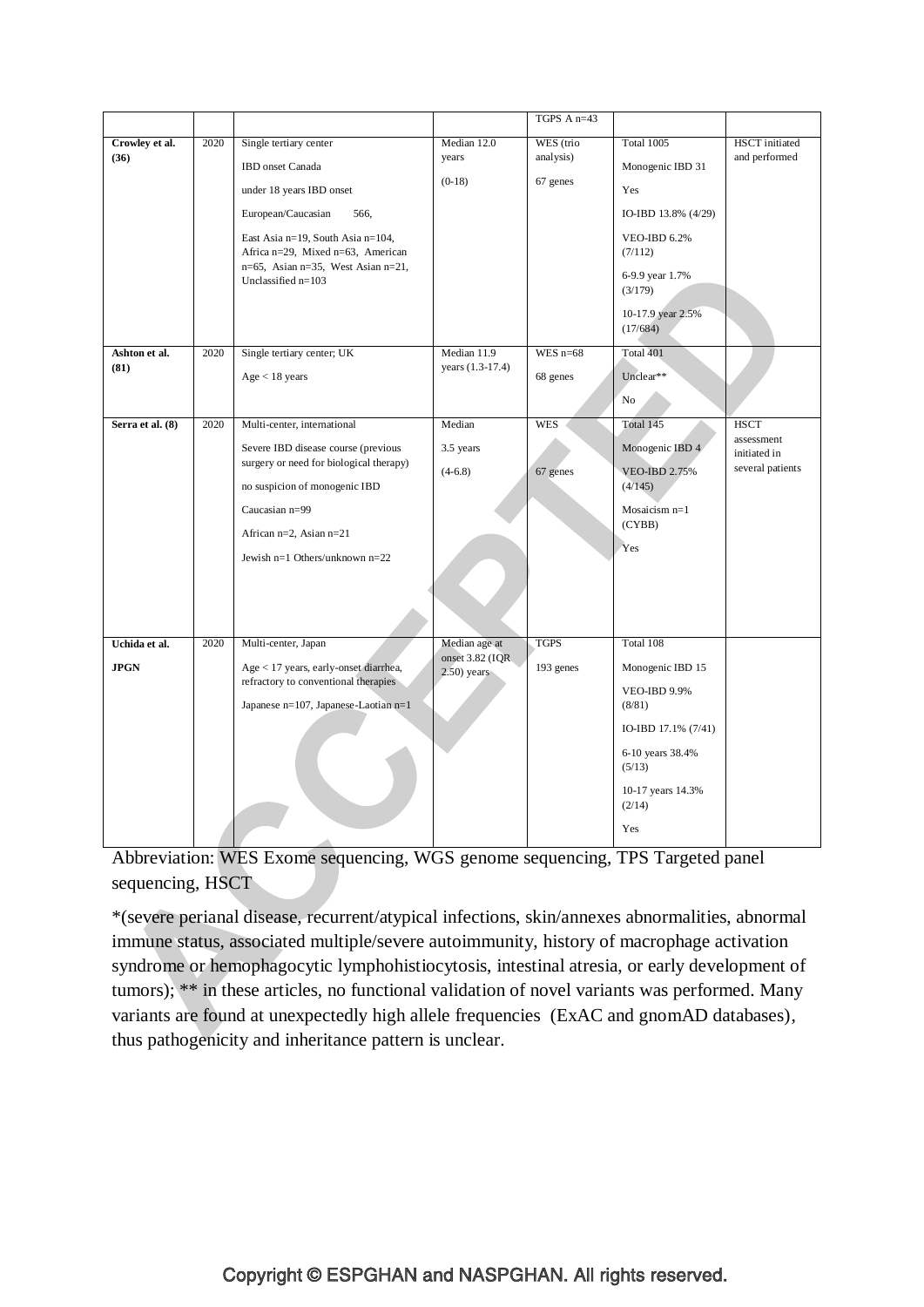|                              |      |                                                                                                                                                                                                                                                     |                                                    | TGPS A n=43                        |                                                                                                                                                                      |                                                               |
|------------------------------|------|-----------------------------------------------------------------------------------------------------------------------------------------------------------------------------------------------------------------------------------------------------|----------------------------------------------------|------------------------------------|----------------------------------------------------------------------------------------------------------------------------------------------------------------------|---------------------------------------------------------------|
| Crowley et al.<br>(36)       | 2020 | Single tertiary center<br>IBD onset Canada<br>under 18 years IBD onset<br>European/Caucasian<br>566,<br>East Asia n=19, South Asia n=104,<br>Africa n=29, Mixed n=63, American<br>$n=65$ , Asian $n=35$ , West Asian $n=21$ ,<br>Unclassified n=103 | Median 12.0<br>vears<br>$(0-18)$                   | WES (trio<br>analysis)<br>67 genes | <b>Total 1005</b><br>Monogenic IBD 31<br>Yes<br>IO-IBD 13.8% (4/29)<br><b>VEO-IBD 6.2%</b><br>(7/112)<br>6-9.9 year 1.7%<br>(3/179)<br>10-17.9 year 2.5%<br>(17/684) | HSCT initiated<br>and performed                               |
| Ashton et al.<br>(81)        | 2020 | Single tertiary center; UK<br>Age < 18 years                                                                                                                                                                                                        | Median 11.9<br>years (1.3-17.4)                    | WES $n=68$<br>68 genes             | Total 401<br>Unclear**                                                                                                                                               |                                                               |
|                              |      |                                                                                                                                                                                                                                                     |                                                    |                                    | No                                                                                                                                                                   |                                                               |
| Serra et al. (8)             | 2020 | Multi-center, international<br>Severe IBD disease course (previous<br>surgery or need for biological therapy)<br>no suspicion of monogenic IBD<br>Caucasian n=99<br>African n=2, Asian n=21<br>Jewish $n=1$ Others/unknown $n=22$                   | Median<br>3.5 years<br>$(4-6.8)$                   | <b>WES</b><br>67 genes             | Total 145<br>Monogenic IBD 4<br><b>VEO-IBD 2.75%</b><br>(4/145)<br>Mosaicism <sub>n=1</sub><br>(CYBB)<br>Yes                                                         | <b>HSCT</b><br>assessment<br>initiated in<br>several patients |
| Uchida et al.<br><b>JPGN</b> | 2020 | Multi-center, Japan<br>Age < 17 years, early-onset diarrhea,<br>refractory to conventional therapies<br>Japanese n=107, Japanese-Laotian n=1                                                                                                        | Median age at<br>onset 3.82 (IQR<br>$2.50$ ) years | <b>TGPS</b><br>193 genes           | Total 108<br>Monogenic IBD 15<br><b>VEO-IBD 9.9%</b><br>(8/81)<br>IO-IBD 17.1% (7/41)<br>6-10 years 38.4%<br>(5/13)<br>10-17 years 14.3%<br>(2/14)<br>Yes            |                                                               |

Abbreviation: WES Exome sequencing, WGS genome sequencing, TPS Targeted panel sequencing, HSCT

\*(severe perianal disease, recurrent/atypical infections, skin/annexes abnormalities, abnormal immune status, associated multiple/severe autoimmunity, history of macrophage activation syndrome or hemophagocytic lymphohistiocytosis, intestinal atresia, or early development of tumors); \*\* in these articles, no functional validation of novel variants was performed. Many variants are found at unexpectedly high allele frequencies (ExAC and gnomAD databases), thus pathogenicity and inheritance pattern is unclear.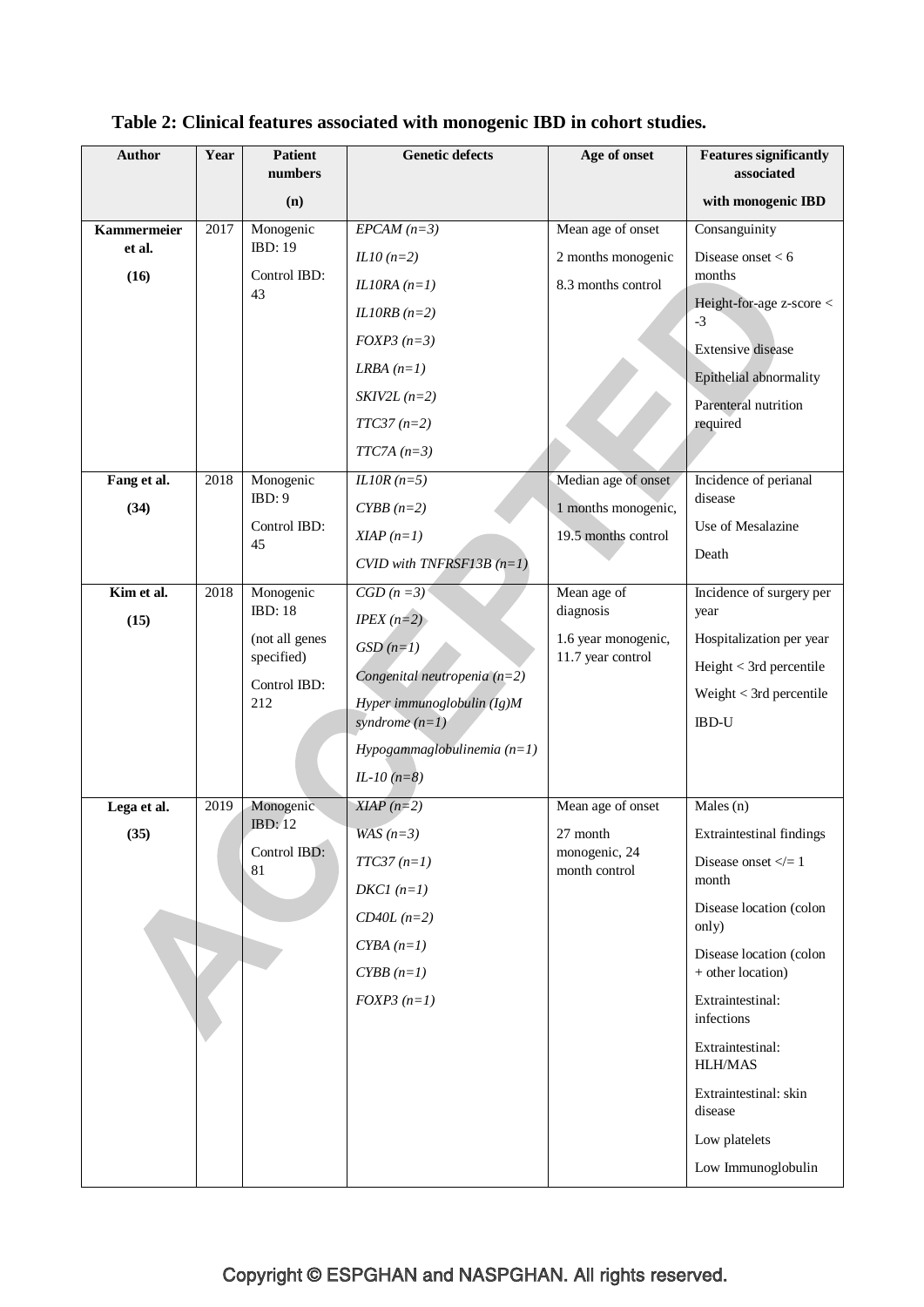| <b>Author</b>      | Year | <b>Patient</b><br>numbers    | <b>Genetic defects</b>         | Age of onset                             | <b>Features significantly</b><br>associated  |
|--------------------|------|------------------------------|--------------------------------|------------------------------------------|----------------------------------------------|
|                    |      | (n)                          |                                |                                          | with monogenic IBD                           |
| <b>Kammermeier</b> | 2017 | Monogenic                    | $EPCAM (n=3)$                  | Mean age of onset                        | Consanguinity                                |
| et al.             |      | <b>IBD: 19</b>               | $IL10(n=2)$                    | 2 months monogenic                       | Disease onset $< 6$                          |
| (16)               |      | Control IBD:                 | IL10RA $(n=1)$                 | 8.3 months control                       | months                                       |
|                    |      | 43                           | IL10RB $(n=2)$                 |                                          | Height-for-age z-score <                     |
|                    |      |                              | $FOXP3 (n=3)$                  |                                          | $-3$                                         |
|                    |      |                              | LRBA $(n=1)$                   |                                          | <b>Extensive</b> disease                     |
|                    |      |                              | $SKIV2L(n=2)$                  |                                          | Epithelial abnormality                       |
|                    |      |                              | $TTC37 (n=2)$                  |                                          | Parenteral nutrition<br>required             |
|                    |      |                              | $TTC7A(n=3)$                   |                                          |                                              |
| Fang et al.        | 2018 | Monogenic                    | $ILIOR(n=5)$                   | Median age of onset                      | Incidence of perianal                        |
| (34)               |      | IBD:9                        | $CYBB(n=2)$                    | 1 months monogenic,                      | disease                                      |
|                    |      | Control IBD:<br>45           | $XIAP(n=1)$                    | 19.5 months control                      | Use of Mesalazine                            |
|                    |      |                              | CVID with TNFRSF13B $(n=1)$    |                                          | Death                                        |
| Kim et al.         | 2018 | Monogenic                    | $\overline{CGD(n=3)}$          | Mean age of                              | Incidence of surgery per                     |
| (15)               |      | <b>IBD: 18</b>               | $IPEX(n=2)$                    | diagnosis                                | year                                         |
|                    |      | (not all genes<br>specified) | $GSD(n=1)$                     | 1.6 year monogenic,<br>11.7 year control | Hospitalization per year                     |
|                    |      | Control IBD:                 | Congenital neutropenia $(n=2)$ |                                          | Height < 3rd percentile                      |
|                    |      | 212                          | Hyper immunoglobulin $(Ig)M$   |                                          | Weight $<$ 3rd percentile                    |
|                    |      |                              | syndrome $(n=1)$               |                                          | <b>IBD-U</b>                                 |
|                    |      |                              | Hypogammaglobulinemia $(n=1)$  |                                          |                                              |
|                    |      |                              | $IL-10$ ( $n=8$ )              |                                          |                                              |
| Lega et al.        | 2019 | Monogenic<br>IBD:12          | $XIAP (n=2)$                   | Mean age of onset                        | Males (n)                                    |
| (35)               |      | Control IBD:                 | WAS $(n=3)$                    | 27 month<br>monogenic, 24                | <b>Extraintestinal findings</b>              |
|                    |      | 81                           | $TTC37(n=1)$                   | month control                            | Disease onset $\lt=1$<br>month               |
|                    |      |                              | $DKCI$ ( $n=1$ )               |                                          | Disease location (colon                      |
|                    |      |                              | $CD40L (n=2)$                  |                                          | only)                                        |
|                    |      |                              | $CYBA(n=1)$<br>$CYBB(n=1)$     |                                          | Disease location (colon<br>+ other location) |
|                    |      |                              | $FOXP3(n=1)$                   |                                          | Extraintestinal:                             |
|                    |      |                              |                                |                                          | infections                                   |
|                    |      |                              |                                |                                          | Extraintestinal:<br><b>HLH/MAS</b>           |
|                    |      |                              |                                |                                          | Extraintestinal: skin<br>disease             |
|                    |      |                              |                                |                                          | Low platelets                                |
|                    |      |                              |                                |                                          | Low Immunoglobulin                           |

# **Table 2: Clinical features associated with monogenic IBD in cohort studies.**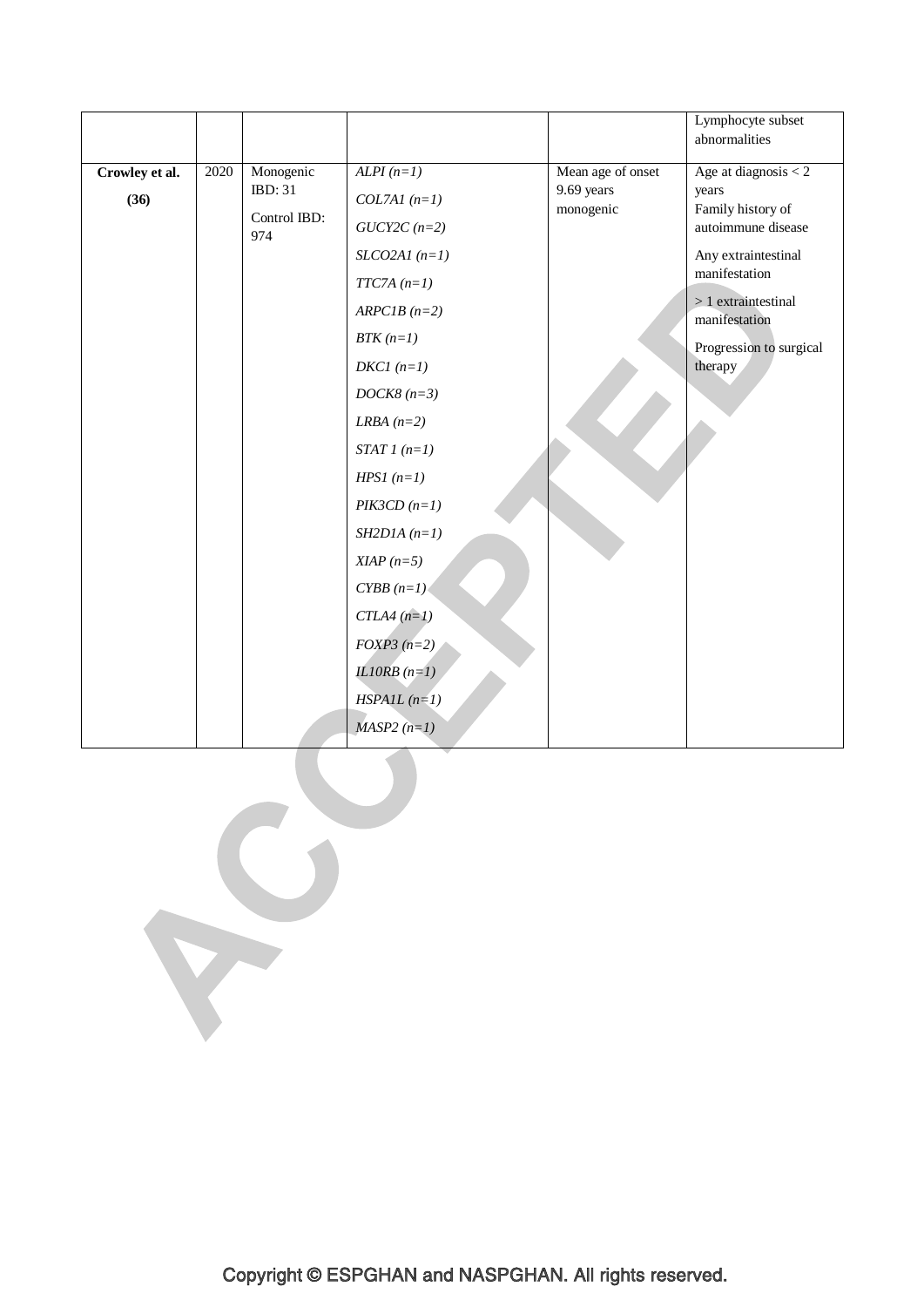|                |      |                      |                                  |                                 | Lymphocyte subset<br>abnormalities   |
|----------------|------|----------------------|----------------------------------|---------------------------------|--------------------------------------|
|                |      |                      |                                  |                                 |                                      |
| Crowley et al. | 2020 | Monogenic<br>IBD: 31 | $ALPI(n=1)$                      | Mean age of onset<br>9.69 years | Age at diagnosis $<$ 2<br>years      |
| (36)           |      | Control IBD:         | $COL7AI$ $(n=1)$                 | monogenic                       | Family history of                    |
|                |      | 974                  | $GUCY2C\left( n\text{=}2\right)$ |                                 | autoimmune disease                   |
|                |      |                      | $SLCO2AI$ (n=1)                  |                                 | Any extraintestinal<br>manifestation |
|                |      |                      | $TTC7A (n=1)$                    |                                 | $>1$ extraintestinal                 |
|                |      |                      | $ARPCIB (n=2)$                   |                                 | manifestation                        |
|                |      |                      | $BTK(n=1)$                       |                                 | Progression to surgical              |
|                |      |                      | $DKCI (n=1)$                     |                                 | therapy                              |
|                |      |                      | $DOCK8 (n=3)$                    |                                 |                                      |
|                |      |                      | LRBA $(n=2)$                     |                                 |                                      |
|                |      |                      | $STAT1(n=1)$                     |                                 |                                      |
|                |      |                      | $HPSI (n=1)$                     |                                 |                                      |
|                |      |                      | $PIK3CD (n=1)$                   |                                 |                                      |
|                |      |                      | $SH2D1A(n=1)$                    |                                 |                                      |
|                |      |                      | $XIAP(n=5)$                      |                                 |                                      |
|                |      |                      | $CYBB(n=1)$                      |                                 |                                      |
|                |      |                      | $CTLA4(n=1)$                     |                                 |                                      |
|                |      |                      | $FOXP3(n=2)$                     |                                 |                                      |
|                |      |                      | IL10RB $(n=1)$                   |                                 |                                      |
|                |      |                      | $HSPAIL(n=1)$                    |                                 |                                      |
|                |      |                      | $MASP2(n=1)$                     |                                 |                                      |
|                |      |                      |                                  |                                 |                                      |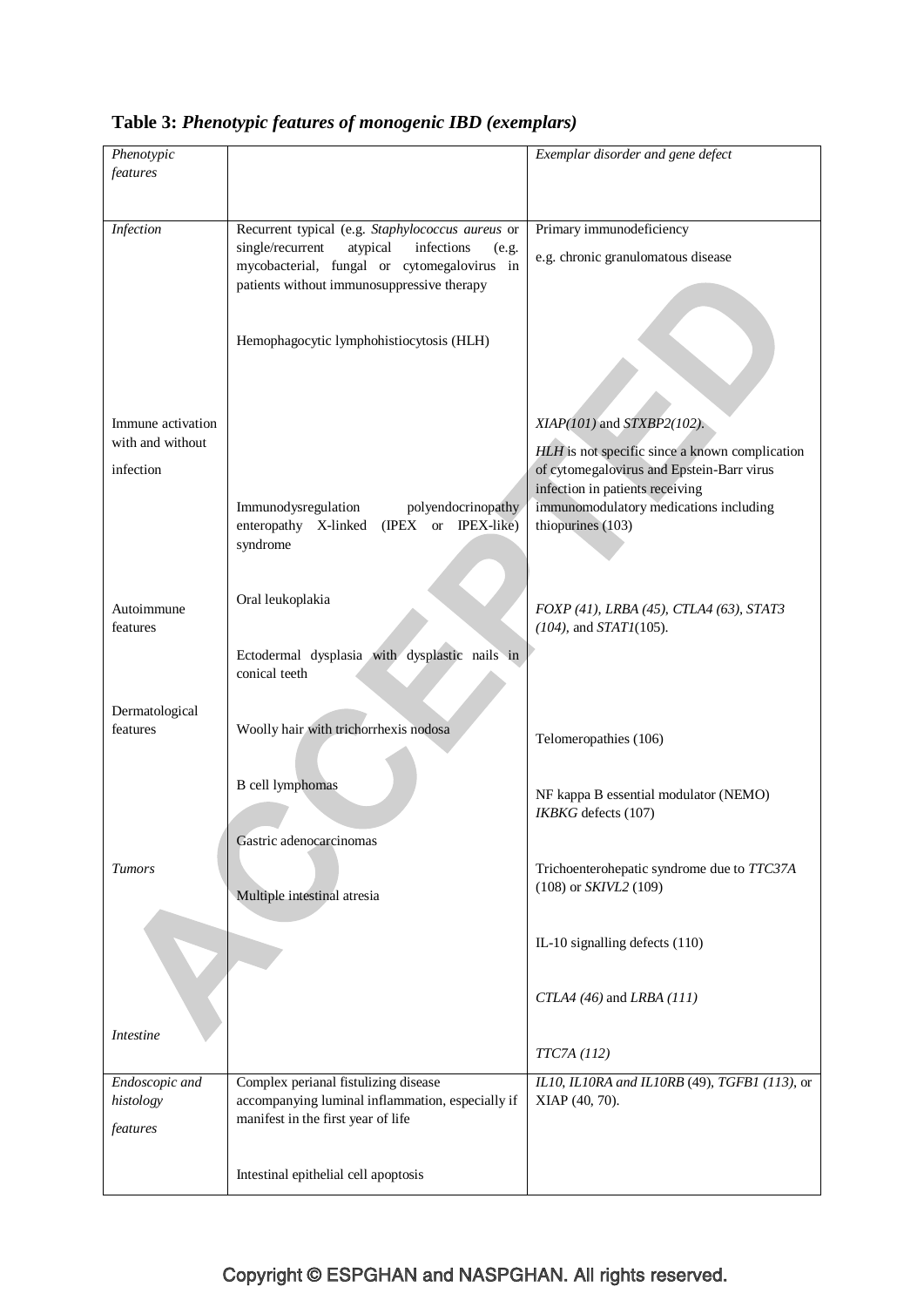| Table 3: Phenotypic features of monogenic IBD (exemplars) |  |  |  |  |
|-----------------------------------------------------------|--|--|--|--|
|-----------------------------------------------------------|--|--|--|--|

| Phenotypic                    |                                                                                                    | Exemplar disorder and gene defect                                                           |
|-------------------------------|----------------------------------------------------------------------------------------------------|---------------------------------------------------------------------------------------------|
| features                      |                                                                                                    |                                                                                             |
|                               |                                                                                                    |                                                                                             |
| Infection                     | Recurrent typical (e.g. Staphylococcus aureus or                                                   | Primary immunodeficiency                                                                    |
|                               | single/recurrent<br>atypical<br>infections<br>(e.g.<br>mycobacterial, fungal or cytomegalovirus in | e.g. chronic granulomatous disease                                                          |
|                               | patients without immunosuppressive therapy                                                         |                                                                                             |
|                               | Hemophagocytic lymphohistiocytosis (HLH)                                                           |                                                                                             |
|                               |                                                                                                    |                                                                                             |
| Immune activation             |                                                                                                    | $XIAP(101)$ and $STXBP2(102)$ .                                                             |
| with and without<br>infection |                                                                                                    | HLH is not specific since a known complication<br>of cytomegalovirus and Epstein-Barr virus |
|                               |                                                                                                    | infection in patients receiving                                                             |
|                               | polyendocrinopathy<br>Immunodysregulation<br>enteropathy X-linked<br>(IPEX or IPEX-like)           | immunomodulatory medications including<br>thiopurines (103)                                 |
|                               | syndrome                                                                                           |                                                                                             |
|                               |                                                                                                    |                                                                                             |
| Autoimmune                    | Oral leukoplakia                                                                                   | FOXP (41), LRBA (45), CTLA4 (63), STAT3                                                     |
| features                      |                                                                                                    | $(104)$ , and $STATI(105)$ .                                                                |
|                               | Ectodermal dysplasia with dysplastic nails in<br>conical teeth                                     |                                                                                             |
|                               |                                                                                                    |                                                                                             |
| Dermatological<br>features    | Woolly hair with trichorrhexis nodosa                                                              | Telomeropathies (106)                                                                       |
|                               |                                                                                                    |                                                                                             |
|                               | <b>B</b> cell lymphomas                                                                            | NF kappa B essential modulator (NEMO)                                                       |
|                               |                                                                                                    | IKBKG defects (107)                                                                         |
|                               | Gastric adenocarcinomas                                                                            |                                                                                             |
| <b>Tumors</b>                 |                                                                                                    | Trichoenterohepatic syndrome due to TTC37A<br>(108) or SKIVL2 (109)                         |
|                               | Multiple intestinal atresia                                                                        |                                                                                             |
|                               |                                                                                                    | IL-10 signalling defects (110)                                                              |
|                               |                                                                                                    |                                                                                             |
|                               |                                                                                                    | CTLA4 (46) and LRBA (111)                                                                   |
| <i>Intestine</i>              |                                                                                                    |                                                                                             |
|                               |                                                                                                    | <i>TTC7A</i> (112)                                                                          |
| Endoscopic and<br>histology   | Complex perianal fistulizing disease<br>accompanying luminal inflammation, especially if           | IL10, IL10RA and IL10RB (49), TGFB1 (113), or<br>XIAP (40, 70).                             |
| features                      | manifest in the first year of life                                                                 |                                                                                             |
|                               |                                                                                                    |                                                                                             |
|                               | Intestinal epithelial cell apoptosis                                                               |                                                                                             |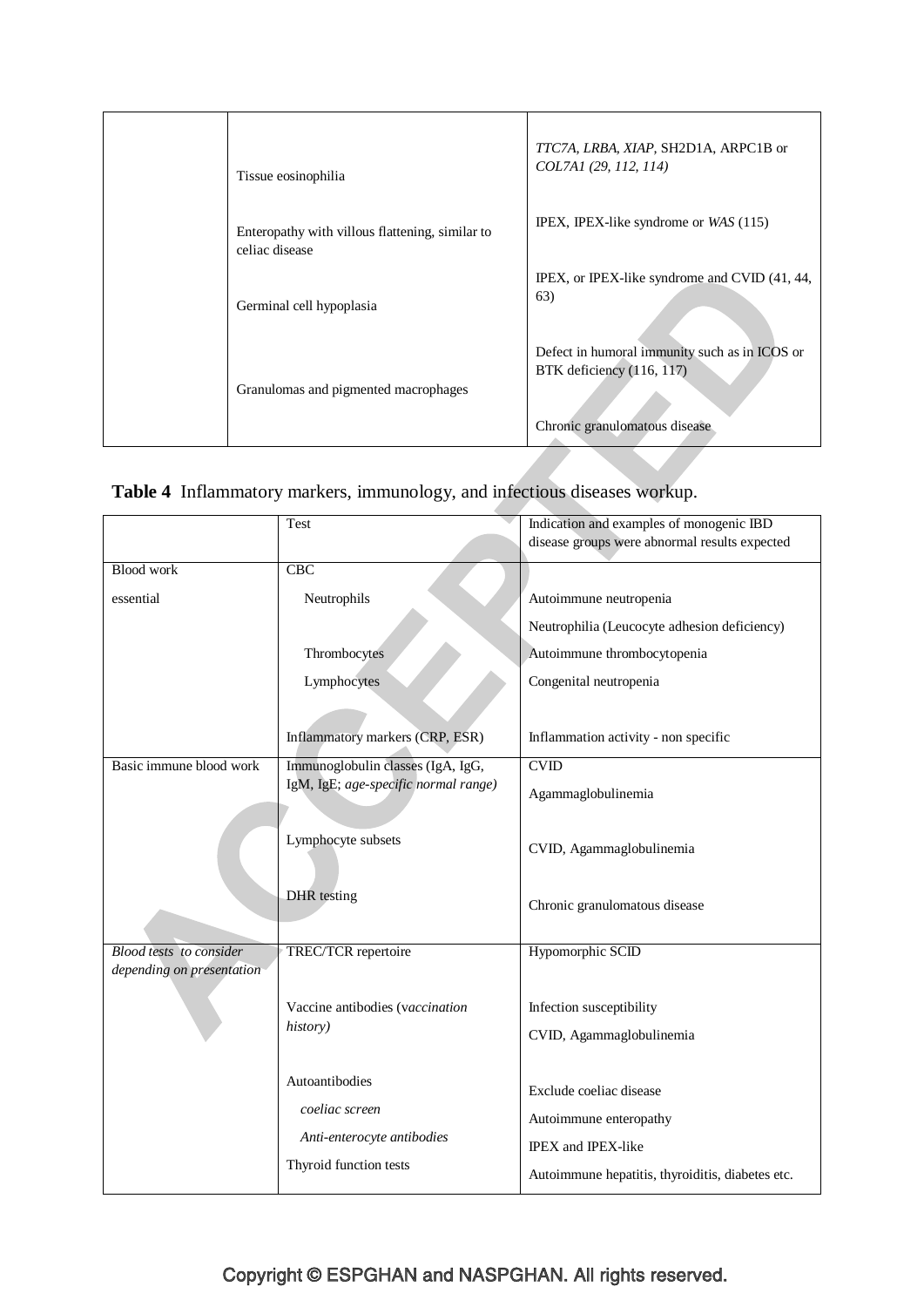| Tissue eosinophilia                                               | TTC7A, LRBA, XIAP, SH2D1A, ARPC1B or<br>COL7A1 (29, 112, 114)              |
|-------------------------------------------------------------------|----------------------------------------------------------------------------|
| Enteropathy with villous flattening, similar to<br>celiac disease | IPEX, IPEX-like syndrome or $WAS(115)$                                     |
| Germinal cell hypoplasia                                          | IPEX, or IPEX-like syndrome and CVID (41, 44,<br>63)                       |
| Granulomas and pigmented macrophages                              | Defect in humoral immunity such as in ICOS or<br>BTK deficiency (116, 117) |
|                                                                   | Chronic granulomatous disease                                              |

# **Table 4** Inflammatory markers, immunology, and infectious diseases workup.

|                                | Test                                 | Indication and examples of monogenic IBD         |
|--------------------------------|--------------------------------------|--------------------------------------------------|
|                                |                                      | disease groups were abnormal results expected    |
| <b>Blood work</b>              | <b>CBC</b>                           |                                                  |
|                                |                                      |                                                  |
| essential                      | Neutrophils                          | Autoimmune neutropenia                           |
|                                |                                      | Neutrophilia (Leucocyte adhesion deficiency)     |
|                                | Thrombocytes                         | Autoimmune thrombocytopenia                      |
|                                | Lymphocytes                          | Congenital neutropenia                           |
|                                |                                      |                                                  |
|                                | Inflammatory markers (CRP, ESR)      | Inflammation activity - non specific             |
| Basic immune blood work        | Immunoglobulin classes (IgA, IgG,    | CVD                                              |
|                                | IgM, IgE; age-specific normal range) | Agammaglobulinemia                               |
|                                |                                      |                                                  |
|                                | Lymphocyte subsets                   | CVID, Agammaglobulinemia                         |
|                                |                                      |                                                  |
|                                | DHR testing                          | Chronic granulomatous disease                    |
|                                |                                      |                                                  |
| <b>Blood tests</b> to consider | TREC/TCR repertoire                  | Hypomorphic SCID                                 |
| depending on presentation      |                                      |                                                  |
|                                |                                      |                                                  |
|                                | Vaccine antibodies (vaccination      | Infection susceptibility                         |
|                                | history)                             | CVID, Agammaglobulinemia                         |
|                                |                                      |                                                  |
|                                | Autoantibodies                       |                                                  |
|                                |                                      | Exclude coeliac disease                          |
|                                | coeliac screen                       | Autoimmune enteropathy                           |
|                                | Anti-enterocyte antibodies           | IPEX and IPEX-like                               |
|                                | Thyroid function tests               |                                                  |
|                                |                                      | Autoimmune hepatitis, thyroiditis, diabetes etc. |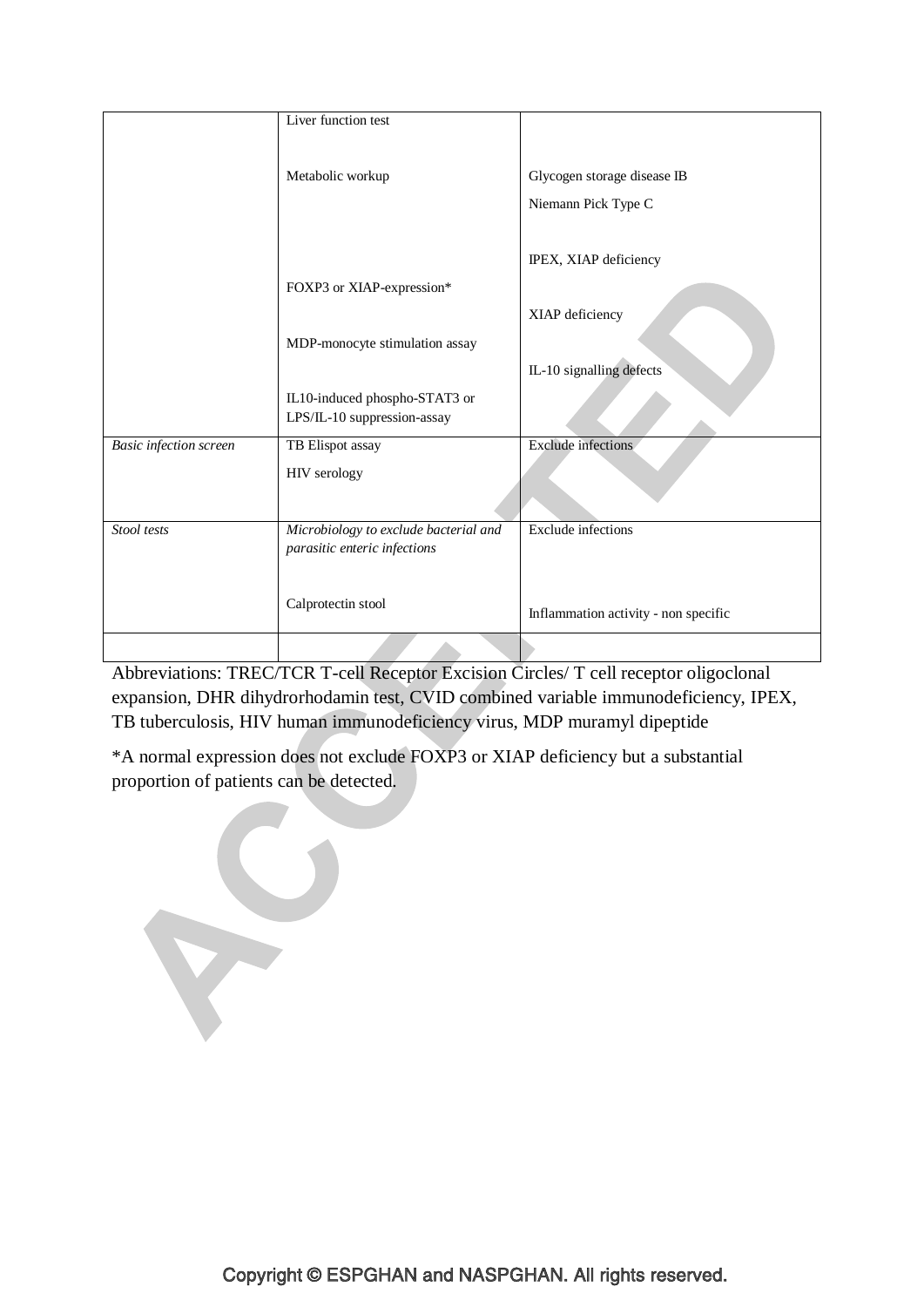|                               | Liver function test                   |                                      |
|-------------------------------|---------------------------------------|--------------------------------------|
|                               |                                       |                                      |
|                               |                                       |                                      |
|                               | Metabolic workup                      | Glycogen storage disease IB          |
|                               |                                       | Niemann Pick Type C                  |
|                               |                                       |                                      |
|                               |                                       | IPEX, XIAP deficiency                |
|                               | FOXP3 or XIAP-expression*             |                                      |
|                               |                                       | XIAP deficiency                      |
|                               | MDP-monocyte stimulation assay        |                                      |
|                               |                                       | IL-10 signalling defects             |
|                               | IL10-induced phospho-STAT3 or         |                                      |
|                               | LPS/IL-10 suppression-assay           |                                      |
| <b>Basic</b> infection screen | TB Elispot assay                      | <b>Exclude</b> infections            |
|                               | HIV serology                          |                                      |
|                               |                                       |                                      |
|                               |                                       |                                      |
| Stool tests                   | Microbiology to exclude bacterial and | <b>Exclude</b> infections            |
|                               | parasitic enteric infections          |                                      |
|                               |                                       |                                      |
|                               | Calprotectin stool                    |                                      |
|                               |                                       | Inflammation activity - non specific |
|                               |                                       |                                      |

Abbreviations: TREC/TCR T-cell Receptor Excision Circles/ T cell receptor oligoclonal expansion, DHR dihydrorhodamin test, CVID combined variable immunodeficiency, IPEX, TB tuberculosis, HIV human immunodeficiency virus, MDP muramyl dipeptide

\*A normal expression does not exclude FOXP3 or XIAP deficiency but a substantial proportion of patients can be detected.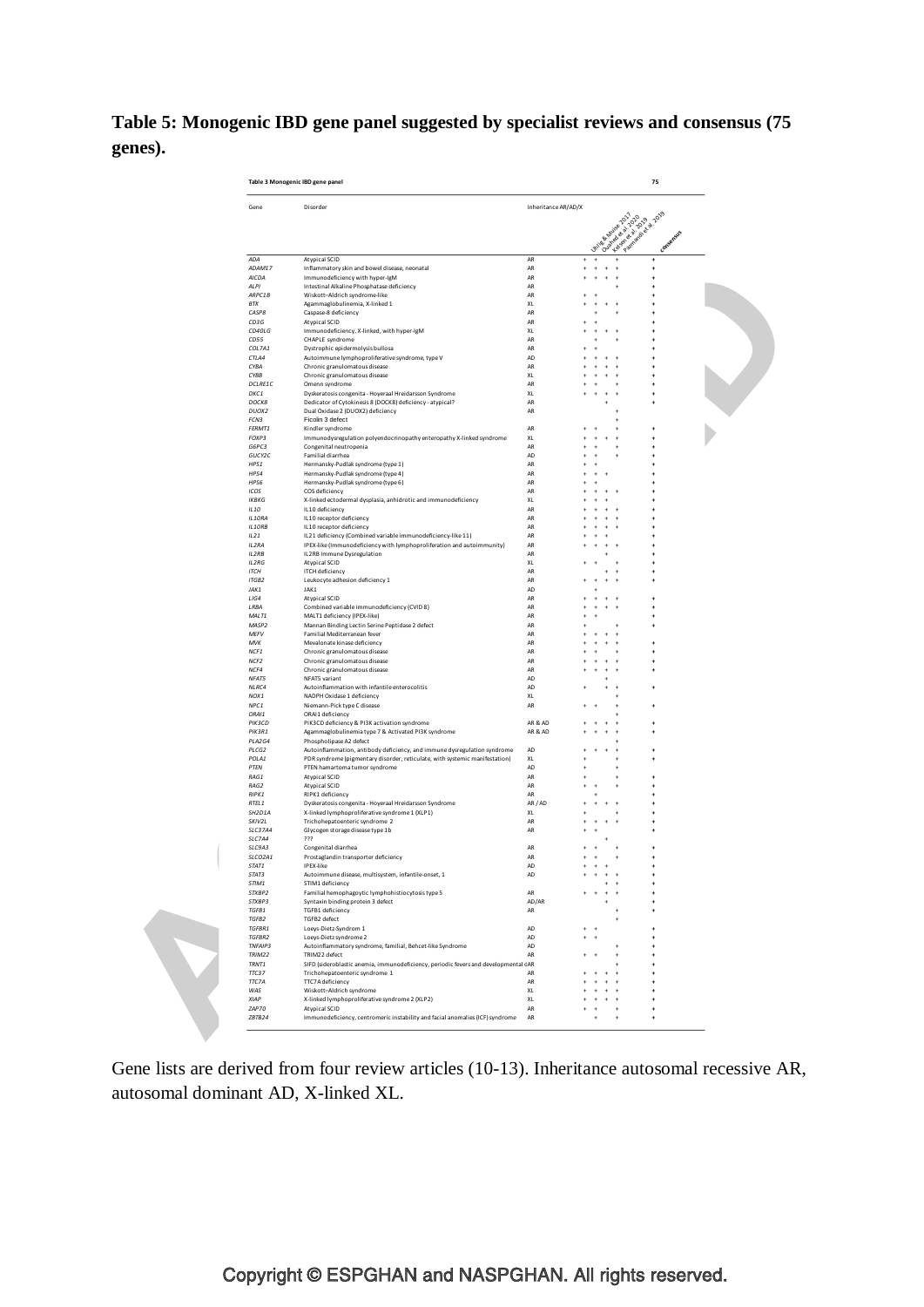**Table 5: Monogenic IBD gene panel suggested by specialist reviews and consensus (75 genes).**

| Gene              | Disorder                                                                            | Inheritance AR/AD/X |               |                                             |                    |  |
|-------------------|-------------------------------------------------------------------------------------|---------------------|---------------|---------------------------------------------|--------------------|--|
|                   |                                                                                     |                     |               |                                             |                    |  |
|                   |                                                                                     |                     | Unite & Multe | Contract of British<br>Antalgon et al. 2019 | Patriachia di 2019 |  |
| <b>ADA</b>        | <b>Atypical SCID</b>                                                                | AR                  |               |                                             | conse              |  |
| ADAM17            | Inflammatory skin and bowel disease, neonatal                                       | AR                  |               |                                             |                    |  |
| AICDA             | Immunodeficiency with hyper-IgM                                                     | AR                  |               |                                             | ٠                  |  |
| <b>ALPI</b>       | Intestinal Alkaline Phosphatase deficiency                                          | AR                  |               |                                             |                    |  |
| ARPC1B            | Wiskott-Aldrich syndrome-like                                                       | AR                  |               |                                             |                    |  |
| <b>BTK</b>        | Agammaglobulinemia, X-linked 1                                                      | XL                  |               |                                             |                    |  |
| CASP8             | Caspase-8 deficiency                                                                | AR                  |               |                                             |                    |  |
| CD3G              | Atypical SCID                                                                       | AR                  |               |                                             |                    |  |
| CD40LG            | Immunodeficiency, X-linked, with hyper-IgM                                          | XL                  |               |                                             |                    |  |
| CD55<br>COL7A1    | CHAPLE syndrome<br>Dystrophic epidermolysis bullosa                                 | AR<br>AR            |               |                                             |                    |  |
| CTLA4             | Autoimmune lymphoproliferative syndrome, type V                                     | AD                  |               |                                             |                    |  |
| CYBA              | Chronic granulomatous disease                                                       | AR                  |               |                                             |                    |  |
| CYBB              | Chronic granulomatous disease                                                       | XL                  |               |                                             |                    |  |
| DCLRE1C           | Omenn syndrome                                                                      | AR                  |               |                                             |                    |  |
| DKC1              | Dyskeratosis congenita - Hoyeraal Hreidarsson Syndrome                              | XL                  |               |                                             |                    |  |
| <b>DOCK8</b>      | Dedicator of Cytokinesis 8 (DOCK8) deficiency - atypical?                           | AR                  |               |                                             |                    |  |
| DUOX2             | Dual Oxidase 2 (DUOX2) deficiency                                                   | AR                  |               |                                             |                    |  |
| FCN3              | Ficolin 3 defect                                                                    |                     |               |                                             |                    |  |
| FERMT1            | Kindler syndrome                                                                    | AR                  |               |                                             |                    |  |
| FOXP3             | Immunodysregulation polyendocrinopathy enteropathy X-linked syndrome                | XL                  |               |                                             |                    |  |
| G6PC3             | Congenital neutropenia                                                              | AR                  |               |                                             |                    |  |
| GUCY2C<br>HPS1    | Familial diarrhea                                                                   | AD<br>AR            |               |                                             |                    |  |
| HPS4              | Hermansky-Pudlak syndrome (type 1)<br>Hermansky-Pudlak syndrome (type 4)            | AR                  |               |                                             |                    |  |
| HPS6              | Hermansky-Pudlak syndrome (type 6)                                                  | AR                  |               |                                             |                    |  |
| ICOS              | COS deficiency                                                                      | AR                  |               |                                             |                    |  |
| <b>IKBKG</b>      | X-linked ectodermal dysplasia, anhidrotic and immunodeficiency                      | XL                  |               |                                             |                    |  |
| ILIO              | IL10 deficiency                                                                     | AR                  |               |                                             |                    |  |
| IL10RA            | IL10 receptor deficiency                                                            | AR                  |               |                                             |                    |  |
| IL10RB            | IL10 receptor deficiency                                                            | AR                  |               |                                             |                    |  |
| IL21              | IL21 deficiency (Combined variable immunodeficiency-like 11)                        | AR                  |               |                                             |                    |  |
| IL2RA             | IPEX-like (Immunodeficiency with lymphoproliferation and autoimmunity)              | AR                  |               |                                             |                    |  |
| IL2RB             | IL2RB Immune Dysregulation                                                          | AR                  |               |                                             |                    |  |
| <b>IL2RG</b>      | Atypical SCID                                                                       | XL                  |               |                                             |                    |  |
| <b>ITCH</b>       | <b>ITCH</b> deficiency                                                              | AR                  |               |                                             |                    |  |
| ITGB2             | Leukocyte adhesion deficiency 1                                                     | AR                  |               |                                             |                    |  |
| JAK1<br>LIG4      | JAK1<br>Atypical SCID                                                               | AD<br>AR            |               |                                             |                    |  |
| LRBA              | Combined variable immunodeficiency (CVID 8)                                         | AR                  |               |                                             |                    |  |
| MALT1             | MALT1 deficiency (IPEX-like)                                                        | AR                  |               |                                             |                    |  |
| MASP <sub>2</sub> | Mannan Binding Lectin Serine Peptidase 2 defect                                     | AR                  |               |                                             |                    |  |
| MEFV              | Familial Mediterranean fever                                                        | AR                  |               |                                             |                    |  |
| MVK               | Mevalonate kinase deficiency                                                        | AR                  |               |                                             |                    |  |
| NCF1              | Chronic granulomatous disease                                                       | AR                  |               |                                             |                    |  |
| NCF <sub>2</sub>  | Chronic granulomatous disease                                                       | AR                  |               |                                             |                    |  |
| NCF4              | Chronic granulomatous disease                                                       | AR                  |               |                                             |                    |  |
| NFAT5             | NFAT5 variant                                                                       | AD                  |               |                                             |                    |  |
| NLRC4             | Autoinflammation with infantile enterocolitis                                       | AD                  |               |                                             |                    |  |
| NOX1              | NADPH Oxidase 1 deficiency                                                          | XL                  |               |                                             |                    |  |
| NPC1<br>ORAI1     | Niemann-Pick type C disease<br>ORAI1 deficiency                                     | AR                  |               |                                             |                    |  |
| PIK3CD            | PIK3CD deficiency & PI3K activation syndrome                                        | AR& AD              |               |                                             |                    |  |
| PIK3R1            | Agammaglobulinemia type 7 & Activated PI3K syndrome                                 | AR& AD              |               |                                             |                    |  |
| PLA2G4            | Phospholipase A2 defect                                                             |                     |               |                                             |                    |  |
| PLCG2             | Autoinflammation, antibody deficiency, and immune dysregulation syndrome            | AD                  |               |                                             |                    |  |
| POLA1             | PDR syndrome (pigmentary disorder, reticulate, with systemic manifestation)         | XL                  |               |                                             |                    |  |
| PTEN              | PTEN hamartoma tumor syndrome                                                       | AD                  |               |                                             |                    |  |
| RAG1              | Atypical SCID                                                                       | AR                  |               |                                             |                    |  |
| RAG2              | <b>Atypical SCID</b>                                                                | AR                  |               |                                             |                    |  |
| RIPK1             | RIPK1 deficiency                                                                    | AR                  |               |                                             |                    |  |
| RTEL <sub>1</sub> | Dyskeratosis congenita - Hoyeraal Hreidarsson Syndrome                              | AR / AD             |               |                                             |                    |  |
| SH2D1A            | X-linked lymphoproliferative syndrome 1 (XLP1)                                      | XL                  |               |                                             |                    |  |
| SKIV2L            | Trichohepatoenteric syndrome 2                                                      | AR                  |               |                                             |                    |  |
| <b>SLC37A4</b>    | Glycogen storage disease type 1b                                                    | AR                  |               |                                             |                    |  |
| SLC7A4            | ???                                                                                 |                     |               |                                             |                    |  |
| SLC9A3            | Congenital diarrhea                                                                 | AR                  |               |                                             |                    |  |
| SLCO2A1<br>STAT1  | Prostaglandin transporter deficiency<br><b>IPEX-like</b>                            | AR<br>AD            |               |                                             |                    |  |
| STAT3             | Autoimmune disease, multisystem, infantile-onset, 1                                 | AD                  |               |                                             |                    |  |
| STIM1             | STIM1 deficiency                                                                    |                     |               |                                             |                    |  |
| STXRP2            | Familial hemophagoytic lymphohistiocytosis type 5                                   | AR                  |               |                                             | ٠                  |  |
| STXBP3            | Syntaxin binding protein 3 defect                                                   | AD/AR               |               |                                             | ٠                  |  |
| TGFB1             | TGFB1 deficiency                                                                    | AR                  |               |                                             |                    |  |
| TGFB2             | TGFB2 defect                                                                        |                     |               |                                             |                    |  |
| TGFBR1            | Loeys-Dietz-Syndrom 1                                                               | AD                  |               |                                             | ٠                  |  |
| TGFBR2            | Loeys-Dietz syndrome 2                                                              | AD                  |               |                                             | ٠                  |  |
| <b>TNFAIP3</b>    | Autoinflammatory syndrome, familial, Behcet-like Syndrome                           | AD                  |               |                                             |                    |  |
| TRIM22            | TRIM22 defect                                                                       | AR                  |               |                                             |                    |  |
|                   | SIFD (sideroblastic anemia, immunodeficiency, periodic fevers and developmental cAR |                     |               |                                             |                    |  |
| TRNT1             |                                                                                     |                     |               |                                             |                    |  |
| <b>TTC37</b>      | Trichohepatoenteric syndrome 1                                                      | AR                  |               |                                             |                    |  |
| TTC7A             | TTC7A deficiency                                                                    | AR                  |               |                                             |                    |  |
| WAS               | Wiskott-Aldrich syndrome<br>X-linked lymphoproliferative syndrome 2 (XLP2)          | XL                  |               |                                             |                    |  |

Gene lists are derived from four review articles (10-13). Inheritance autosomal recessive AR, autosomal dominant AD, X-linked XL.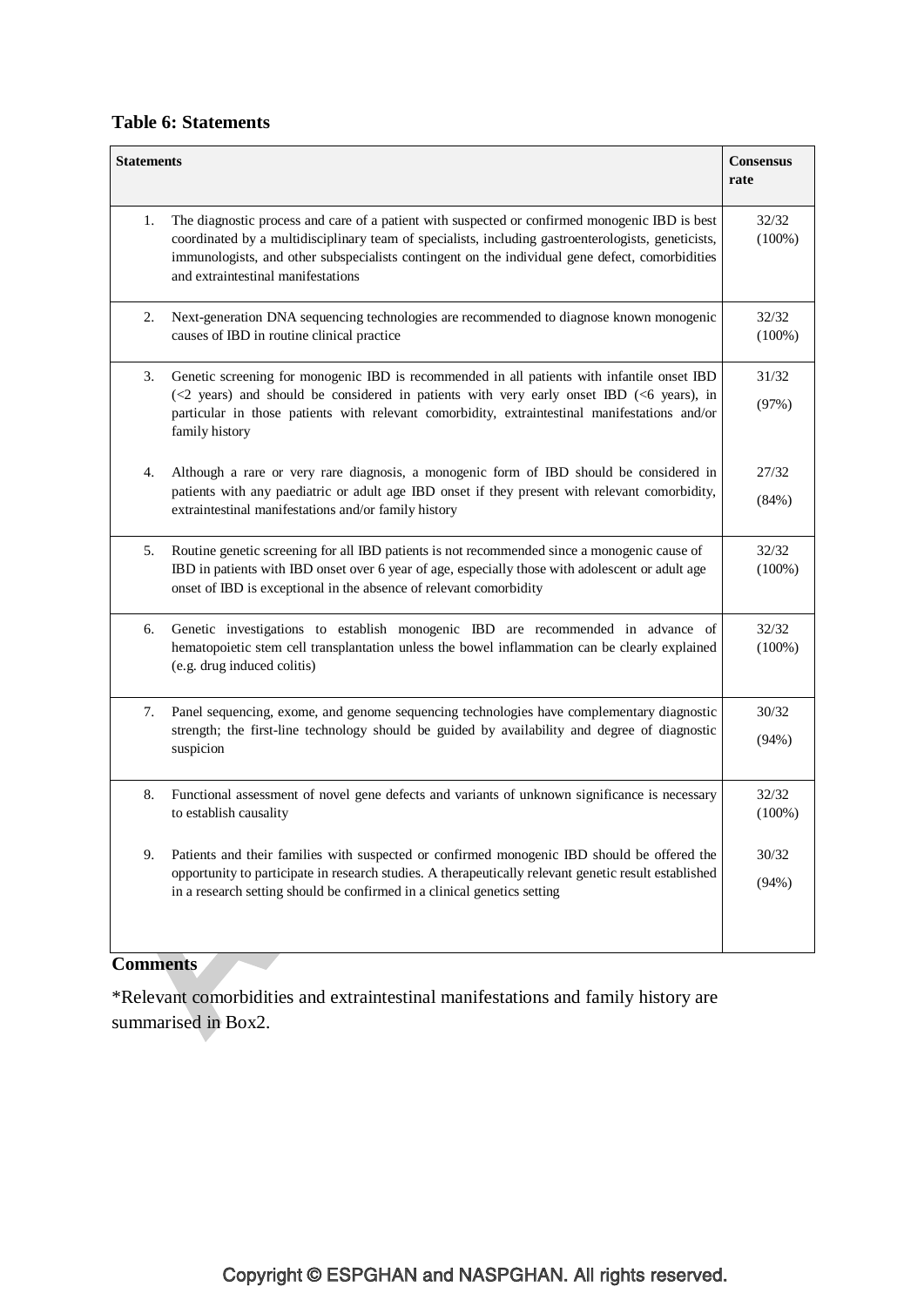## **Table 6: Statements**

| The diagnostic process and care of a patient with suspected or confirmed monogenic IBD is best<br>1.<br>coordinated by a multidisciplinary team of specialists, including gastroenterologists, geneticists,<br>immunologists, and other subspecialists contingent on the individual gene defect, comorbidities<br>and extraintestinal manifestations<br>2.<br>Next-generation DNA sequencing technologies are recommended to diagnose known monogenic<br>causes of IBD in routine clinical practice<br>3.<br>Genetic screening for monogenic IBD is recommended in all patients with infantile onset IBD<br>(<2 years) and should be considered in patients with very early onset IBD (<6 years), in<br>particular in those patients with relevant comorbidity, extraintestinal manifestations and/or<br>family history<br>Although a rare or very rare diagnosis, a monogenic form of IBD should be considered in<br>4.<br>patients with any paediatric or adult age IBD onset if they present with relevant comorbidity,<br>extraintestinal manifestations and/or family history<br>Routine genetic screening for all IBD patients is not recommended since a monogenic cause of<br>5. | <b>Consensus</b>   |
|------------------------------------------------------------------------------------------------------------------------------------------------------------------------------------------------------------------------------------------------------------------------------------------------------------------------------------------------------------------------------------------------------------------------------------------------------------------------------------------------------------------------------------------------------------------------------------------------------------------------------------------------------------------------------------------------------------------------------------------------------------------------------------------------------------------------------------------------------------------------------------------------------------------------------------------------------------------------------------------------------------------------------------------------------------------------------------------------------------------------------------------------------------------------------------------|--------------------|
|                                                                                                                                                                                                                                                                                                                                                                                                                                                                                                                                                                                                                                                                                                                                                                                                                                                                                                                                                                                                                                                                                                                                                                                          | 32/32<br>$(100\%)$ |
|                                                                                                                                                                                                                                                                                                                                                                                                                                                                                                                                                                                                                                                                                                                                                                                                                                                                                                                                                                                                                                                                                                                                                                                          | 32/32<br>$(100\%)$ |
|                                                                                                                                                                                                                                                                                                                                                                                                                                                                                                                                                                                                                                                                                                                                                                                                                                                                                                                                                                                                                                                                                                                                                                                          | 31/32<br>(97%)     |
|                                                                                                                                                                                                                                                                                                                                                                                                                                                                                                                                                                                                                                                                                                                                                                                                                                                                                                                                                                                                                                                                                                                                                                                          | 27/32<br>(84%)     |
| IBD in patients with IBD onset over 6 year of age, especially those with adolescent or adult age<br>onset of IBD is exceptional in the absence of relevant comorbidity                                                                                                                                                                                                                                                                                                                                                                                                                                                                                                                                                                                                                                                                                                                                                                                                                                                                                                                                                                                                                   | 32/32<br>$(100\%)$ |
| Genetic investigations to establish monogenic IBD are recommended in advance of<br>6.<br>hematopoietic stem cell transplantation unless the bowel inflammation can be clearly explained<br>(e.g. drug induced colitis)                                                                                                                                                                                                                                                                                                                                                                                                                                                                                                                                                                                                                                                                                                                                                                                                                                                                                                                                                                   | 32/32<br>$(100\%)$ |
| Panel sequencing, exome, and genome sequencing technologies have complementary diagnostic<br>7.<br>strength; the first-line technology should be guided by availability and degree of diagnostic<br>suspicion                                                                                                                                                                                                                                                                                                                                                                                                                                                                                                                                                                                                                                                                                                                                                                                                                                                                                                                                                                            | 30/32<br>(94%)     |
| 8.<br>Functional assessment of novel gene defects and variants of unknown significance is necessary<br>to establish causality                                                                                                                                                                                                                                                                                                                                                                                                                                                                                                                                                                                                                                                                                                                                                                                                                                                                                                                                                                                                                                                            | 32/32<br>(100%)    |
| 9.<br>Patients and their families with suspected or confirmed monogenic IBD should be offered the<br>opportunity to participate in research studies. A therapeutically relevant genetic result established<br>in a research setting should be confirmed in a clinical genetics setting                                                                                                                                                                                                                                                                                                                                                                                                                                                                                                                                                                                                                                                                                                                                                                                                                                                                                                   | 30/32<br>(94%)     |

## **Comments**

\*Relevant comorbidities and extraintestinal manifestations and family history are summarised in Box2.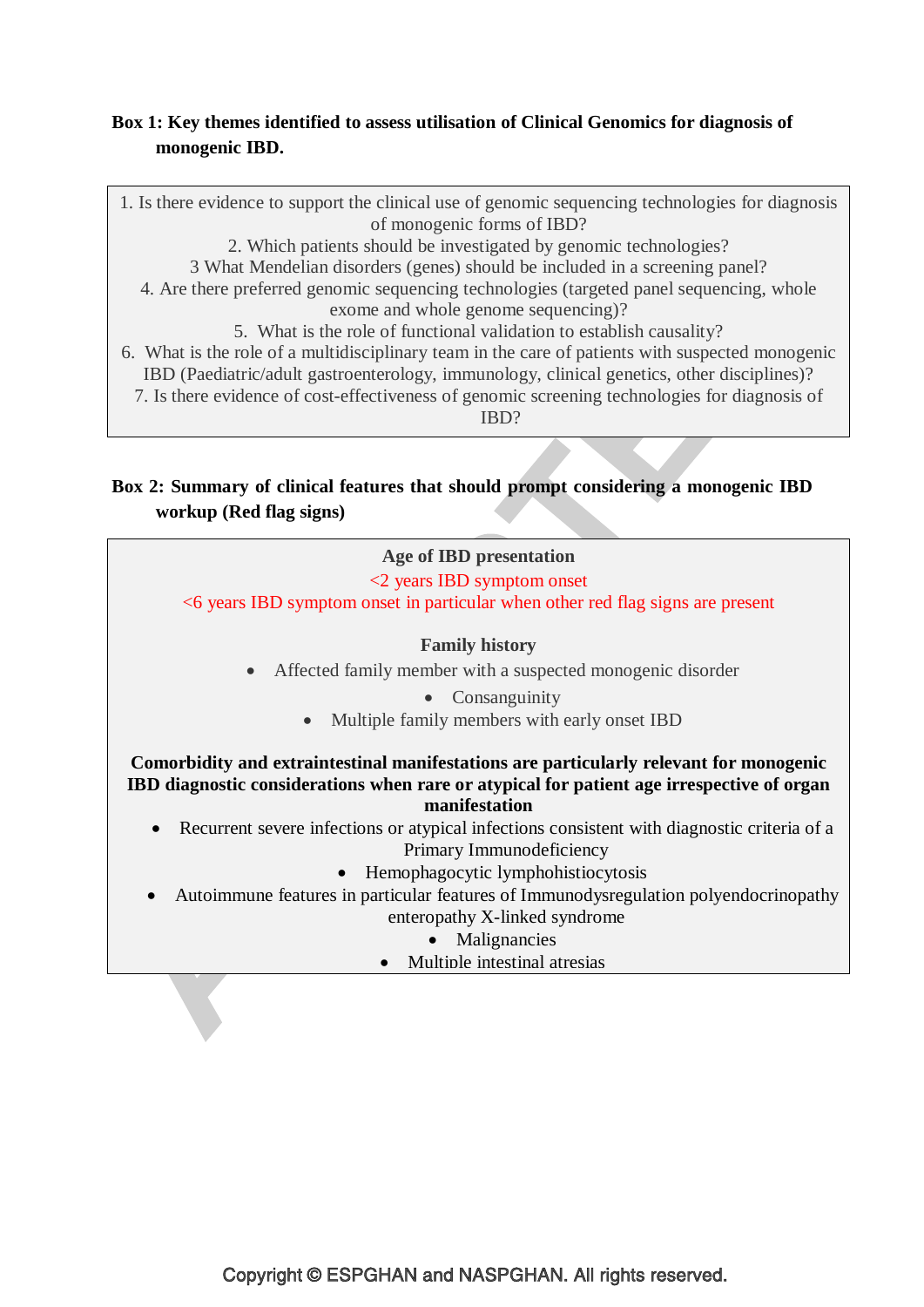## **Box 1: Key themes identified to assess utilisation of Clinical Genomics for diagnosis of monogenic IBD.**



7. Is there evidence of cost-effectiveness of genomic screening technologies for diagnosis of

IBD?

## **Box 2: Summary of clinical features that should prompt considering a monogenic IBD workup (Red flag signs)**

# **Age of IBD presentation** <2 years IBD symptom onset <6 years IBD symptom onset in particular when other red flag signs are present **Family history** Affected family member with a suspected monogenic disorder • Consanguinity Multiple family members with early onset IBD **Comorbidity and extraintestinal manifestations are particularly relevant for monogenic IBD diagnostic considerations when rare or atypical for patient age irrespective of organ manifestation** Recurrent severe infections or atypical infections consistent with diagnostic criteria of a Primary Immunodeficiency • Hemophagocytic lymphohistiocytosis Autoimmune features in particular features of Immunodysregulation polyendocrinopathy enteropathy X-linked syndrome • Malignancies Multiple intestinal atresias